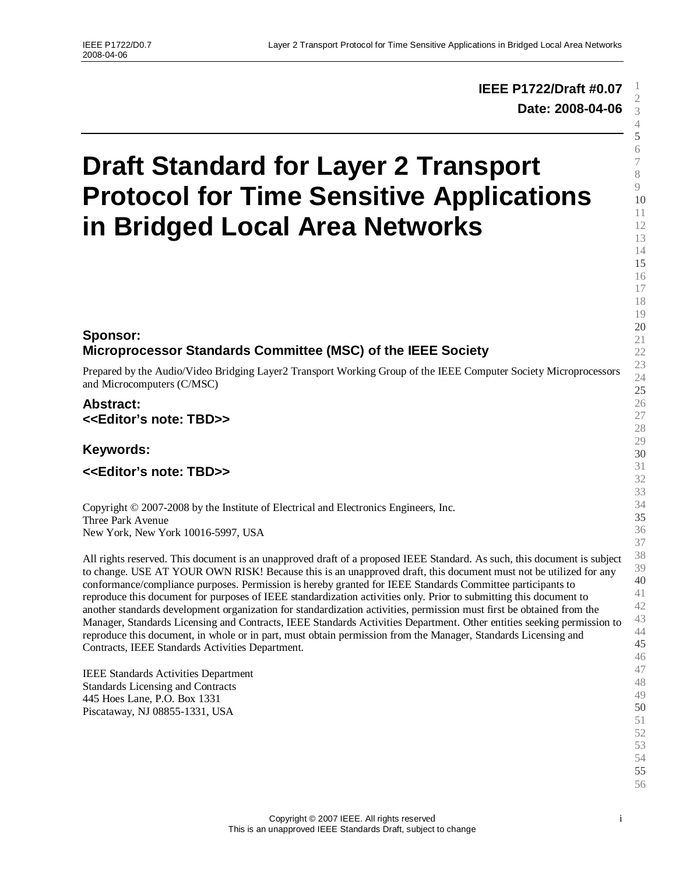# **IEEE P1722/Draft #0.07 Date: 2008-04-06**

# **Draft Standard for Layer 2 Transport Protocol for Time Sensitive Applications in Bridged Local Area Networks**

# **Sponsor: Microprocessor Standards Committee (MSC) of the IEEE Society**

Prepared by the Audio/Video Bridging Layer2 Transport Working Group of the IEEE Computer Society Microprocessors and Microcomputers (C/MSC)

# **Abstract: <<Editor's note: TBD>>**

**Keywords:**

**<<Editor's note: TBD>>**

Copyright © 2007-2008 by the Institute of Electrical and Electronics Engineers, Inc. Three Park Avenue New York, New York 10016-5997, USA

All rights reserved. This document is an unapproved draft of a proposed IEEE Standard. As such, this document is subject to change. USE AT YOUR OWN RISK! Because this is an unapproved draft, this document must not be utilized for any conformance/compliance purposes. Permission is hereby granted for IEEE Standards Committee participants to reproduce this document for purposes of IEEE standardization activities only. Prior to submitting this document to another standards development organization for standardization activities, permission must first be obtained from the Manager, Standards Licensing and Contracts, IEEE Standards Activities Department. Other entities seeking permission to reproduce this document, in whole or in part, must obtain permission from the Manager, Standards Licensing and Contracts, IEEE Standards Activities Department.

IEEE Standards Activities Department Standards Licensing and Contracts 445 Hoes Lane, P.O. Box 1331 Piscataway, NJ 08855-1331, USA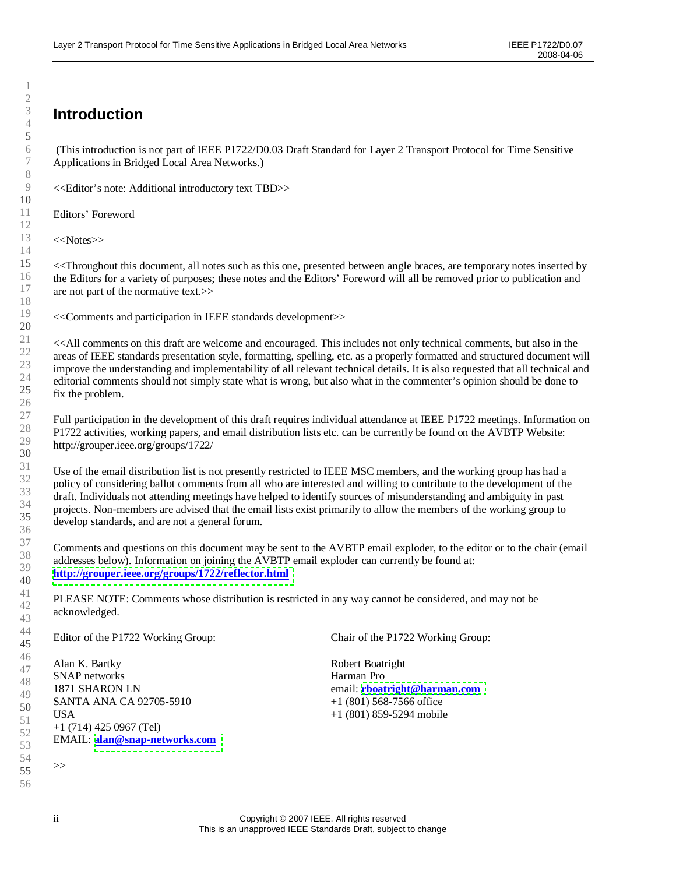# **Introduction**

(This introduction is not part of IEEE P1722/D0.03 Draft Standard for Layer 2 Transport Protocol for Time Sensitive Applications in Bridged Local Area Networks.)

<<Editor's note: Additional introductory text TBD>>

Editors'Foreword

<<Notes>>

<<Throughout this document, all notes such as this one, presented between angle braces, are temporary notes inserted by the Editors for a variety of purposes; these notes and the Editors' Foreword will all be removed prior to publication and are not part of the normative text.>>

<<Comments and participation in IEEE standards development>>

<<All comments on this draft are welcome and encouraged. This includes not only technical comments, but also in the areas of IEEE standards presentation style, formatting, spelling, etc. as a properly formatted and structured document will improve the understanding and implementability of all relevant technical details. It is also requested that all technical and editorial comments should not simply state what is wrong, but also what in the commenter's opinion should be done to fix the problem.

Full participation in the development of this draft requires individual attendance at IEEE P1722 meetings. Information on P1722 activities, working papers, and email distribution lists etc. can be currently be found on the AVBTP Website: http://grouper.ieee.org/groups/1722/

Use of the email distribution list is not presently restricted to IEEE MSC members, and the working group has had a policy of considering ballot comments from all who are interested and willing to contribute to the development of the draft. Individuals not attending meetings have helped to identify sources of misunderstanding and ambiguity in past projects. Non-members are advised that the email lists exist primarily to allow the members of the working group to develop standards, and are not a general forum.

Comments and questions on this document may be sent to the AVBTP email exploder, to the editor or to the chair (email addresses below). Information on joining the AVBTP email exploder can currently be found at: **<http://grouper.ieee.org/groups/1722/reflector.html>**

PLEASE NOTE: Comments whose distribution is restricted in any way cannot be considered, and may not be acknowledged.

Editor of the P1722 Working Group:

Alan K. Bartky SNAP networks 1871 SHARON LN SANTA ANA CA 92705-5910 USA +1 (714) 425 0967 (Tel) EMAIL: **[alan@snap-networks.com](mailto:alan@snap-networks.com)** Chair of the P1722 Working Group:

Robert Boatright Harman Pro email: **[rboatright@harman.com](mailto:rboatright@harman.com)** +1 (801) 568-7566 office +1 (801) 859-5294 mobile

1

>>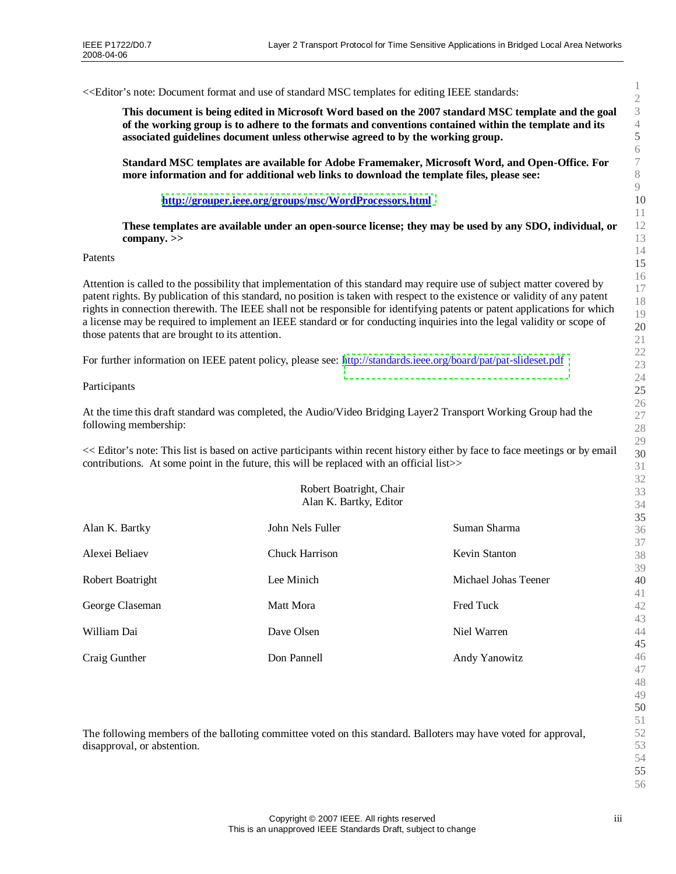<<Editor's note: Document format and use of standard MSC templates for editing IEEE standards:

**This document is being edited in Microsoft Word based on the 2007 standard MSC template and the goal of the working group is to adhere to the formats and conventions contained within the template and its associated guidelines document unless otherwise agreed to by the working group.**

**Standard MSC templates are available for Adobe Framemaker, Microsoft Word, and Open-Office. For more information and for additional web links to download the template files, please see:**

**<http://grouper.ieee.org/groups/msc/WordProcessors.html>**

**These templates are available under an open-source license; they may be used by any SDO, individual, or company. >>**

Patents

Attention is called to the possibility that implementation of this standard may require use of subject matter covered by patent rights. By publication of this standard, no position is taken with respect to the existence or validity of any patent rights in connection therewith. The IEEE shall not be responsible for identifying patents or patent applications for which a license may be required to implement an IEEE standard or for conducting inquiries into the legal validity or scope of those patents that are brought to its attention.

For further information on IEEE patent policy, please see: <http://standards.ieee.org/board/pat/pat-slideset.pdf>

#### Participants

At the time this draft standard was completed, the Audio/Video Bridging Layer2 Transport Working Group had the following membership:

<< Editor's note: This list is based on active participants within recent history either by face to face meetings or by email contributions. At some point in the future, this will be replaced with an official list>>

| Robert Boatright, Chair<br>Alan K. Bartky, Editor |                       |                      |  |  |
|---------------------------------------------------|-----------------------|----------------------|--|--|
| Alan K. Bartky                                    | John Nels Fuller      | Suman Sharma         |  |  |
| Alexei Beliaev                                    | <b>Chuck Harrison</b> | <b>Kevin Stanton</b> |  |  |
| Robert Boatright                                  | Lee Minich            | Michael Johas Teener |  |  |
| George Claseman                                   | Matt Mora             | <b>Fred Tuck</b>     |  |  |
| William Dai                                       | Dave Olsen            | Niel Warren          |  |  |
| Craig Gunther                                     | Don Pannell           | Andy Yanowitz        |  |  |

The following members of the balloting committee voted on this standard. Balloters may have voted for approval, disapproval, or abstention.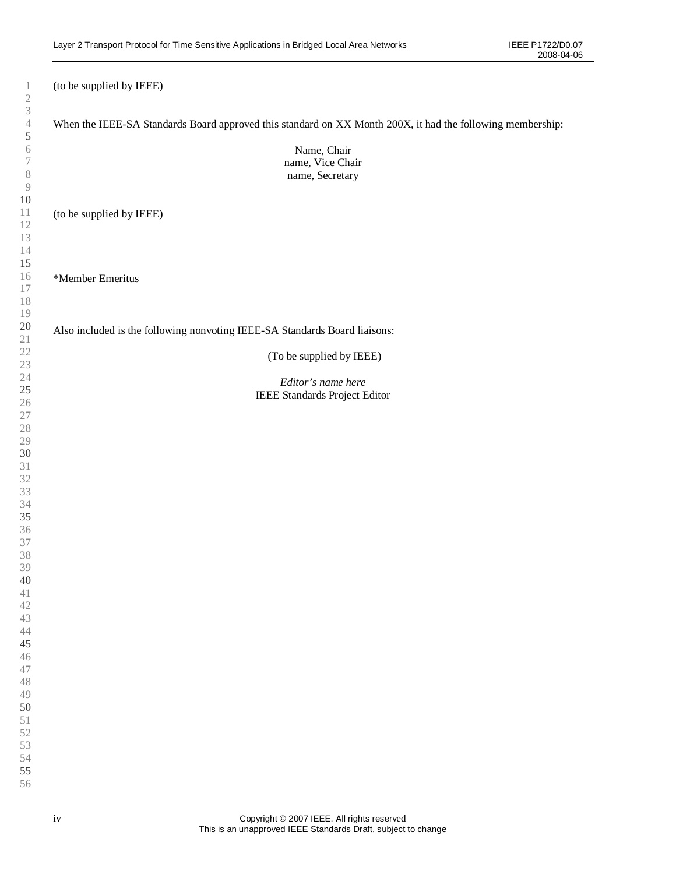| $\mathbf{1}$                                  | (to be supplied by IEEE)                                                                                   |
|-----------------------------------------------|------------------------------------------------------------------------------------------------------------|
| $\mathfrak{2}$<br>$\ensuremath{\mathfrak{Z}}$ |                                                                                                            |
| $\overline{4}$                                | When the IEEE-SA Standards Board approved this standard on XX Month 200X, it had the following membership: |
| 5<br>6                                        |                                                                                                            |
| $\tau$                                        | Name, Chair<br>name, Vice Chair                                                                            |
| $\, 8$                                        | name, Secretary                                                                                            |
| $\mathcal{G}$                                 |                                                                                                            |
| $10\,$                                        |                                                                                                            |
| 11                                            | (to be supplied by IEEE)                                                                                   |
| 12                                            |                                                                                                            |
| 13<br>$14\,$                                  |                                                                                                            |
| 15                                            |                                                                                                            |
| 16                                            | *Member Emeritus                                                                                           |
| $17\,$                                        |                                                                                                            |
| 18                                            |                                                                                                            |
| 19                                            |                                                                                                            |
| 20                                            | Also included is the following nonvoting IEEE-SA Standards Board liaisons:                                 |
| 21<br>22<br>23<br>24<br>25<br>26<br>27<br>28  | (To be supplied by IEEE)                                                                                   |
|                                               |                                                                                                            |
|                                               | Editor's name here                                                                                         |
|                                               | IEEE Standards Project Editor                                                                              |
|                                               |                                                                                                            |
|                                               |                                                                                                            |
| 29                                            |                                                                                                            |
| 30                                            |                                                                                                            |
|                                               |                                                                                                            |
| 31<br>32<br>33                                |                                                                                                            |
|                                               |                                                                                                            |
| 34<br><b>35</b>                               |                                                                                                            |
| 36                                            |                                                                                                            |
| 37                                            |                                                                                                            |
| 38                                            |                                                                                                            |
| 39                                            |                                                                                                            |
| 40                                            |                                                                                                            |
| 41                                            |                                                                                                            |
| 42<br>43                                      |                                                                                                            |
| 44                                            |                                                                                                            |
| 45                                            |                                                                                                            |
| 46                                            |                                                                                                            |
| 47                                            |                                                                                                            |
| 48                                            |                                                                                                            |
| 49                                            |                                                                                                            |
| 50<br>51                                      |                                                                                                            |
| 52                                            |                                                                                                            |
| 53                                            |                                                                                                            |
| 54                                            |                                                                                                            |
| 55                                            |                                                                                                            |
| 56                                            |                                                                                                            |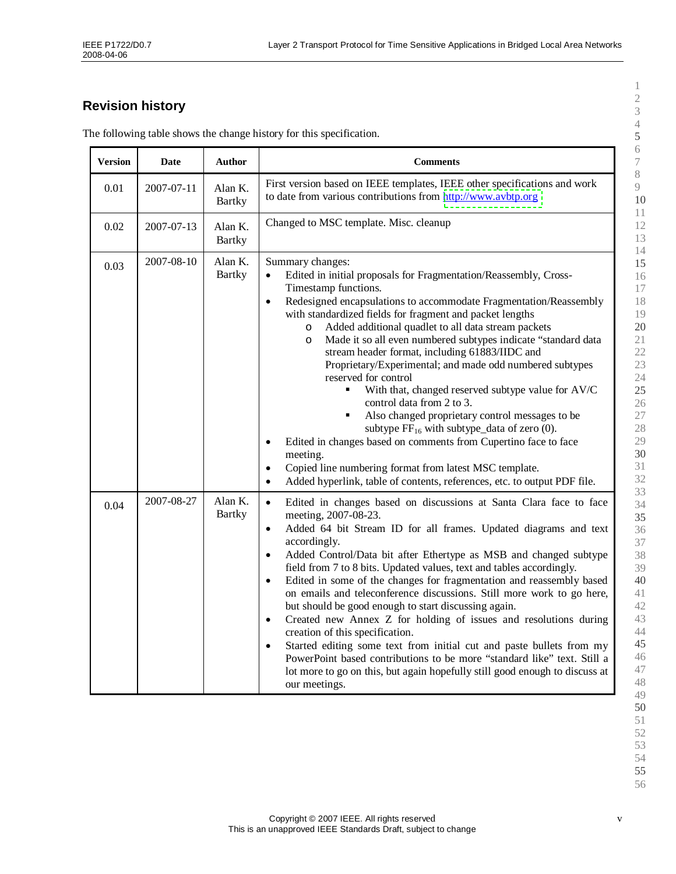# **Revision history**

| <b>Version</b> | <b>Date</b> | <b>Author</b>            | <b>Comments</b>                                                                                                                                                                                                                                                                                                                                                                                                                                                                                                                                                                                                                                                                                                                                                                                                                                                                                                                                                                                     |
|----------------|-------------|--------------------------|-----------------------------------------------------------------------------------------------------------------------------------------------------------------------------------------------------------------------------------------------------------------------------------------------------------------------------------------------------------------------------------------------------------------------------------------------------------------------------------------------------------------------------------------------------------------------------------------------------------------------------------------------------------------------------------------------------------------------------------------------------------------------------------------------------------------------------------------------------------------------------------------------------------------------------------------------------------------------------------------------------|
| 0.01           | 2007-07-11  | Alan K.<br><b>Bartky</b> | First version based on IEEE templates, IEEE other specifications and work<br>to date from various contributions from http://www.avbtp.org                                                                                                                                                                                                                                                                                                                                                                                                                                                                                                                                                                                                                                                                                                                                                                                                                                                           |
| 0.02           | 2007-07-13  | Alan K.<br><b>Bartky</b> | Changed to MSC template. Misc. cleanup                                                                                                                                                                                                                                                                                                                                                                                                                                                                                                                                                                                                                                                                                                                                                                                                                                                                                                                                                              |
| 0.03           | 2007-08-10  | Alan K.<br><b>Bartky</b> | Summary changes:<br>Edited in initial proposals for Fragmentation/Reassembly, Cross-<br>Timestamp functions.<br>Redesigned encapsulations to accommodate Fragmentation/Reassembly<br>$\bullet$<br>with standardized fields for fragment and packet lengths<br>Added additional quadlet to all data stream packets<br>O<br>Made it so all even numbered subtypes indicate "standard data<br>$\circ$<br>stream header format, including 61883/IIDC and<br>Proprietary/Experimental; and made odd numbered subtypes<br>reserved for control<br>With that, changed reserved subtype value for AV/C<br>control data from 2 to 3.<br>Also changed proprietary control messages to be<br>٠<br>subtype $FF_{16}$ with subtype_data of zero (0).<br>Edited in changes based on comments from Cupertino face to face<br>$\bullet$<br>meeting.<br>Copied line numbering format from latest MSC template.<br>$\bullet$<br>Added hyperlink, table of contents, references, etc. to output PDF file.<br>$\bullet$ |
| 0.04           | 2007-08-27  | Alan K.<br><b>Bartky</b> | Edited in changes based on discussions at Santa Clara face to face<br>$\bullet$<br>meeting, 2007-08-23.<br>Added 64 bit Stream ID for all frames. Updated diagrams and text<br>$\bullet$<br>accordingly.<br>Added Control/Data bit after Ethertype as MSB and changed subtype<br>$\bullet$<br>field from 7 to 8 bits. Updated values, text and tables accordingly.<br>Edited in some of the changes for fragmentation and reassembly based<br>$\bullet$<br>on emails and teleconference discussions. Still more work to go here,<br>but should be good enough to start discussing again.<br>Created new Annex Z for holding of issues and resolutions during<br>$\bullet$<br>creation of this specification.<br>Started editing some text from initial cut and paste bullets from my<br>$\bullet$<br>PowerPoint based contributions to be more "standard like" text. Still a<br>lot more to go on this, but again hopefully still good enough to discuss at<br>our meetings.                        |

The following table shows the change history for this specification.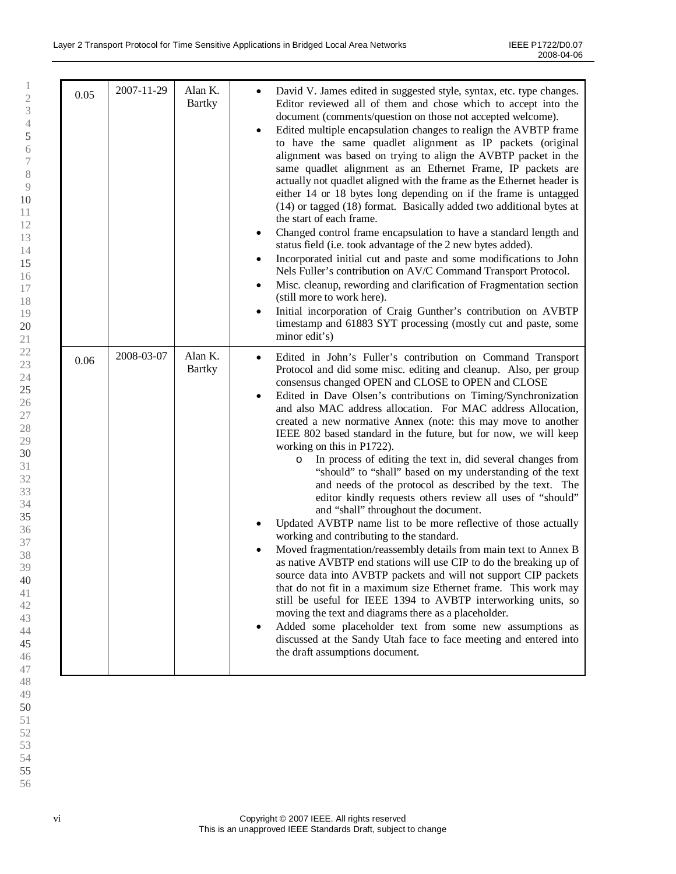| 0.05 | 2007-11-29 | Alan K.<br><b>Bartky</b> | David V. James edited in suggested style, syntax, etc. type changes.<br>Editor reviewed all of them and chose which to accept into the<br>document (comments/question on those not accepted welcome).<br>Edited multiple encapsulation changes to realign the AVBTP frame<br>$\bullet$<br>to have the same quadlet alignment as IP packets (original<br>alignment was based on trying to align the AVBTP packet in the<br>same quadlet alignment as an Ethernet Frame, IP packets are<br>actually not quadlet aligned with the frame as the Ethernet header is<br>either 14 or 18 bytes long depending on if the frame is untagged<br>(14) or tagged (18) format. Basically added two additional bytes at<br>the start of each frame.<br>Changed control frame encapsulation to have a standard length and<br>status field (i.e. took advantage of the 2 new bytes added).<br>Incorporated initial cut and paste and some modifications to John<br>Nels Fuller's contribution on AV/C Command Transport Protocol.<br>Misc. cleanup, rewording and clarification of Fragmentation section<br>(still more to work here).<br>Initial incorporation of Craig Gunther's contribution on AVBTP<br>timestamp and 61883 SYT processing (mostly cut and paste, some<br>minor edit's)                                                                                                                                                                                                                                      |
|------|------------|--------------------------|------------------------------------------------------------------------------------------------------------------------------------------------------------------------------------------------------------------------------------------------------------------------------------------------------------------------------------------------------------------------------------------------------------------------------------------------------------------------------------------------------------------------------------------------------------------------------------------------------------------------------------------------------------------------------------------------------------------------------------------------------------------------------------------------------------------------------------------------------------------------------------------------------------------------------------------------------------------------------------------------------------------------------------------------------------------------------------------------------------------------------------------------------------------------------------------------------------------------------------------------------------------------------------------------------------------------------------------------------------------------------------------------------------------------------------------------------------------------------------------------------------------|
| 0.06 | 2008-03-07 | Alan K.<br><b>Bartky</b> | Edited in John's Fuller's contribution on Command Transport<br>$\bullet$<br>Protocol and did some misc. editing and cleanup. Also, per group<br>consensus changed OPEN and CLOSE to OPEN and CLOSE<br>Edited in Dave Olsen's contributions on Timing/Synchronization<br>and also MAC address allocation. For MAC address Allocation,<br>created a new normative Annex (note: this may move to another<br>IEEE 802 based standard in the future, but for now, we will keep<br>working on this in P1722).<br>In process of editing the text in, did several changes from<br>$\circ$<br>"should" to "shall" based on my understanding of the text<br>and needs of the protocol as described by the text. The<br>editor kindly requests others review all uses of "should"<br>and "shall" throughout the document.<br>Updated AVBTP name list to be more reflective of those actually<br>working and contributing to the standard.<br>Moved fragmentation/reassembly details from main text to Annex B<br>as native AVBTP end stations will use CIP to do the breaking up of<br>source data into AVBTP packets and will not support CIP packets<br>that do not fit in a maximum size Ethernet frame. This work may<br>still be useful for IEEE 1394 to AVBTP interworking units, so<br>moving the text and diagrams there as a placeholder.<br>Added some placeholder text from some new assumptions as<br>٠<br>discussed at the Sandy Utah face to face meeting and entered into<br>the draft assumptions document. |

vi Copyright © 2007 IEEE. All rights reserved This is an unapproved IEEE Standards Draft, subject to change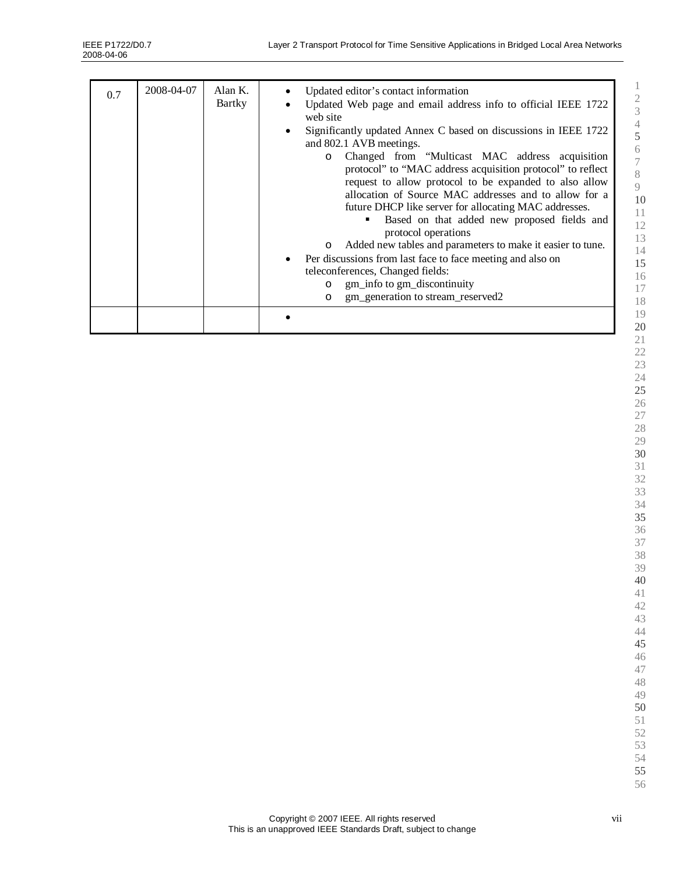| 0.7 | 2008-04-07 | Alan $K$ .<br>Bartky | Updated editor's contact information<br>Updated Web page and email address info to official IEEE 1722<br>web site<br>Significantly updated Annex C based on discussions in IEEE 1722<br>and 802.1 AVB meetings.<br>Changed from "Multicast MAC address acquisition"<br>$\Omega$<br>protocol" to "MAC address acquisition protocol" to reflect<br>request to allow protocol to be expanded to also allow<br>allocation of Source MAC addresses and to allow for a<br>future DHCP like server for allocating MAC addresses.<br>Based on that added new proposed fields and<br>٠<br>protocol operations<br>Added new tables and parameters to make it easier to tune.<br>$\circ$<br>Per discussions from last face to face meeting and also on<br>teleconferences, Changed fields:<br>gm_info to gm_discontinuity<br>$\circ$<br>gm_generation to stream_reserved2<br>$\Omega$ |
|-----|------------|----------------------|----------------------------------------------------------------------------------------------------------------------------------------------------------------------------------------------------------------------------------------------------------------------------------------------------------------------------------------------------------------------------------------------------------------------------------------------------------------------------------------------------------------------------------------------------------------------------------------------------------------------------------------------------------------------------------------------------------------------------------------------------------------------------------------------------------------------------------------------------------------------------|
|     |            |                      |                                                                                                                                                                                                                                                                                                                                                                                                                                                                                                                                                                                                                                                                                                                                                                                                                                                                            |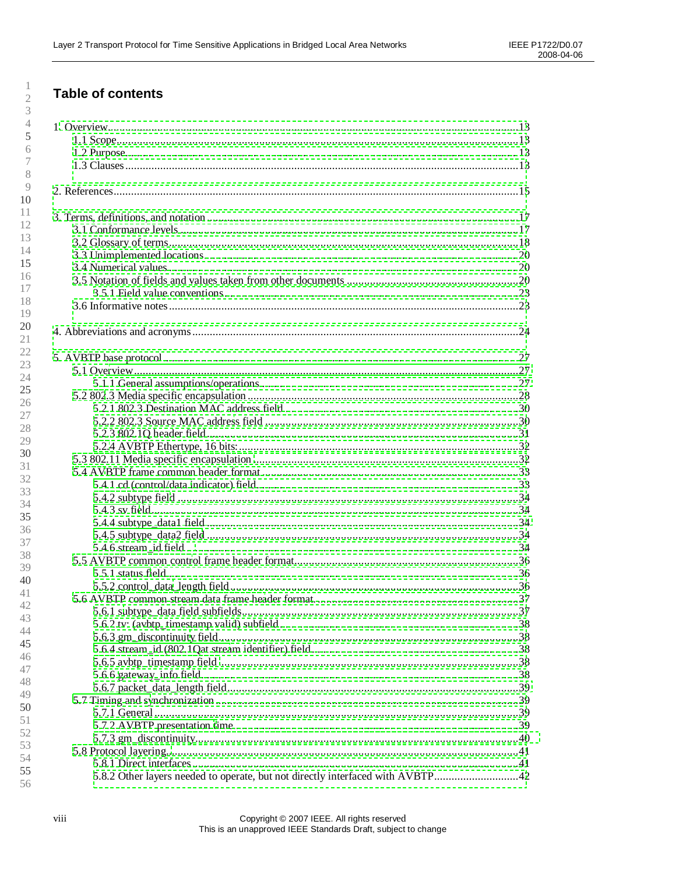# **Table of contents**

| 5.8.2 Other layers needed to operate, but not directly interfaced with AVBTP42 |
|--------------------------------------------------------------------------------|
|                                                                                |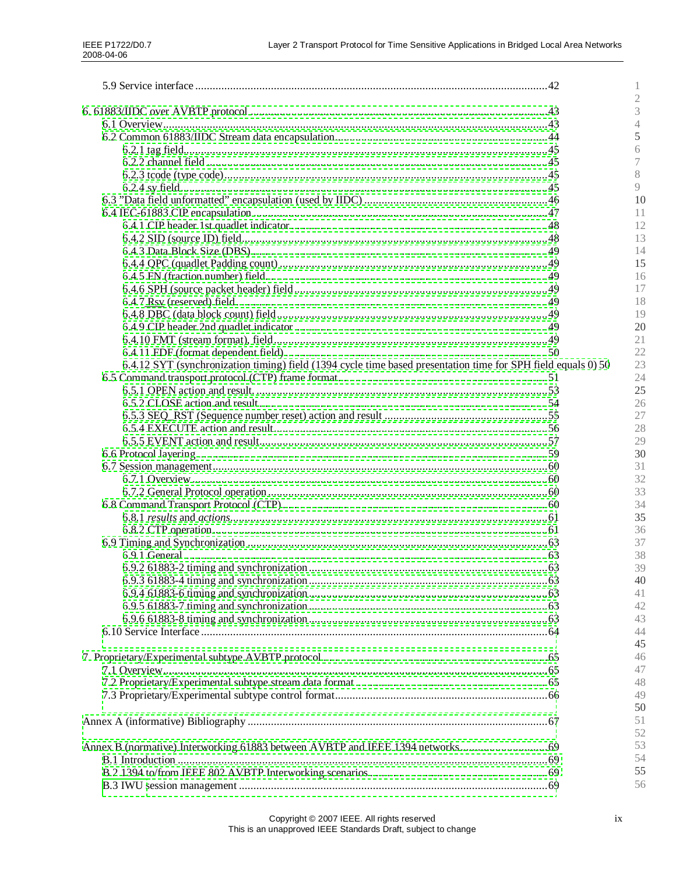|                                                                                                               | I.           |
|---------------------------------------------------------------------------------------------------------------|--------------|
|                                                                                                               | 2<br>3       |
|                                                                                                               | 4            |
|                                                                                                               | 5            |
|                                                                                                               | 6            |
|                                                                                                               | 7            |
|                                                                                                               |              |
|                                                                                                               | 8<br>$\circ$ |
|                                                                                                               |              |
|                                                                                                               | 10           |
|                                                                                                               | 11           |
|                                                                                                               | 12           |
|                                                                                                               | 13           |
|                                                                                                               | 14           |
|                                                                                                               | 15           |
|                                                                                                               | 16           |
|                                                                                                               | 17           |
|                                                                                                               | 18           |
|                                                                                                               | 19           |
|                                                                                                               | 20           |
|                                                                                                               | 21           |
|                                                                                                               | 22           |
| 6.4.12 SYT (synchronization timing) field (1394 cycle time based presentation time for SPH field equals 0) 50 | 23           |
|                                                                                                               | 24           |
|                                                                                                               | 25           |
|                                                                                                               | 26           |
|                                                                                                               | 27           |
|                                                                                                               | 28           |
|                                                                                                               | 29           |
|                                                                                                               | 30           |
|                                                                                                               |              |
|                                                                                                               | 31           |
|                                                                                                               | 32           |
|                                                                                                               | 33           |
|                                                                                                               | 34           |
|                                                                                                               | 35           |
|                                                                                                               | 36           |
|                                                                                                               | 37           |
|                                                                                                               | 38           |
|                                                                                                               | 39           |
|                                                                                                               | 40           |
|                                                                                                               | 41           |
|                                                                                                               | 42           |
|                                                                                                               | 43           |
|                                                                                                               | 44           |
|                                                                                                               | 45           |
|                                                                                                               | 46           |
|                                                                                                               | 47           |
|                                                                                                               | 48           |
|                                                                                                               | 49           |
|                                                                                                               |              |
|                                                                                                               | 50           |
|                                                                                                               | 51           |
|                                                                                                               | 52           |
| Annex B (normative) Interworking 61883 between AVBTP and IEEE 1394 networks                                   | 53           |
|                                                                                                               | 54           |
|                                                                                                               | 55           |
|                                                                                                               | 56           |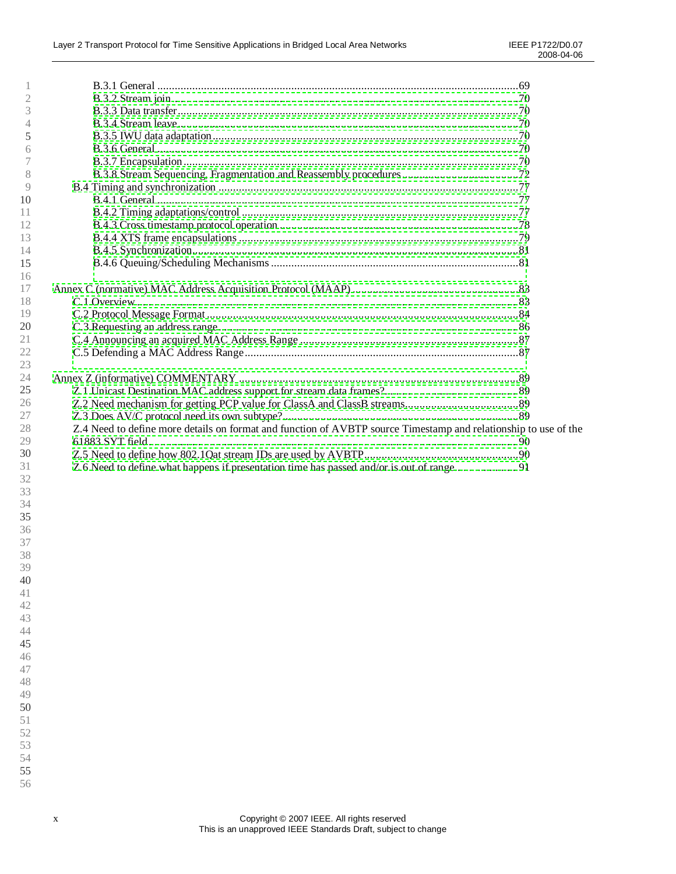| 2  |                                                                                                                 |
|----|-----------------------------------------------------------------------------------------------------------------|
| 3  |                                                                                                                 |
| 4  |                                                                                                                 |
| 5  |                                                                                                                 |
| 6  |                                                                                                                 |
|    |                                                                                                                 |
| 8  |                                                                                                                 |
| 9  |                                                                                                                 |
| 10 |                                                                                                                 |
| 11 |                                                                                                                 |
| 12 |                                                                                                                 |
| 13 |                                                                                                                 |
| 14 |                                                                                                                 |
| 15 |                                                                                                                 |
| 16 |                                                                                                                 |
| 17 |                                                                                                                 |
| 18 |                                                                                                                 |
| 19 |                                                                                                                 |
| 20 |                                                                                                                 |
| 21 |                                                                                                                 |
| 22 |                                                                                                                 |
| 23 |                                                                                                                 |
| 24 |                                                                                                                 |
| 25 |                                                                                                                 |
| 26 |                                                                                                                 |
| 27 |                                                                                                                 |
| 28 | Z.4 Need to define more details on format and function of AVBTP source Timestamp and relationship to use of the |
| 29 |                                                                                                                 |
| 30 |                                                                                                                 |
| 31 | Z.6 Need to define what happens if presentation time has passed and/or is out of range91                        |
| 32 |                                                                                                                 |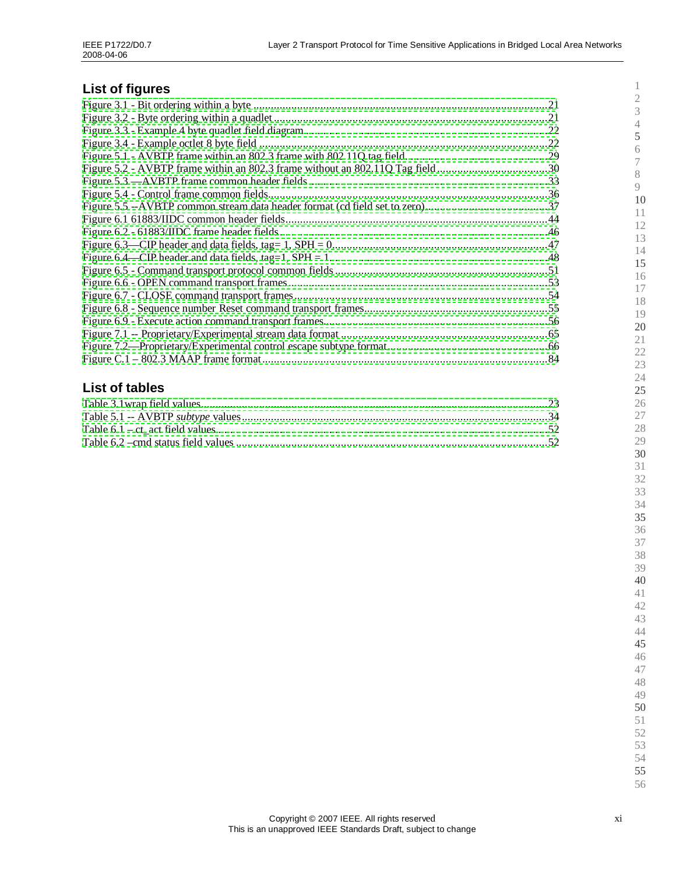# **List of figures**

| Figure 5.2 - AVBTP frame within an 802.3 frame without an 802.11Q Tag field30 |  |
|-------------------------------------------------------------------------------|--|
|                                                                               |  |
|                                                                               |  |
|                                                                               |  |
|                                                                               |  |
|                                                                               |  |
|                                                                               |  |
|                                                                               |  |
|                                                                               |  |
|                                                                               |  |
|                                                                               |  |
|                                                                               |  |
|                                                                               |  |
|                                                                               |  |
|                                                                               |  |
|                                                                               |  |

# **List of tables**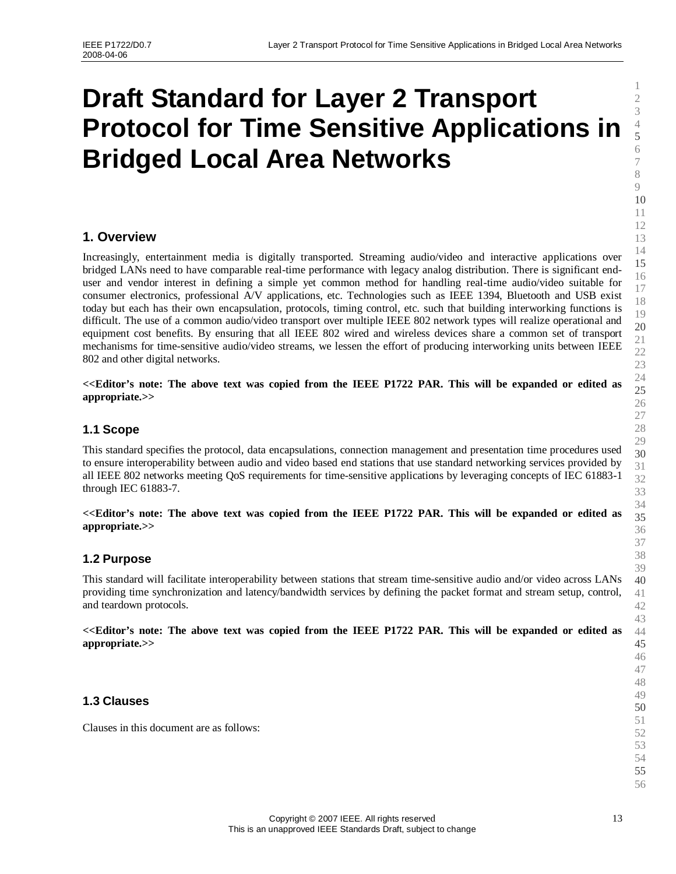# <span id="page-12-1"></span><span id="page-12-0"></span>**Draft Standard for Layer 2 Transport Protocol for Time Sensitive Applications in Bridged Local Area Networks**

# **1. Overview**

Increasingly, entertainment media is digitally transported. Streaming audio/video and interactive applications over bridged LANs need to have comparable real-time performance with legacy analog distribution. There is significant enduser and vendor interest in defining a simple yet common method for handling real-time audio/video suitable for consumer electronics, professional A/V applications, etc. Technologies such as IEEE 1394, Bluetooth and USB exist today but each has their own encapsulation, protocols, timing control, etc. such that building interworking functions is difficult. The use of a common audio/video transport over multiple IEEE 802 network types will realize operational and equipment cost benefits. By ensuring that all IEEE 802 wired and wireless devices share a common set of transport mechanisms for time-sensitive audio/video streams, we lessen the effort of producing interworking units between IEEE 802 and other digital networks.

**<<Editor's note: The above text was copied from the IEEE P1722 PAR. This will be expanded or edited as appropriate.>>**

# **1.1 Scope**

This standard specifies the protocol, data encapsulations, connection management and presentation time procedures used to ensure interoperability between audio and video based end stations that use standard networking services provided by all IEEE 802 networks meeting QoS requirements for time-sensitive applications by leveraging concepts of IEC 61883-1 through IEC 61883-7.

**<<Editor's note: The above text was copied from the IEEE P1722 PAR. This will be expanded or edited as appropriate.>>**

#### **1.2 Purpose**

This standard will facilitate interoperability between stations that stream time-sensitive audio and/or video across LANs providing time synchronization and latency/bandwidth services by defining the packet format and stream setup, control, and teardown protocols.

**<<Editor's note: The above text was copied from the IEEE P1722 PAR. This will be expanded or edited as appropriate.>>**

#### **1.3 Clauses**

Clauses in this document are as follows: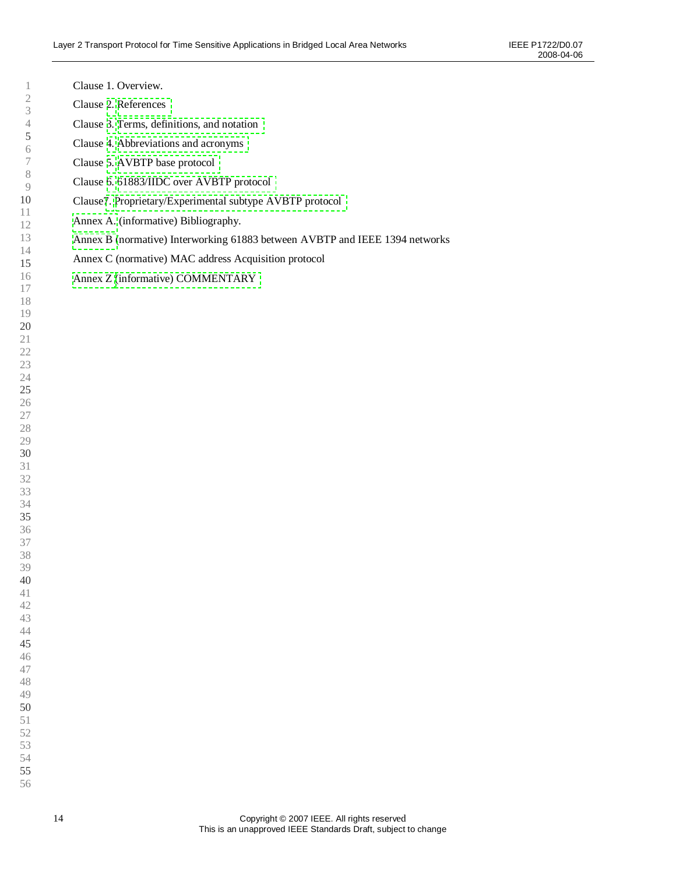| Ţ                                          |  |
|--------------------------------------------|--|
| $\overline{c}$                             |  |
|                                            |  |
|                                            |  |
| $\begin{array}{c} 3 \\ 4 \\ 5 \end{array}$ |  |
|                                            |  |
| 6                                          |  |
| $\overline{7}$                             |  |
| 8                                          |  |
|                                            |  |
| 9                                          |  |
| 10                                         |  |
| 11                                         |  |
| 12                                         |  |
|                                            |  |
|                                            |  |
| 13<br>14<br><b>15</b>                      |  |
|                                            |  |
| 16                                         |  |
| 17                                         |  |
|                                            |  |
| 18<br>19                                   |  |
|                                            |  |
| 20                                         |  |
| 21                                         |  |
|                                            |  |
| 22                                         |  |
|                                            |  |
|                                            |  |
| $23$<br>24<br>25<br>26                     |  |
|                                            |  |
|                                            |  |
| 27                                         |  |
| 28                                         |  |
|                                            |  |
| 29<br>30                                   |  |
|                                            |  |
| 31                                         |  |
| 32                                         |  |
| 33                                         |  |
|                                            |  |
| 34                                         |  |
| 35                                         |  |
| $\frac{36}{1}$                             |  |
|                                            |  |
|                                            |  |
| 37<br>38<br>39                             |  |
|                                            |  |
| 40                                         |  |
| 41                                         |  |
| 42                                         |  |
|                                            |  |
| 43                                         |  |
| 44                                         |  |
| 45                                         |  |
| 46                                         |  |
|                                            |  |
| 47                                         |  |
| 48                                         |  |
| 49                                         |  |
| 50                                         |  |
| 51                                         |  |
|                                            |  |
| 52                                         |  |
| 53                                         |  |
| 54                                         |  |
|                                            |  |

Clause 1. Overview. Clause [2.](#page-14-0) [References](#page-14-0)

Clause [3.](#page-16-0) [Terms, definitions, and notation](#page-16-0) Clause [4.](#page-23-0) [Abbreviations and acronyms](#page-23-0)

Clause [6.](#page-42-0) [61883/IIDC over AVBTP protocol](#page-42-0)

[Annex A.](#page-66-0) (informative) Bibliography.

[Annex Z](#page-88-0) [\(informative\) COMMENTARY](#page-88-0)

Clause[7.](#page-64-0) [Proprietary/Experimental subtype AVBTP protocol](#page-64-0)

Annex C (normative) MAC address Acquisition protocol

[Annex B](#page-68-0) (normative) Interworking 61883 between AVBTP and IEEE 1394 networks

Clause [5.](#page-26-0) [AVBTP base protocol](#page-26-0)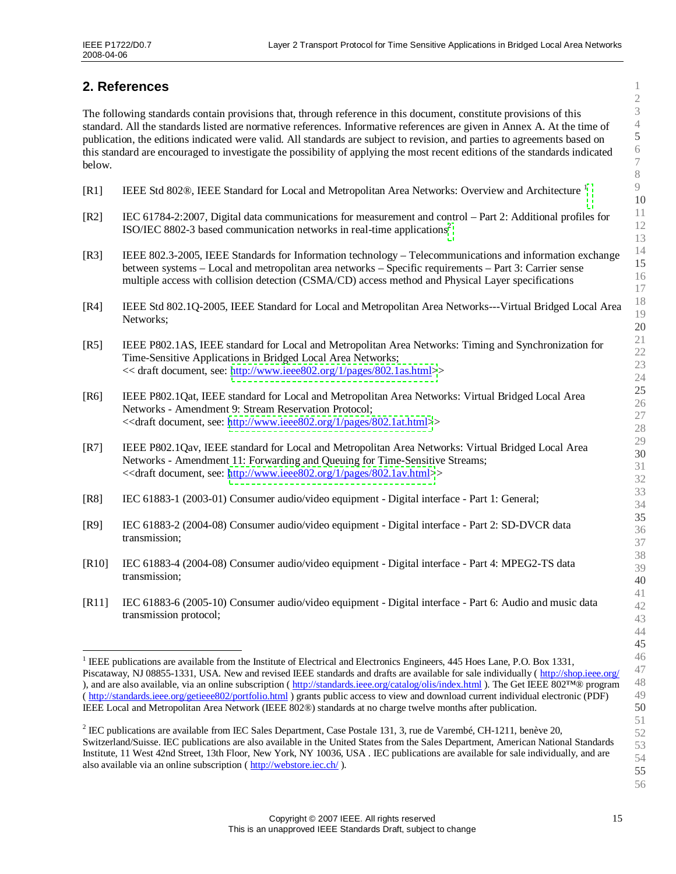# <span id="page-14-0"></span>**2. References**

The following standards contain provisions that, through reference in this document, constitute provisions of this standard. All the standards listed are normative references. Informative references are given in Annex A. At the time of publication, the editions indicated were valid. All standards are subject to revision, and parties to agreements based on this standard are encouraged to investigate the possibility of applying the most recent editions of the standards indicated below.

- [R[1](#page-14-1)] IEEE Std 802®, IEEE Standard for Local and Metropolitan Area Networks: Overview and Architecture <sup>1</sup>
- [R2] IEC 61784-2:2007, Digital data communications for measurement and control –Part 2: Additional profiles for ISO/IEC 8802-3 based communication networks in real-time applications[2](#page-14-2)
- [R3] IEEE 802.3-2005, IEEE Standards for Information technology –Telecommunications and information exchange between systems – Local and metropolitan area networks – Specific requirements – Part 3: Carrier sense multiple access with collision detection (CSMA/CD) access method and Physical Layer specifications
- [R4] IEEE Std 802.1Q-2005, IEEE Standard for Local and Metropolitan Area Networks---Virtual Bridged Local Area Networks;
- [R5] IEEE P802.1AS, IEEE standard for Local and Metropolitan Area Networks: Timing and Synchronization for Time-Sensitive Applications in Bridged Local Area Networks; << draft document, see: [http://www.ieee802.org/1/pages/802.1as.html>](http://www.ieee802.org/1/pages/802.1as.html)>
- [R6] IEEE P802.1Qat, IEEE standard for Local and Metropolitan Area Networks: Virtual Bridged Local Area Networks - Amendment 9: Stream Reservation Protocol; <<draft document, see: [http://www.ieee802.org/1/pages/802.1at.html>](http://www.ieee802.org/1/pages/802.1at.html)>
- [R7] IEEE P802.1Qav, IEEE standard for Local and Metropolitan Area Networks: Virtual Bridged Local Area Networks - Amendment 11: Forwarding and Queuing for Time-Sensitive Streams; <<draft document, see: [http://www.ieee802.org/1/pages/802.1av.html>](http://www.ieee802.org/1/pages/802.1av.html)>
- [R8] IEC 61883-1 (2003-01) Consumer audio/video equipment Digital interface Part 1: General;
- [R9] IEC 61883-2 (2004-08) Consumer audio/video equipment Digital interface Part 2: SD-DVCR data transmission;
- [R10] IEC 61883-4 (2004-08) Consumer audio/video equipment Digital interface Part 4: MPEG2-TS data transmission;
- [R11] IEC 61883-6 (2005-10) Consumer audio/video equipment Digital interface Part 6: Audio and music data transmission protocol;

<span id="page-14-1"></span><sup>1</sup> IEEE publications are available from the Institute of Electrical and Electronics Engineers, 445 Hoes Lane, P.O. Box 1331, Piscataway, NJ 08855-1331, USA. New and revised IEEE standards and drafts are available for sale individually ( http://shop.ieee.org/ ), and are also available, via an online subscription ( http://standards.ieee.org/catalog/olis/index.html ). The Get IEEE 802™® program ( http://standards.ieee.org/getieee802/portfolio.html ) grants public access to view and download current individual electronic (PDF) IEEE Local and Metropolitan Area Network (IEEE 802®) standards at no charge twelve months after publication.

<span id="page-14-2"></span><sup>2</sup> IEC publications are available from IEC Sales Department, Case Postale 131, 3, rue de Varembé, CH-1211, benève 20, Switzerland/Suisse. IEC publications are also available in the United States from the Sales Department, American National Standards Institute, 11 West 42nd Street, 13th Floor, New York, NY 10036, USA . IEC publications are available for sale individually, and are also available via an online subscription ( http://webstore.iec.ch/ ).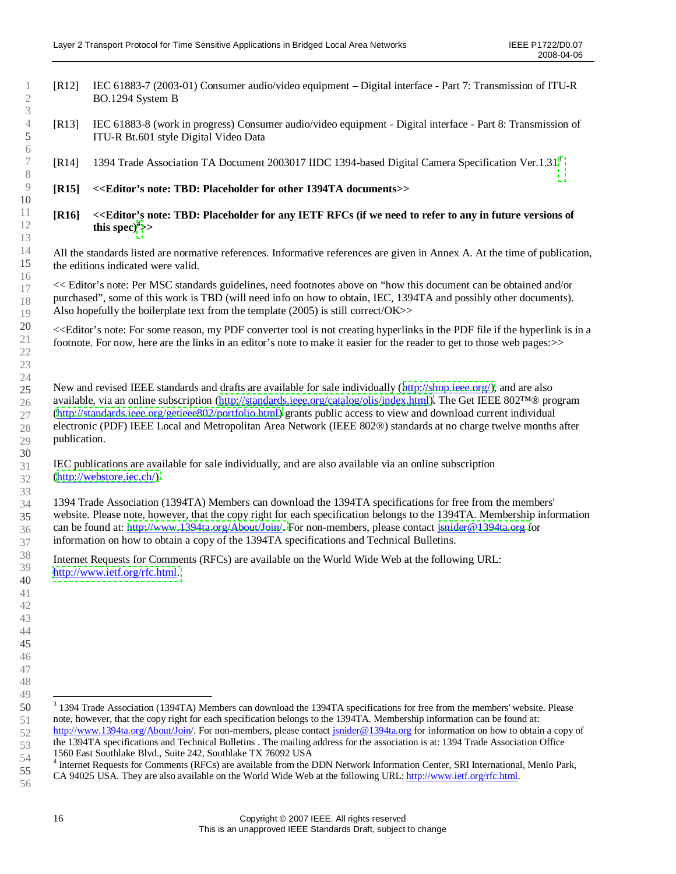- [R12] IEC 61883-7 (2003-01) Consumer audio/video equipment –Digital interface Part 7: Transmission of ITU-R BO.1294 System B
- [R13] IEC 61883-8 (work in progress) Consumer audio/video equipment Digital interface Part 8: Transmission of ITU-R Bt.601 style Digital Video Data
- [R14] 1394 Trade Association TA Document 2003017 IIDC 1394-based Digital Camera Specification Ver.1.31[3](#page-15-0)

#### **[R15] <<Editor's note: TBD: Placeholder for other 1394TA documents>>**

**[R16] <<Editor's note: TBD: Placeholder for any IETF RFCs (if we need to refer to any in future versions of this** $\text{spec}$ <sup>4</sup> $>>$ 

All the standards listed are normative references. Informative references are given in Annex A. At the time of publication, the editions indicated were valid.

<< Editor's note: Per MSC standards guidelines, need footnotes above on "how this document can be obtained and/or purchased", some of this work is TBD (will need info on how to obtain, IEC, 1394TA and possibly other documents). Also hopefully the boilerplate text from the template (2005) is still correct/OK>>

<<Editor's note: For some reason, my PDF converter tool is not creating hyperlinks in the PDF file if the hyperlink is in a footnote. For now, here are the links in an editor's note to make it easier for the reader to get to those web pages:>>

New and revised IEEE standards and drafts are available for sale individually([http://shop.ieee.org/\),](http://shop.ieee.org/) and are also available, via an online subscription([http://standards.ieee.org/catalog/olis/index.html\).](http://standards.ieee.org/catalog/olis/index.html) The Get IEEE 802™® program [\(http://standards.ieee.org/getieee802/portfolio.html\)](http://standards.ieee.org/getieee802/portfolio.html) grants public access to view and download current individual electronic (PDF) IEEE Local and Metropolitan Area Network (IEEE 802®) standards at no charge twelve months after publication.

IEC publications are available for sale individually, and are also available via an online subscription [\(http://webstore.iec.ch/\).](http://webstore.iec.ch/)

1394 Trade Association (1394TA) Members can download the 1394TA specifications for free from the members' website. Please note, however, that the copy right for each specification belongs to the 1394TA. Membership information can be found at: [http://www.1394ta.org/About/Join/.](http://www.1394ta.org/About/Join/) For non-members, please contact [jsnider@1394ta.org](mailto:jsnider@1394ta.org) for information on how to obtain a copy of the 1394TA specifications and Technical Bulletins.

Internet Requests for Comments (RFCs) are available on the World Wide Web at the following URL: [http://www.ietf.org/rfc.html.](http://www.ietf.org/rfc.html)

<span id="page-15-0"></span><sup>&</sup>lt;sup>3</sup> 1394 Trade Association (1394TA) Members can download the 1394TA specifications for free from the members' website. Please note, however, that the copy right for each specification belongs to the 1394TA. Membership information can be found at: http://www.1394ta.org/About/Join/. For non-members, please contact jsnider@1394ta.org for information on how to obtain a copy of the 1394TA specifications and Technical Bulletins . The mailing address for the association is at: 1394 Trade Association Office

<sup>1560</sup> East Southlake Blvd., Suite 242, Southlake TX 76092 USA

<span id="page-15-1"></span>Internet Requests for Comments (RFCs) are available from the DDN Network Information Center, SRI International, Menlo Park,

CA 94025 USA. They are also available on the World Wide Web at the following URL: http://www.ietf.org/rfc.html.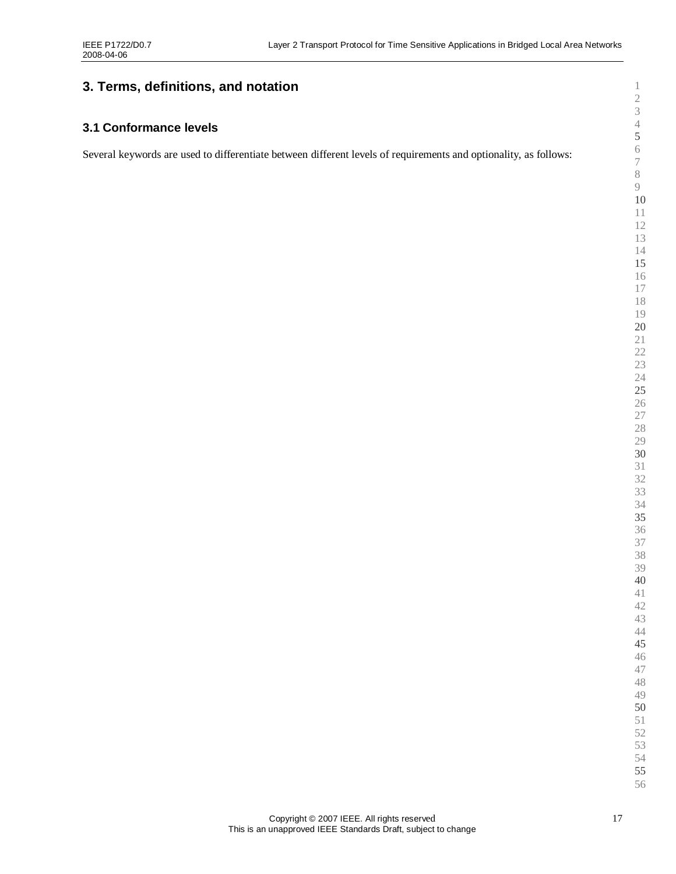# <span id="page-16-1"></span><span id="page-16-0"></span>**3. Terms, definitions, and notation**

# **3.1 Conformance levels**

Several keywords are used to differentiate between different levels of requirements and optionality, as follows: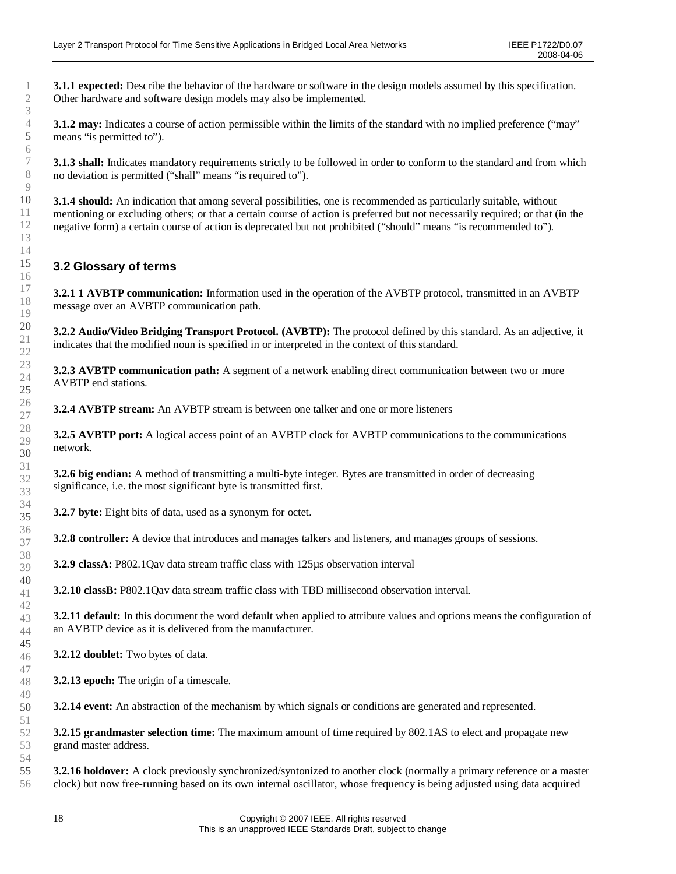<span id="page-17-0"></span>**3.1.1 expected:** Describe the behavior of the hardware or software in the design models assumed by this specification. Other hardware and software design models may also be implemented.

**3.1.2** may: Indicates a course of action permissible within the limits of the standard with no implied preference ("may" means "is permitted to").

**3.1.3 shall:** Indicates mandatory requirements strictly to be followed in order to conform to the standard and from which no deviation is permitted ("shall" means "is required to").

**3.1.4 should:** An indication that among several possibilities, one is recommended as particularly suitable, without mentioning or excluding others; or that a certain course of action is preferred but not necessarily required; or that (in the negative form) a certain course of action is deprecated but not prohibited ("should"means "is recommended to").

# **3.2 Glossary of terms**

**3.2.1 1 AVBTP communication:** Information used in the operation of the AVBTP protocol, transmitted in an AVBTP message over an AVBTP communication path.

**3.2.2 Audio/Video Bridging Transport Protocol. (AVBTP):** The protocol defined by this standard. As an adjective, it indicates that the modified noun is specified in or interpreted in the context of this standard.

**3.2.3 AVBTP communication path:** A segment of a network enabling direct communication between two or more AVBTP end stations.

**3.2.4 AVBTP stream:** An AVBTP stream is between one talker and one or more listeners

**3.2.5 AVBTP port:** A logical access point of an AVBTP clock for AVBTP communications to the communications network.

**3.2.6 big endian:** A method of transmitting a multi-byte integer. Bytes are transmitted in order of decreasing significance, i.e. the most significant byte is transmitted first.

**3.2.7 byte:** Eight bits of data, used as a synonym for octet.

**3.2.8 controller:** A device that introduces and manages talkers and listeners, and manages groups of sessions.

**3.2.9 classA:** P802.1Qav data stream traffic class with 125µs observation interval

**3.2.10 classB:** P802.1Qav data stream traffic class with TBD millisecond observation interval.

**3.2.11 default:** In this document the word default when applied to attribute values and options means the configuration of an AVBTP device as it is delivered from the manufacturer.

**3.2.12 doublet:** Two bytes of data.

**3.2.13 epoch:** The origin of a timescale.

**3.2.14 event:** An abstraction of the mechanism by which signals or conditions are generated and represented.

**3.2.15 grandmaster selection time:** The maximum amount of time required by 802.1AS to elect and propagate new grand master address.

**3.2.16 holdover:** A clock previously synchronized/syntonized to another clock (normally a primary reference or a master clock) but now free-running based on its own internal oscillator, whose frequency is being adjusted using data acquired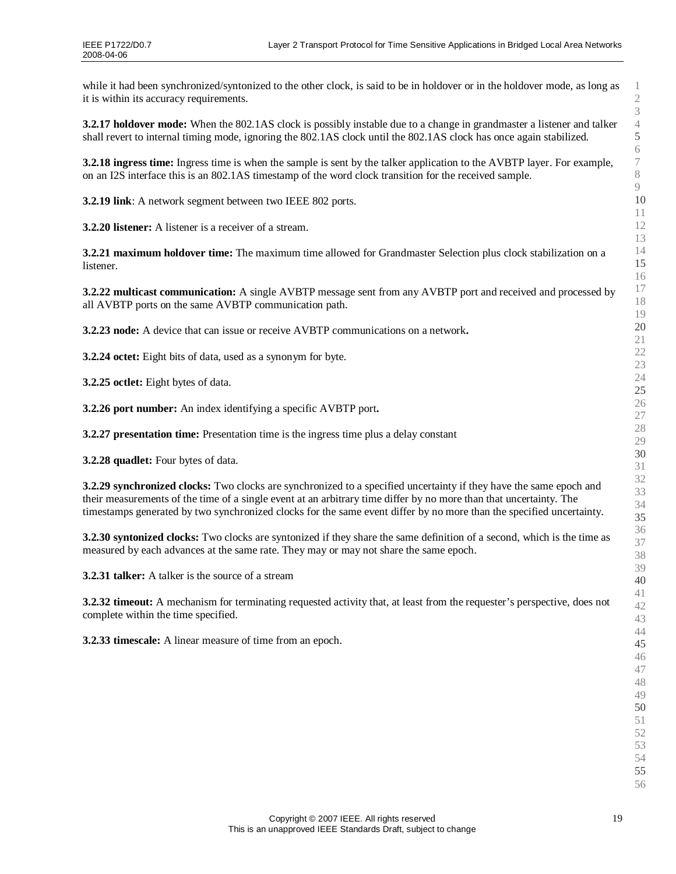while it had been synchronized/syntonized to the other clock, is said to be in holdover or in the holdover mode, as long as it is within its accuracy requirements.

**3.2.17 holdover mode:** When the 802.1AS clock is possibly instable due to a change in grandmaster a listener and talker shall revert to internal timing mode, ignoring the 802.1AS clock until the 802.1AS clock has once again stabilized.

**3.2.18 ingress time:** Ingress time is when the sample is sent by the talker application to the AVBTP layer. For example, on an I2S interface this is an 802.1AS timestamp of the word clock transition for the received sample.

**3.2.19 link**: A network segment between two IEEE 802 ports.

**3.2.20 listener:** A listener is a receiver of a stream.

**3.2.21 maximum holdover time:** The maximum time allowed for Grandmaster Selection plus clock stabilization on a listener.

**3.2.22 multicast communication:** A single AVBTP message sent from any AVBTP port and received and processed by all AVBTP ports on the same AVBTP communication path.

**3.2.23 node:** A device that can issue or receive AVBTP communications on a network**.**

**3.2.24 octet:** Eight bits of data, used as a synonym for byte.

**3.2.25 octlet:** Eight bytes of data.

**3.2.26 port number:** An index identifying a specific AVBTP port**.**

**3.2.27 presentation time:** Presentation time is the ingress time plus a delay constant

**3.2.28 quadlet:** Four bytes of data.

**3.2.29 synchronized clocks:** Two clocks are synchronized to a specified uncertainty if they have the same epoch and their measurements of the time of a single event at an arbitrary time differ by no more than that uncertainty. The timestamps generated by two synchronized clocks for the same event differ by no more than the specified uncertainty.

**3.2.30 syntonized clocks:** Two clocks are syntonized if they share the same definition of a second, which is the time as measured by each advances at the same rate. They may or may not share the same epoch.

**3.2.31 talker:** A talker is the source of a stream

**3.2.32 timeout:** A mechanism for terminating requested activity that, at least from the requester's perspective, does not complete within the time specified.

**3.2.33 timescale:** A linear measure of time from an epoch.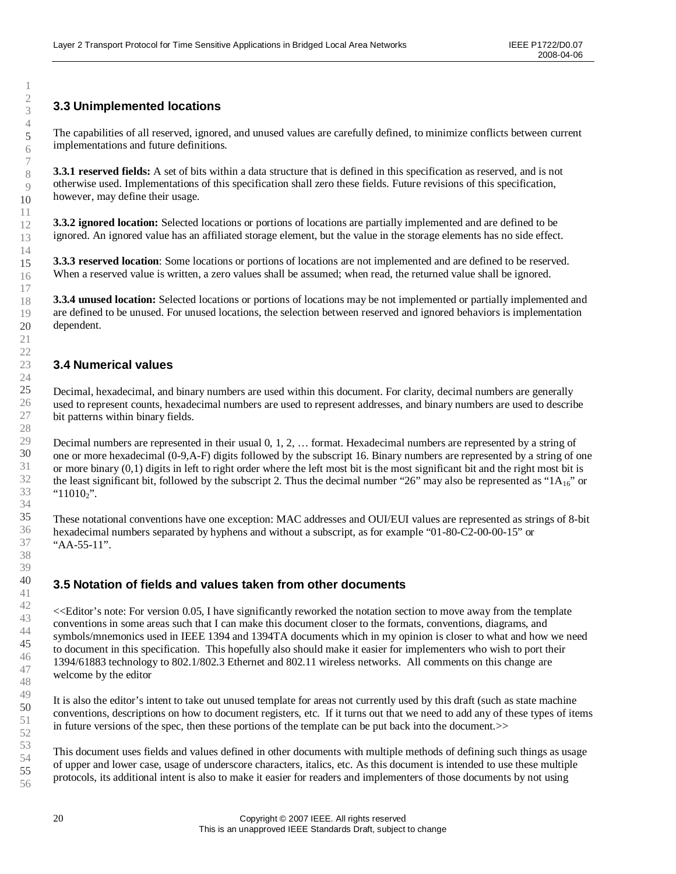# <span id="page-19-1"></span><span id="page-19-0"></span>**3.3 Unimplemented locations**

The capabilities of all reserved, ignored, and unused values are carefully defined, to minimize conflicts between current implementations and future definitions.

**3.3.1 reserved fields:** A set of bits within a data structure that is defined in this specification as reserved, and is not otherwise used. Implementations of this specification shall zero these fields. Future revisions of this specification, however, may define their usage.

**3.3.2 ignored location:** Selected locations or portions of locations are partially implemented and are defined to be ignored. An ignored value has an affiliated storage element, but the value in the storage elements has no side effect.

**3.3.3 reserved location**: Some locations or portions of locations are not implemented and are defined to be reserved. When a reserved value is written, a zero values shall be assumed; when read, the returned value shall be ignored.

**3.3.4 unused location:** Selected locations or portions of locations may be not implemented or partially implemented and are defined to be unused. For unused locations, the selection between reserved and ignored behaviors is implementation dependent.

# **3.4 Numerical values**

Decimal, hexadecimal, and binary numbers are used within this document. For clarity, decimal numbers are generally used to represent counts, hexadecimal numbers are used to represent addresses, and binary numbers are used to describe bit patterns within binary fields.

Decimal numbers are represented in their usual 0, 1, 2, … format. Hexadecimal numbers are represented by a string of one or more hexadecimal (0-9,A-F) digits followed by the subscript 16. Binary numbers are represented by a string of one or more binary (0,1) digits in left to right order where the left most bit is the most significant bit and the right most bit is the least significant bit, followed by the subscript 2. Thus the decimal number "26" may also be represented as " $1A_{16}$ " or " $11010_2$ ".

These notational conventions have one exception: MAC addresses and OUI/EUI values are represented as strings of 8-bit hexadecimal numbers separated by hyphens and without a subscript, as for example "01-80-C2-00-00-15" or "AA-55-11".

# **3.5 Notation of fields and values taken from other documents**

<<Editor's note: For version 0.05, I have significantly reworked the notation section to move away from the template conventions in some areas such that I can make this document closer to the formats, conventions, diagrams, and symbols/mnemonics used in IEEE 1394 and 1394TA documents which in my opinion is closer to what and how we need to document in this specification. This hopefully also should make it easier for implementers who wish to port their 1394/61883 technology to 802.1/802.3 Ethernet and 802.11 wireless networks. All comments on this change are welcome by the editor

It is also the editor's intent to take out unused template for areas not currently used by this draft (such as state machine conventions, descriptions on how to document registers, etc. If it turns out that we need to add any of these types of items in future versions of the spec, then these portions of the template can be put back into the document.>>

This document uses fields and values defined in other documents with multiple methods of defining such things as usage of upper and lower case, usage of underscore characters, italics, etc. As this document is intended to use these multiple protocols, its additional intent is also to make it easier for readers and implementers of those documents by not using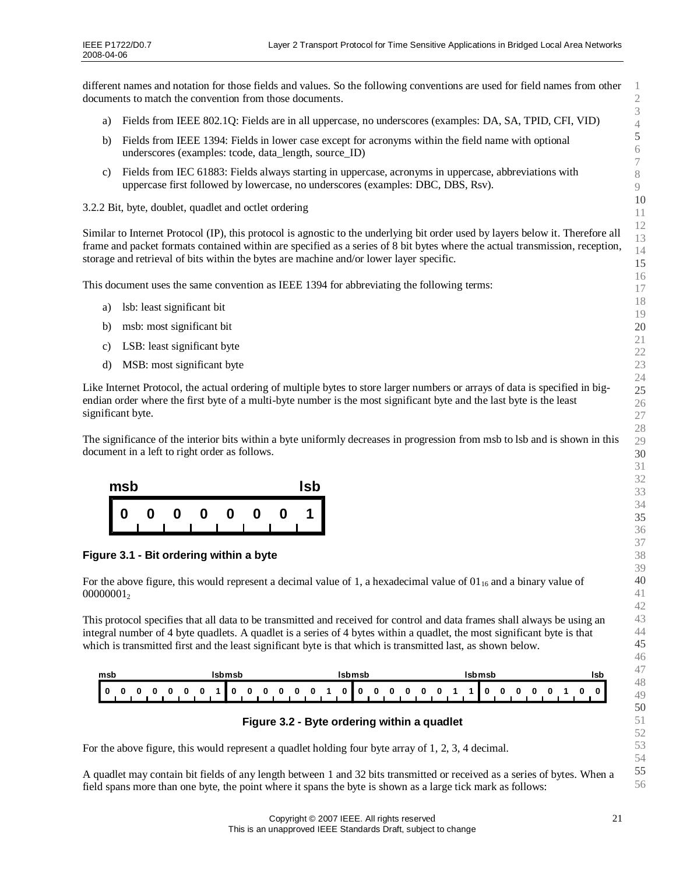<span id="page-20-0"></span>different names and notation for those fields and values. So the following conventions are used for field names from other documents to match the convention from those documents.

- <span id="page-20-1"></span>a) Fields from IEEE 802.1Q: Fields are in all uppercase, no underscores (examples: DA, SA, TPID, CFI, VID)
- b) Fields from IEEE 1394: Fields in lower case except for acronyms within the field name with optional underscores (examples: tcode, data\_length, source\_ID)
- c) Fields from IEC 61883: Fields always starting in uppercase, acronyms in uppercase, abbreviations with uppercase first followed by lowercase, no underscores (examples: DBC, DBS, Rsv).

3.2.2 Bit, byte, doublet, quadlet and octlet ordering

Similar to Internet Protocol (IP), this protocol is agnostic to the underlying bit order used by layers below it. Therefore all frame and packet formats contained within are specified as a series of 8 bit bytes where the actual transmission, reception, storage and retrieval of bits within the bytes are machine and/or lower layer specific.

This document uses the same convention as IEEE 1394 for abbreviating the following terms:

- a) lsb: least significant bit
- b) msb: most significant bit
- c) LSB: least significant byte
- d) MSB: most significant byte

Like Internet Protocol, the actual ordering of multiple bytes to store larger numbers or arrays of data is specified in bigendian order where the first byte of a multi-byte number is the most significant byte and the last byte is the least significant byte.

The significance of the interior bits within a byte uniformly decreases in progression from msb to lsb and is shown in this document in a left to right order as follows.



**Figure 3.1 - Bit ordering within a byte**

For the above figure, this would represent a decimal value of 1, a hexadecimal value of  $01_{16}$  and a binary value of 

This protocol specifies that all data to be transmitted and received for control and data frames shall always be using an integral number of 4 byte quadlets. A quadlet is a series of 4 bytes within a quadlet, the most significant byte is that which is transmitted first and the least significant byte is that which is transmitted last, as shown below.

| msb                   | Isbmsb<br>Isbmsb                                                             |                                                    | Isbmsb      | Isb |
|-----------------------|------------------------------------------------------------------------------|----------------------------------------------------|-------------|-----|
| H<br>0<br>0<br>0<br>o | $\overline{\mathbf{0}}$ is<br>- 0<br>0<br>$\Omega$<br>$\mathbf{0}$<br>0<br>o | - 0<br>$\mathbf{0}$<br>$\mathbf{0}$<br>0<br>0<br>0 | 0<br>o<br>0 |     |

#### **Figure 3.2 - Byte ordering within a quadlet**

For the above figure, this would represent a quadlet holding four byte array of 1, 2, 3, 4 decimal.

A quadlet may contain bit fields of any length between 1 and 32 bits transmitted or received as a series of bytes. When a field spans more than one byte, the point where it spans the byte is shown as a large tick mark as follows: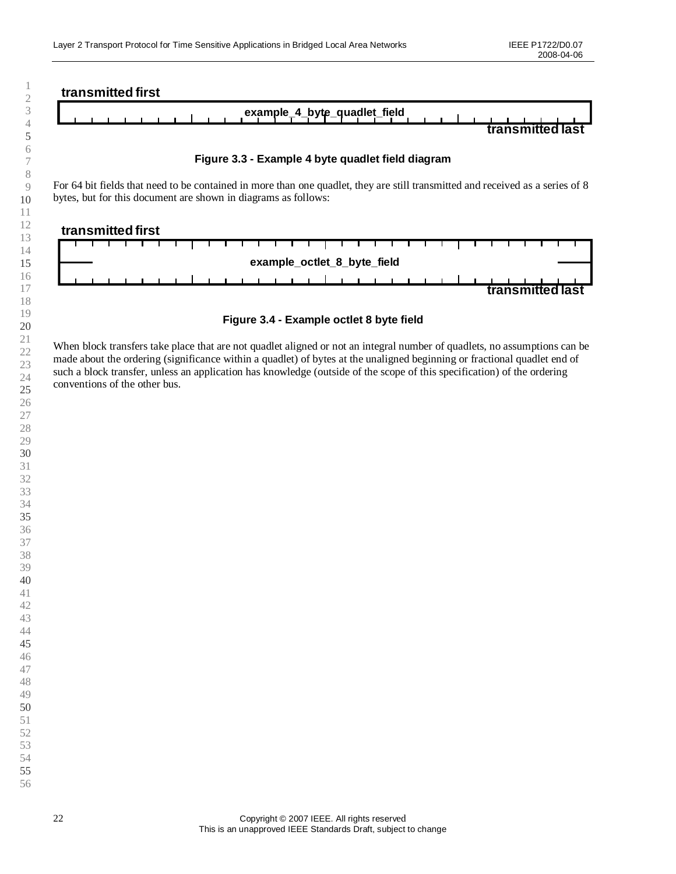

<span id="page-21-1"></span><span id="page-21-0"></span>

For 64 bit fields that need to be contained in more than one quadlet, they are still transmitted and received as a series of 8 bytes, but for this document are shown in diagrams as follows:



**Figure 3.4 - Example octlet 8 byte field**

When block transfers take place that are not quadlet aligned or not an integral number of quadlets, no assumptions can be made about the ordering (significance within a quadlet) of bytes at the unaligned beginning or fractional quadlet end of such a block transfer, unless an application has knowledge (outside of the scope of this specification) of the ordering conventions of the other bus.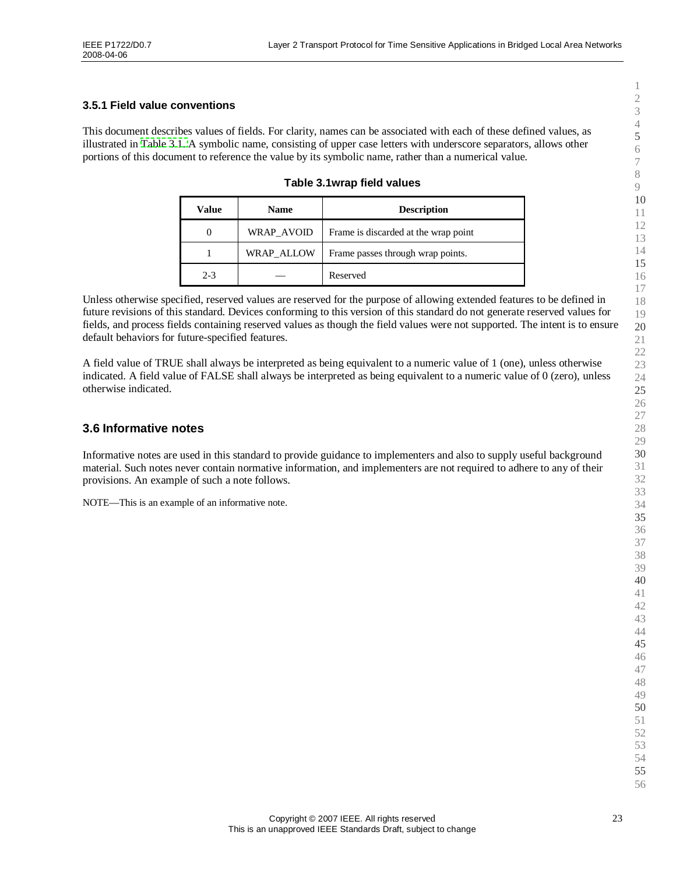#### <span id="page-22-1"></span><span id="page-22-0"></span>**3.5.1 Field value conventions**

This document describes values of fields. For clarity, names can be associated with each of these defined values, as illustrated in [Table](#page-22-3) 3.1. A symbolic name, consisting of upper case letters with underscore separators, allows other portions of this document to reference the value by its symbolic name, rather than a numerical value.

<span id="page-22-3"></span><span id="page-22-2"></span>

| Table 3.1wrap field values |  |
|----------------------------|--|
|----------------------------|--|

| Value   | <b>Name</b> | <b>Description</b>                   |
|---------|-------------|--------------------------------------|
|         | WRAP AVOID  | Frame is discarded at the wrap point |
|         | WRAP ALLOW  | Frame passes through wrap points.    |
| $2 - 3$ |             | Reserved                             |

Unless otherwise specified, reserved values are reserved for the purpose of allowing extended features to be defined in future revisions of this standard. Devices conforming to this version of this standard do not generate reserved values for fields, and process fields containing reserved values as though the field values were not supported. The intent is to ensure default behaviors for future-specified features.

A field value of TRUE shall always be interpreted as being equivalent to a numeric value of 1 (one), unless otherwise indicated. A field value of FALSE shall always be interpreted as being equivalent to a numeric value of 0 (zero), unless otherwise indicated.

## **3.6 Informative notes**

Informative notes are used in this standard to provide guidance to implementers and also to supply useful background material. Such notes never contain normative information, and implementers are not required to adhere to any of their provisions. An example of such a note follows.

NOTE— This is an example of an informative note.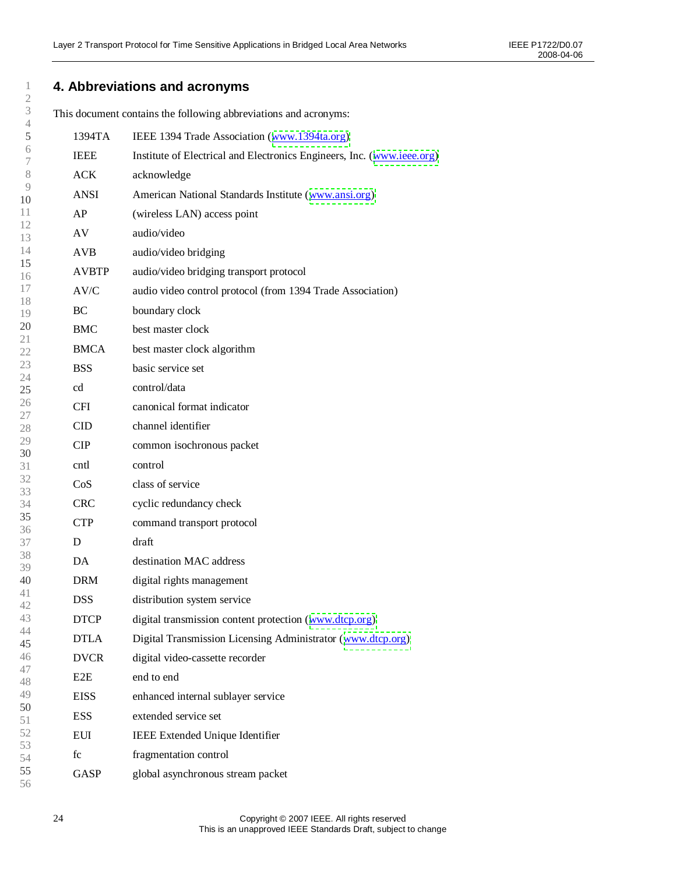# <span id="page-23-0"></span>**4. Abbreviations and acronyms**

This document contains the following abbreviations and acronyms:

| 5            | 1394TA       | IEEE 1394 Trade Association (www.1394ta.org)                           |
|--------------|--------------|------------------------------------------------------------------------|
| 6<br>7       | <b>IEEE</b>  | Institute of Electrical and Electronics Engineers, Inc. (www.ieee.org) |
| 8            | <b>ACK</b>   | acknowledge                                                            |
| 9<br>10      | <b>ANSI</b>  | American National Standards Institute (www.ansi.org)                   |
| 11           | AP           | (wireless LAN) access point                                            |
| 12<br>13     | AV           | audio/video                                                            |
| 14           | <b>AVB</b>   | audio/video bridging                                                   |
| 15<br>16     | <b>AVBTP</b> | audio/video bridging transport protocol                                |
| 17           | AV/C         | audio video control protocol (from 1394 Trade Association)             |
| 18<br>19     | BC           | boundary clock                                                         |
| 20           | <b>BMC</b>   | best master clock                                                      |
| 21<br>22     | <b>BMCA</b>  | best master clock algorithm                                            |
| 23<br>24     | <b>BSS</b>   | basic service set                                                      |
| 25           | cd           | control/data                                                           |
| 26<br>$27\,$ | <b>CFI</b>   | canonical format indicator                                             |
| 28           | <b>CID</b>   | channel identifier                                                     |
| 29<br>30     | <b>CIP</b>   | common isochronous packet                                              |
| 31           | cntl         | control                                                                |
| 32<br>33     | CoS          | class of service                                                       |
| 34           | <b>CRC</b>   | cyclic redundancy check                                                |
| 35<br>36     | <b>CTP</b>   | command transport protocol                                             |
| 37           | D            | draft                                                                  |
| 38<br>39     | DA           | destination MAC address                                                |
| 40           | <b>DRM</b>   | digital rights management                                              |
| 41<br>42     | <b>DSS</b>   | distribution system service                                            |
| 43           | <b>DTCP</b>  | digital transmission content protection (www.dtcp.org)                 |
| 44<br>45     | <b>DTLA</b>  | Digital Transmission Licensing Administrator (www.dtcp.org)            |
| 46           | <b>DVCR</b>  | digital video-cassette recorder                                        |
| 47<br>48     | E2E          | end to end                                                             |
| 49<br>50     | <b>EISS</b>  | enhanced internal sublayer service                                     |
| 51           | <b>ESS</b>   | extended service set                                                   |
| 52<br>53     | EUI          | IEEE Extended Unique Identifier                                        |
| 54           | fc           | fragmentation control                                                  |
| 55<br>56     | GASP         | global asynchronous stream packet                                      |
|              |              |                                                                        |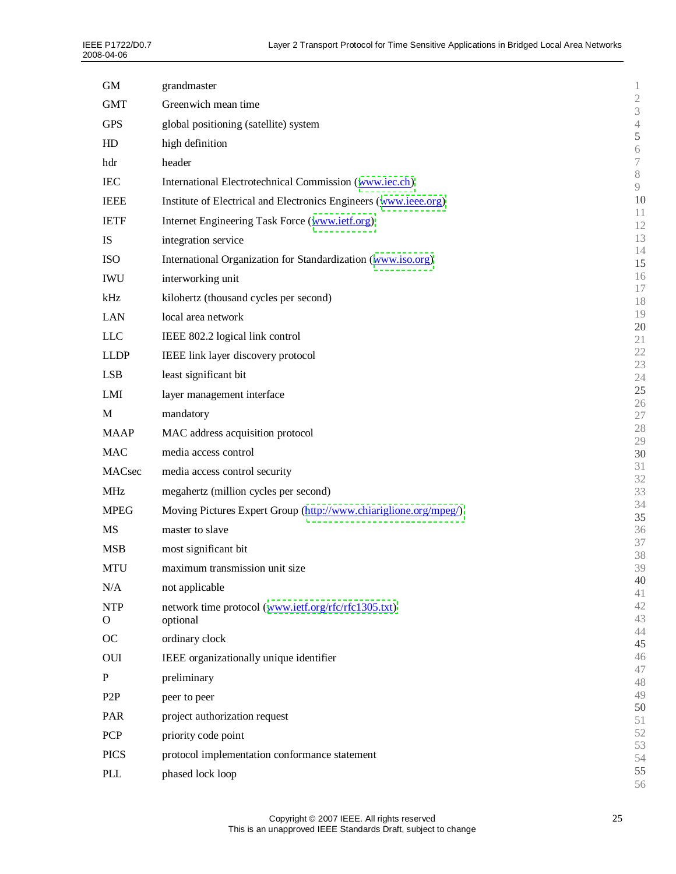| <b>GM</b>        | grandmaster                                                      | 1                                |
|------------------|------------------------------------------------------------------|----------------------------------|
| <b>GMT</b>       | Greenwich mean time                                              | $\mathfrak{2}$<br>$\mathfrak{Z}$ |
| <b>GPS</b>       | global positioning (satellite) system                            | $\sqrt{4}$                       |
| HD               | high definition                                                  | 5                                |
| hdr              | header                                                           | $\sqrt{6}$<br>$\boldsymbol{7}$   |
| <b>IEC</b>       | International Electrotechnical Commission (www.iec.ch)           | $8\,$                            |
| <b>IEEE</b>      |                                                                  | 9<br>10                          |
|                  | Institute of Electrical and Electronics Engineers (www.ieee.org) | 11                               |
| <b>IETF</b>      | Internet Engineering Task Force (www.ietf.org)                   | 12                               |
| IS               | integration service                                              | 13<br>14                         |
| <b>ISO</b>       | International Organization for Standardization (www.iso.org)     | 15                               |
| <b>IWU</b>       | interworking unit                                                | 16<br>17                         |
| kHz              | kilohertz (thousand cycles per second)                           | 18                               |
| <b>LAN</b>       | local area network                                               | 19                               |
| <b>LLC</b>       | IEEE 802.2 logical link control                                  | 20<br>21                         |
| <b>LLDP</b>      | IEEE link layer discovery protocol                               | 22                               |
| <b>LSB</b>       | least significant bit                                            | 23<br>24                         |
| LMI              | layer management interface                                       | 25                               |
|                  |                                                                  | 26                               |
| M                | mandatory                                                        | $27\,$<br>28                     |
| <b>MAAP</b>      | MAC address acquisition protocol                                 | 29                               |
| <b>MAC</b>       | media access control                                             | 30<br>31                         |
| MACsec           | media access control security                                    | 32                               |
| <b>MHz</b>       | megahertz (million cycles per second)                            | 33                               |
| <b>MPEG</b>      | Moving Pictures Expert Group (http://www.chiariglione.org/mpeg/) | 34<br>35                         |
| <b>MS</b>        | master to slave                                                  | 36                               |
| <b>MSB</b>       | most significant bit                                             | 37<br>38                         |
| <b>MTU</b>       | maximum transmission unit size                                   | 39                               |
| N/A              | not applicable                                                   | 40                               |
| <b>NTP</b>       | network time protocol (www.ietf.org/rfc/rfc1305.txt)             | 41<br>42                         |
| $\mathbf{O}$     | optional                                                         | 43                               |
| OC               | ordinary clock                                                   | 44<br>45                         |
| OUI              | IEEE organizationally unique identifier                          | 46                               |
| $\mathbf P$      | preliminary                                                      | 47                               |
| P <sub>2</sub> P | peer to peer                                                     | 48<br>49                         |
|                  |                                                                  | 50                               |
| PAR              | project authorization request                                    | 51<br>52                         |
| <b>PCP</b>       | priority code point                                              | 53                               |
| <b>PICS</b>      | protocol implementation conformance statement                    | 54                               |
| PLL              | phased lock loop                                                 | 55<br>56                         |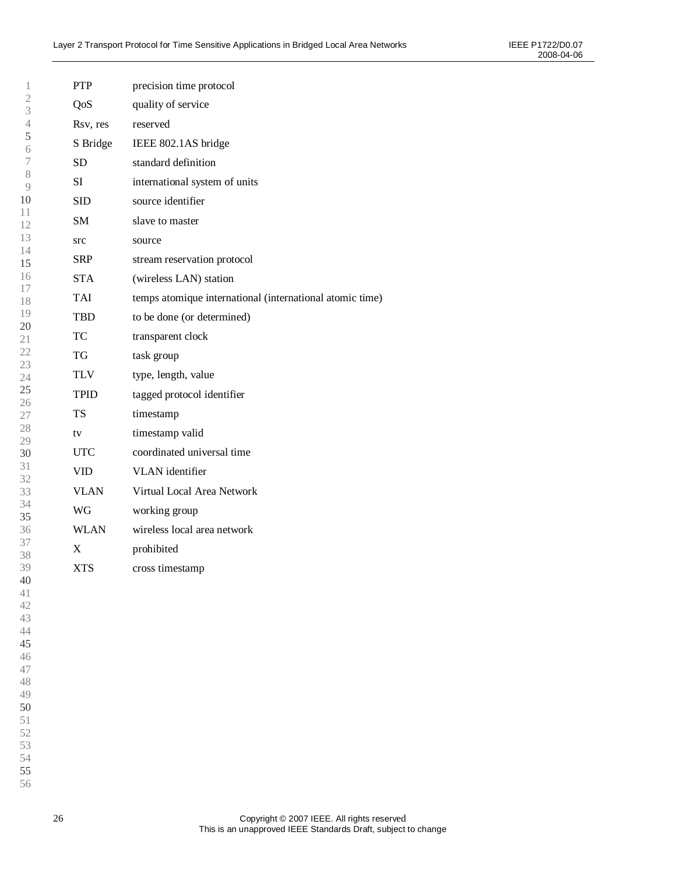| 1                   | <b>PTP</b>                | precision time protocol                                  |
|---------------------|---------------------------|----------------------------------------------------------|
| $\overline{2}$<br>3 | QoS                       | quality of service                                       |
| $\overline{4}$      | Rsv, res                  | reserved                                                 |
| 5<br>6              | S Bridge                  | IEEE 802.1AS bridge                                      |
| 7                   | SD.                       | standard definition                                      |
| 8<br>9              | SI                        | international system of units                            |
| 10                  | <b>SID</b>                | source identifier                                        |
| 11<br>12            | SM.                       | slave to master                                          |
| 13                  | src                       | source                                                   |
| 14<br>15            | <b>SRP</b>                | stream reservation protocol                              |
| 16                  | <b>STA</b>                | (wireless LAN) station                                   |
| 17<br>18            | <b>TAI</b>                | temps atomique international (international atomic time) |
| 19                  | TBD                       | to be done (or determined)                               |
| 20<br>21            | <b>TC</b>                 | transparent clock                                        |
| 22                  | TG                        | task group                                               |
| 23<br>24            | <b>TLV</b>                | type, length, value                                      |
| 25<br>26            | TPID                      | tagged protocol identifier                               |
| 27                  | <b>TS</b>                 | timestamp                                                |
| 28                  | tv                        | timestamp valid                                          |
| 29<br>30            | <b>UTC</b>                | coordinated universal time                               |
| 31<br>32            | <b>VID</b>                | VLAN identifier                                          |
| 33                  | <b>VLAN</b>               | Virtual Local Area Network                               |
| 34<br>35            | WG                        | working group                                            |
| 36                  | <b>WLAN</b>               | wireless local area network                              |
| 37<br>38            | $\boldsymbol{\mathrm{X}}$ | prohibited                                               |
| 39                  | <b>XTS</b>                | cross timestamp                                          |
| 40                  |                           |                                                          |
| 41<br>42            |                           |                                                          |
| 43                  |                           |                                                          |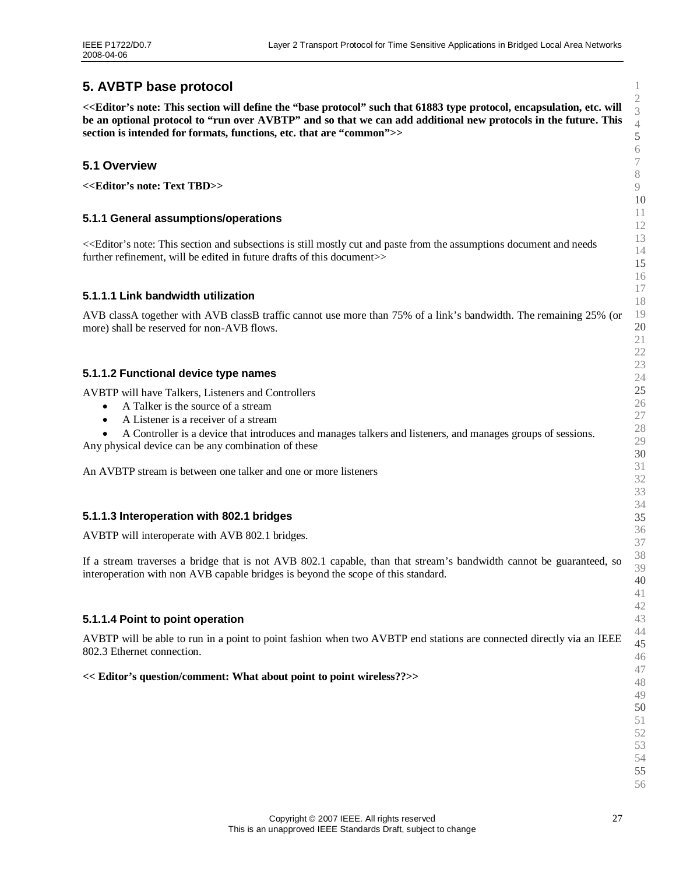# <span id="page-26-0"></span>**5. AVBTP base protocol**

<span id="page-26-2"></span><span id="page-26-1"></span>**<<Editor's note: This section will define the "base protocol"such that 61883 type protocol, encapsulation, etc. will be an optional protocol to "run over AVBTP"and so that we can add additional new protocols in the future. This section is intended for formats, functions, etc. that are "common">>**

# **5.1 Overview**

**<<Editor's note: Text TBD>>**

## **5.1.1 General assumptions/operations**

<<Editor's note: This section and subsections is still mostly cut and paste from the assumptions document and needs further refinement, will be edited in future drafts of this document  $\gg$ 

## **5.1.1.1 Link bandwidth utilization**

AVB classA together with AVB classB traffic cannot use more than 75% of a link's bandwidth. The remaining 25% (or more) shall be reserved for non-AVB flows.

## **5.1.1.2 Functional device type names**

AVBTP will have Talkers, Listeners and Controllers

- A Talker is the source of a stream
- A Listener is a receiver of a stream
- A Controller is a device that introduces and manages talkers and listeners, and manages groups of sessions.

Any physical device can be any combination of these

An AVBTP stream is between one talker and one or more listeners

#### **5.1.1.3 Interoperation with 802.1 bridges**

AVBTP will interoperate with AVB 802.1 bridges.

If a stream traverses a bridge that is not AVB 802.1 capable, than that stream's bandwidth cannot be guaranteed, so interoperation with non AVB capable bridges is beyond the scope of this standard.

#### **5.1.1.4 Point to point operation**

AVBTP will be able to run in a point to point fashion when two AVBTP end stations are connected directly via an IEEE 802.3 Ethernet connection.

#### **<< Editor's question/comment: What about point to point wireless??>>**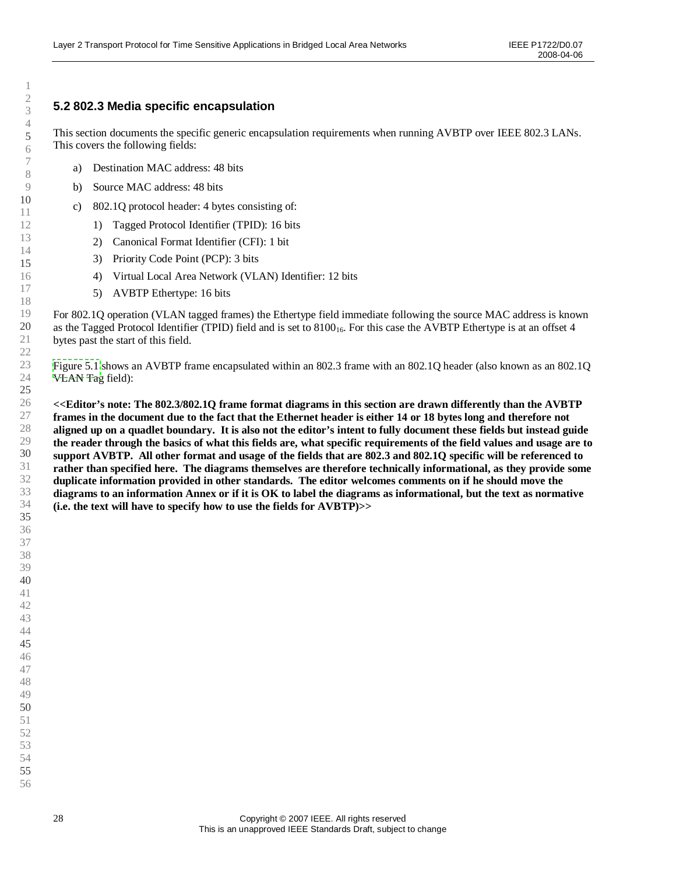# <span id="page-27-0"></span>**5.2 802.3 Media specific encapsulation**

This section documents the specific generic encapsulation requirements when running AVBTP over IEEE 802.3 LANs. This covers the following fields:

- a) Destination MAC address: 48 bits
- b) Source MAC address: 48 bits
- c) 802.1Q protocol header: 4 bytes consisting of:
	- 1) Tagged Protocol Identifier (TPID): 16 bits
	- 2) Canonical Format Identifier (CFI): 1 bit
	- 3) Priority Code Point (PCP): 3 bits
	- 4) Virtual Local Area Network (VLAN) Identifier: 12 bits
	- 5) AVBTP Ethertype: 16 bits

For 802.1Q operation (VLAN tagged frames) the Ethertype field immediate following the source MAC address is known as the Tagged Protocol Identifier (TPID) field and is set to  $8100<sub>16</sub>$ . For this case the AVBTP Ethertype is at an offset 4 bytes past the start of this field.

[Figure](#page-28-0) 5.1 shows an AVBTP frame encapsulated within an 802.3 frame with an 802.1Q header (also known as an 802.1Q VLAN Tag field):

**<<Editor's note: The 802.3/802.1Q frame format diagrams in this section are drawn differently than the AVBTP frames in the document due to the fact that the Ethernet header is either 14 or 18 bytes long and therefore not aligned up on a quadlet boundary. It is also not the editor's intent to fully document these fields but instead guide the reader through the basics of what this fields are, what specific requirements of the field values and usage are to support AVBTP. All other format and usage of the fields that are 802.3 and 802.1Q specific will be referenced to rather than specified here. The diagrams themselves are therefore technically informational, as they provide some duplicate information provided in other standards. The editor welcomes comments on if he should move the diagrams to an information Annex or if it is OK to label the diagrams as informational, but the text as normative (i.e. the text will have to specify how to use the fields for AVBTP)>>**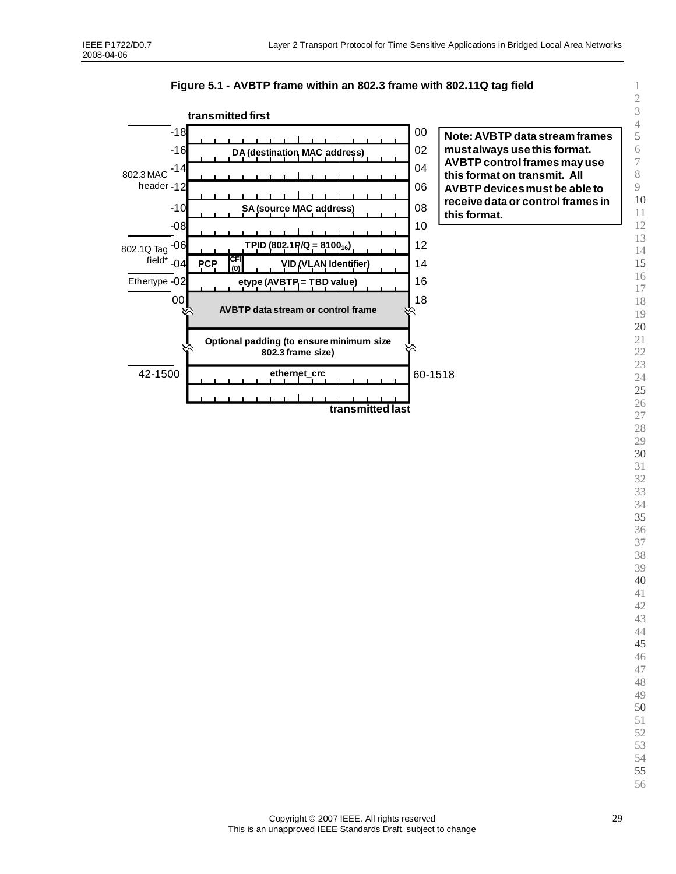

<span id="page-28-0"></span>**Figure 5.1 - AVBTP frame within an 802.3 frame with 802.11Q tag field**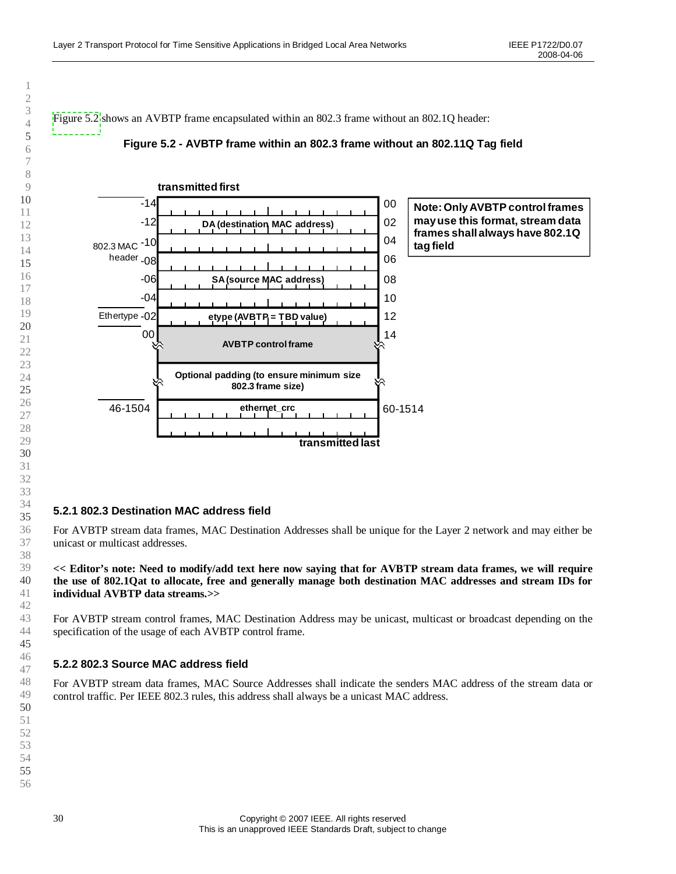<span id="page-29-0"></span>[Figure](#page-29-2) 5.2 shows an AVBTP frame encapsulated within an 802.3 frame without an 802.1Q header:

#### <span id="page-29-2"></span><span id="page-29-1"></span>**Figure 5.2 - AVBTP frame within an 802.3 frame without an 802.11Q Tag field**



#### **5.2.1 802.3 Destination MAC address field**

For AVBTP stream data frames, MAC Destination Addresses shall be unique for the Layer 2 network and may either be unicast or multicast addresses.

**<< Editor's note: Need to modify/add text here now saying that for AVBTP stream data frames, we will require the use of 802.1Qat to allocate, free and generally manage both destination MAC addresses and stream IDs for individual AVBTP data streams.>>**

For AVBTP stream control frames, MAC Destination Address may be unicast, multicast or broadcast depending on the specification of the usage of each AVBTP control frame.

## **5.2.2 802.3 Source MAC address field**

For AVBTP stream data frames, MAC Source Addresses shall indicate the senders MAC address of the stream data or control traffic. Per IEEE 802.3 rules, this address shall always be a unicast MAC address.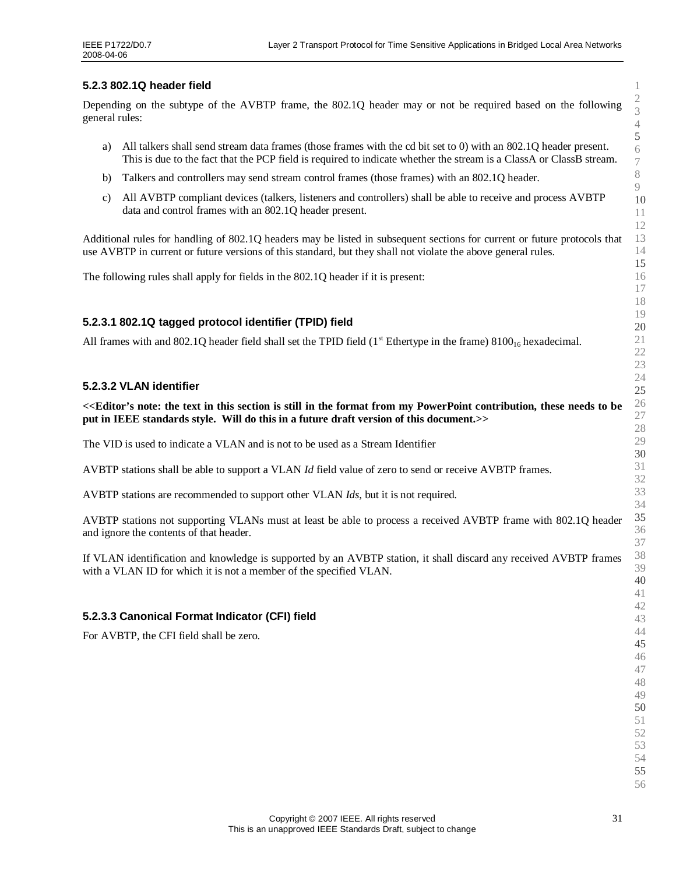### **5.2.3 802.1Q header field**

<span id="page-30-0"></span>Depending on the subtype of the AVBTP frame, the 802.1Q header may or not be required based on the following general rules:

- a) All talkers shall send stream data frames (those frames with the cd bit set to 0) with an 802.1Q header present. This is due to the fact that the PCP field is required to indicate whether the stream is a ClassA or ClassB stream.
- b) Talkers and controllers may send stream control frames (those frames) with an 802.1Q header.
- c) All AVBTP compliant devices (talkers, listeners and controllers) shall be able to receive and process AVBTP data and control frames with an 802.1Q header present.

Additional rules for handling of 802.1Q headers may be listed in subsequent sections for current or future protocols that use AVBTP in current or future versions of this standard, but they shall not violate the above general rules.

The following rules shall apply for fields in the 802.1Q header if it is present:

#### **5.2.3.1 802.1Q tagged protocol identifier (TPID) field**

All frames with and 802.1Q header field shall set the TPID field  $(1<sup>st</sup>$  Ethertype in the frame) 8100<sub>16</sub> hexadecimal.

#### **5.2.3.2 VLAN identifier**

**<<Editor's note: the text in this section is still in the format from my PowerPoint contribution, these needs to be put in IEEE standards style. Will do this in a future draft version of this document.>>**

The VID is used to indicate a VLAN and is not to be used as a Stream Identifier

AVBTP stations shall be able to support a VLAN *Id* field value of zero to send or receive AVBTP frames.

AVBTP stations are recommended to support other VLAN *Ids*, but it is not required.

AVBTP stations not supporting VLANs must at least be able to process a received AVBTP frame with 802.1Q header and ignore the contents of that header.

If VLAN identification and knowledge is supported by an AVBTP station, it shall discard any received AVBTP frames with a VLAN ID for which it is not a member of the specified VLAN.

#### **5.2.3.3 Canonical Format Indicator (CFI) field**

For AVBTP, the CFI field shall be zero.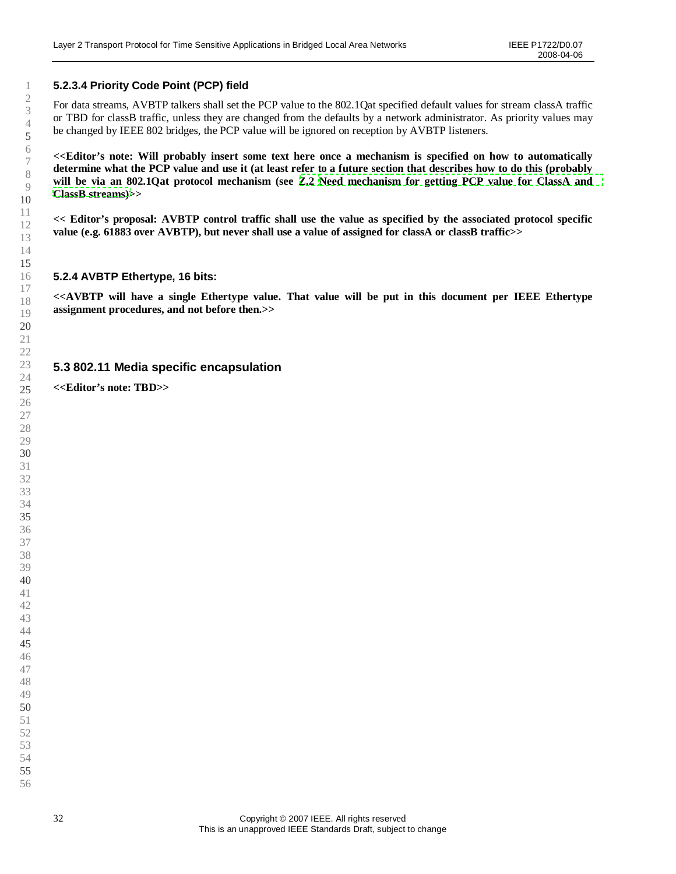## **5.2.3.4 Priority Code Point (PCP) field**

<span id="page-31-1"></span><span id="page-31-0"></span>For data streams, AVBTP talkers shall set the PCP value to the 802.1Qat specified default values for stream classA traffic or TBD for classB traffic, unless they are changed from the defaults by a network administrator. As priority values may be changed by IEEE 802 bridges, the PCP value will be ignored on reception by AVBTP listeners.

**<<Editor's note: Will probably insert some text here once a mechanism is specified on how to automatically determine what the PCP value and use it (at least refer to a future section that describes how to do this (probably will be via an 802.1Qat protocol mechanism (see [Z.2](#page-88-1) [Need mechanism for getting PCP value for](#page-88-1) ClassA and ClassB [streams\)>](#page-88-1)>**

**<< Editor's proposal: AVBTP control traffic shall use the value as specified by the associated protocol specific value (e.g. 61883 over AVBTP), but never shall use a value of assigned for classA or classB traffic>>**

#### **5.2.4 AVBTP Ethertype, 16 bits:**

**<<AVBTP will have a single Ethertype value. That value will be put in this document per IEEE Ethertype assignment procedures, and not before then.>>**

## **5.3 802.11 Media specific encapsulation**

**<<Editor's note: TBD>>**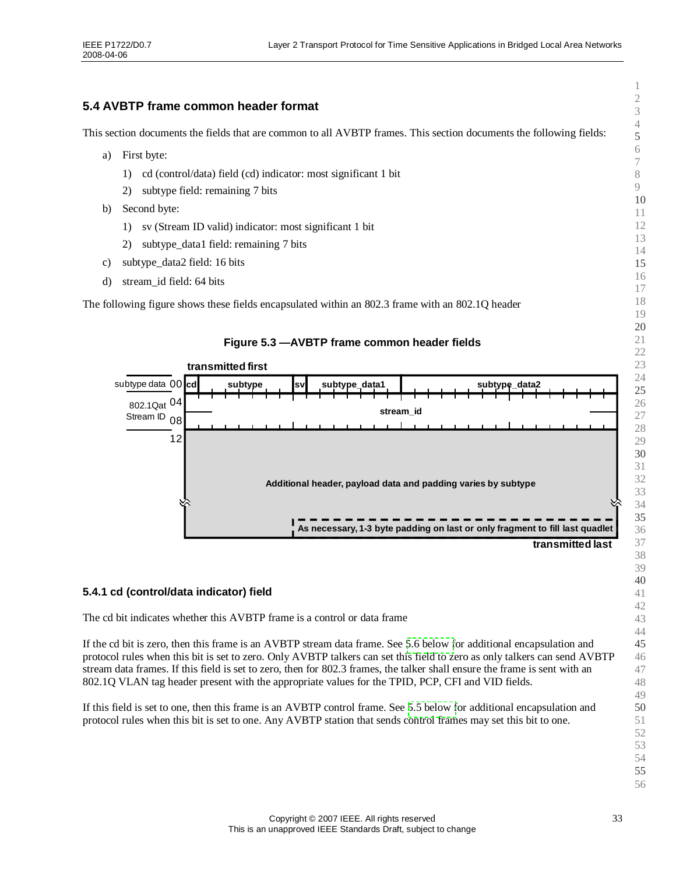# <span id="page-32-1"></span><span id="page-32-0"></span>**5.4 AVBTP frame common header format**

This section documents the fields that are common to all AVBTP frames. This section documents the following fields:

- <span id="page-32-2"></span>a) First byte:
	- 1) cd (control/data) field (cd) indicator: most significant 1 bit
	- 2) subtype field: remaining 7 bits
- b) Second byte:
	- 1) sv (Stream ID valid) indicator: most significant 1 bit
	- 2) subtype\_data1 field: remaining 7 bits
- c) subtype\_data2 field: 16 bits
- d) stream\_id field: 64 bits

The following figure shows these fields encapsulated within an 802.3 frame with an 802.1Q header



#### **5.4.1 cd (control/data indicator) field**

The cd bit indicates whether this AVBTP frame is a control or data frame

If the cd bit is zero, then this frame is an AVBTP stream data frame. See [5.6 below](#page-36-0) for additional encapsulation and protocol rules when this bit is set to zero. Only AVBTP talkers can set this field to zero as only talkers can send AVBTP stream data frames. If this field is set to zero, then for 802.3 frames, the talker shall ensure the frame is sent with an 802.1Q VLAN tag header present with the appropriate values for the TPID, PCP, CFI and VID fields.

If this field is set to one, then this frame is an AVBTP control frame. See [5.5 below](#page-35-0) for additional encapsulation and protocol rules when this bit is set to one. Any AVBTP station that sends control frames may set this bit to one.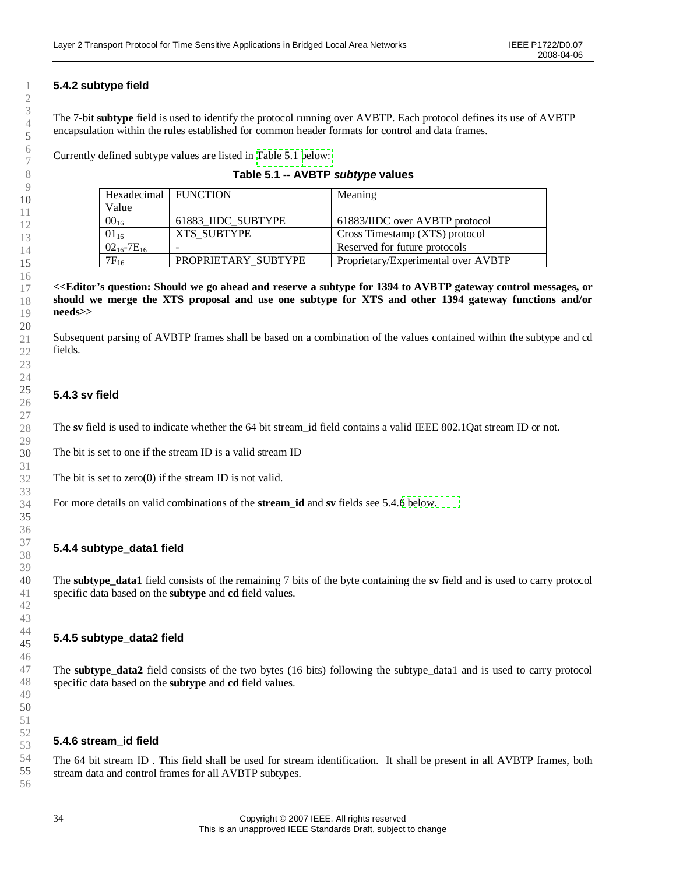# <span id="page-33-0"></span>**5.4.2 subtype field**

The 7-bit **subtype** field is used to identify the protocol running over AVBTP. Each protocol defines its use of AVBTP encapsulation within the rules established for common header formats for control and data frames.

Currently defined subtype values are listed in [Table](#page-33-2) 5.1 [below:](#page-33-2)

| Hexadecimal   FUNCTION |                          | Meaning                             |
|------------------------|--------------------------|-------------------------------------|
| Value                  |                          |                                     |
| $00_{16}$              | 61883 IIDC SUBTYPE       | 61883/IIDC over AVBTP protocol      |
| $01_{16}$              | XTS SUBTYPE              | Cross Timestamp (XTS) protocol      |
| $02_{16} - 7E_{16}$    | $\overline{\phantom{0}}$ | Reserved for future protocols       |
| $7F_{16}$              | PROPRIETARY SUBTYPE      | Proprietary/Experimental over AVBTP |

<span id="page-33-2"></span><span id="page-33-1"></span>

| Table 5.1 -- AVBTP subtype values |  |
|-----------------------------------|--|
|-----------------------------------|--|

**<<Editor's question: Should we go ahead and reserve a subtype for 1394 to AVBTP gateway control messages, or should we merge the XTS proposal and use one subtype for XTS and other 1394 gateway functions and/or needs>>**

Subsequent parsing of AVBTP frames shall be based on a combination of the values contained within the subtype and cd fields.

## **5.4.3 sv field**

The **sv** field is used to indicate whether the 64 bit stream id field contains a valid IEEE 802.1Qat stream ID or not.

The bit is set to one if the stream ID is a valid stream ID

The bit is set to zero(0) if the stream ID is not valid.

For more details on valid combinations of the **stream\_id** and **sv** fields see 5.4.[6 below.](#page-33-3)

#### **5.4.4 subtype\_data1 field**

The **subtype\_data1** field consists of the remaining 7 bits of the byte containing the **sv** field and is used to carry protocol specific data based on the **subtype** and **cd** field values.

#### **5.4.5 subtype\_data2 field**

The **subtype data2** field consists of the two bytes (16 bits) following the subtype data1 and is used to carry protocol specific data based on the **subtype** and **cd** field values.

#### <span id="page-33-3"></span>**5.4.6 stream\_id field**

The 64 bit stream ID . This field shall be used for stream identification. It shall be present in all AVBTP frames, both stream data and control frames for all AVBTP subtypes.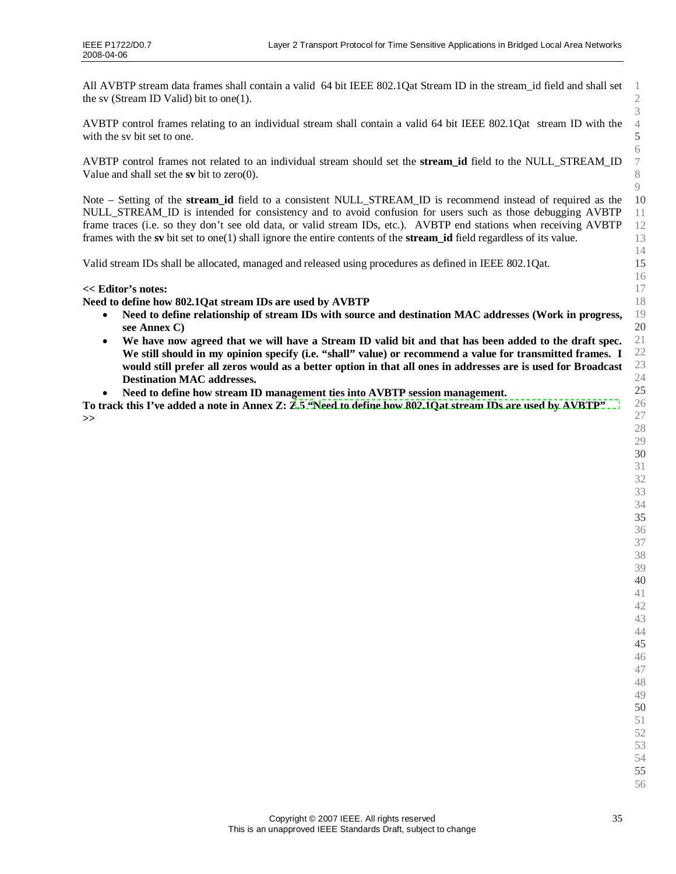All AVBTP stream data frames shall contain a valid 64 bit IEEE 802.1Qat Stream ID in the stream\_id field and shall set the sv (Stream ID Valid) bit to one(1).

AVBTP control frames relating to an individual stream shall contain a valid 64 bit IEEE 802.1Qat stream ID with the with the sv bit set to one.

AVBTP control frames not related to an individual stream should set the **stream\_id** field to the NULL\_STREAM\_ID Value and shall set the **sv** bit to zero(0).

Note –Setting of the **stream\_id** field to a consistent NULL\_STREAM\_ID is recommend instead of required as the NULL\_STREAM\_ID is intended for consistency and to avoid confusion for users such as those debugging AVBTP frame traces (i.e. so they don't see old data, or valid stream IDs, etc.). AVBTP end stations when receiving AVBTP frames with the **sv** bit set to one(1) shall ignore the entire contents of the **stream\_id** field regardless of its value.

Valid stream IDs shall be allocated, managed and released using procedures as defined in IEEE 802.1Qat.

#### **<< Editor's notes:**

**Need to define how 802.1Qat stream IDs are used by AVBTP**

- **Need to define relationship of stream IDs with source and destination MAC addresses (Work in progress, see Annex C)**
- **We have now agreed that we will have a Stream ID valid bit and that has been added to the draft spec.** We still should in my opinion specify (i.e. "shall" value) or recommend a value for transmitted frames. I **would still prefer all zeros would as a better option in that all ones in addresses are is used for Broadcast Destination MAC addresses.**
- **Need to define how stream ID management ties into AVBTP session management.**

**To track this I've added a note in Annex Z: [Z.5](#page-89-0) "[Need to define how 802.1Qat stream IDs are used by AVBTP"](#page-89-0) >>**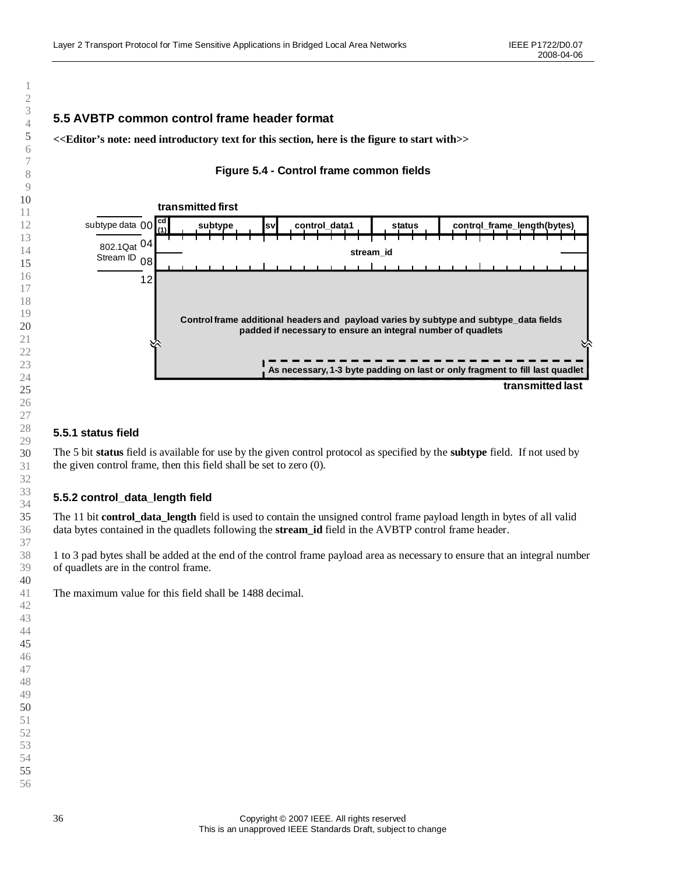# <span id="page-35-1"></span><span id="page-35-0"></span>**5.5 AVBTP common control frame header format**

**<<Editor's note: need introductory text for this section, here is the figure to start with>>**

# <span id="page-35-2"></span>**Figure 5.4 - Control frame common fields**



## **5.5.1 status field**

The 5 bit **status** field is available for use by the given control protocol as specified by the **subtype** field. If not used by the given control frame, then this field shall be set to zero (0).

#### **5.5.2 control\_data\_length field**

The 11 bit **control data length** field is used to contain the unsigned control frame payload length in bytes of all valid data bytes contained in the quadlets following the **stream id** field in the AVBTP control frame header.

1 to 3 pad bytes shall be added at the end of the control frame payload area as necessary to ensure that an integral number of quadlets are in the control frame.

The maximum value for this field shall be 1488 decimal.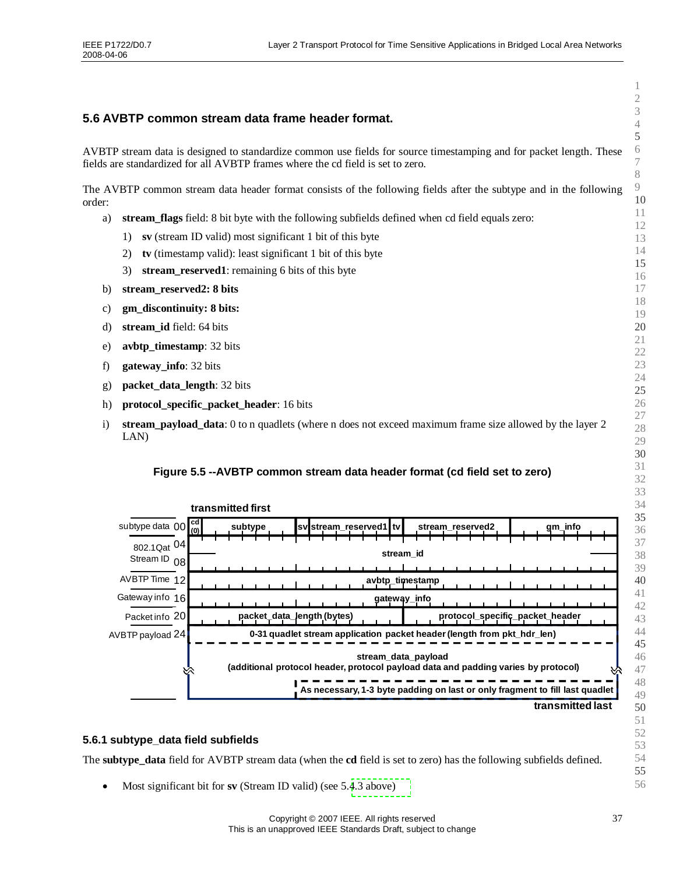### **5.6 AVBTP common stream data frame header format.**

AVBTP stream data is designed to standardize common use fields for source timestamping and for packet length. These fields are standardized for all AVBTP frames where the cd field is set to zero.

The AVBTP common stream data header format consists of the following fields after the subtype and in the following order:

- a) **stream\_flags** field: 8 bit byte with the following subfields defined when cd field equals zero:
	- 1) **sv** (stream ID valid) most significant 1 bit of this byte
	- 2) **tv** (timestamp valid): least significant 1 bit of this byte
	- 3) **stream\_reserved1**: remaining 6 bits of this byte
- b) **stream\_reserved2: 8 bits**
- c) **gm\_discontinuity: 8 bits:**
- d) **stream\_id** field: 64 bits
- e) **avbtp\_timestamp**: 32 bits
- f) **gateway\_info**: 32 bits
- g) **packet\_data\_length**: 32 bits
- h) **protocol** specific packet header: 16 bits
- i) **stream\_payload\_data**: 0 to n quadlets (where n does not exceed maximum frame size allowed by the layer 2 LAN)

#### **Figure 5.5 --AVBTP common stream data header format (cd field set to zero)**



#### **5.6.1 subtype\_data field subfields**

The **subtype\_data** field for AVBTP stream data (when the **cd** field is set to zero) has the following subfields defined.

Most significant bit for **sv** (Stream ID valid) (see 5.[4.3 above\)](#page-33-0)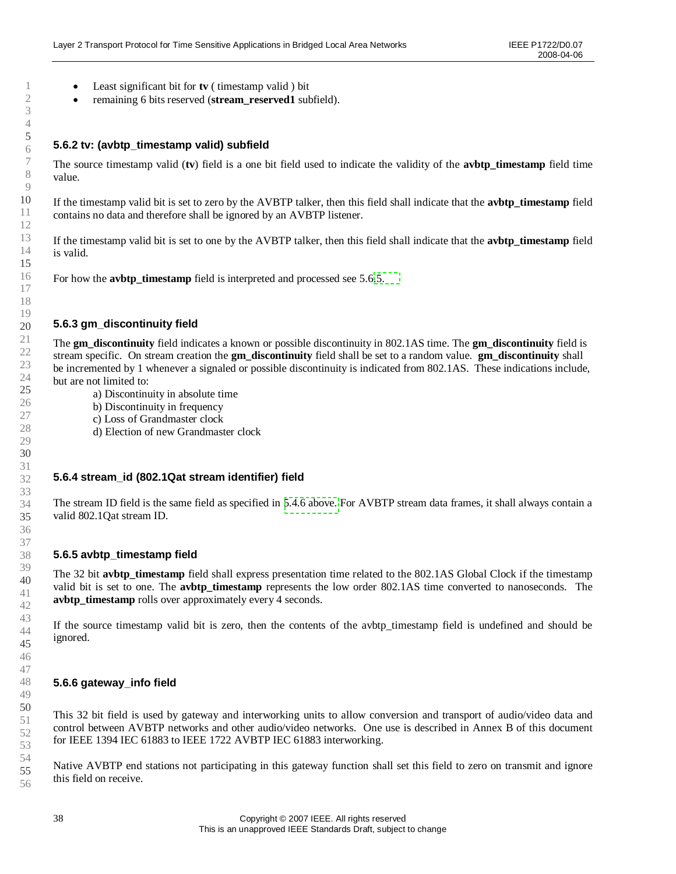- Least significant bit for **tv** ( timestamp valid ) bit
- <span id="page-37-1"></span>remaining 6 bits reserved (**stream\_reserved1** subfield).

### **5.6.2 tv: (avbtp\_timestamp valid) subfield**

The source timestamp valid (**tv**) field is a one bit field used to indicate the validity of the **avbtp\_timestamp** field time value.

If the timestamp valid bit is set to zero by the AVBTP talker, then this field shall indicate that the **avbtp\_timestamp** field contains no data and therefore shall be ignored by an AVBTP listener.

If the timestamp valid bit is set to one by the AVBTP talker, then this field shall indicate that the **avbtp\_timestamp** field is valid.

For how the **avbtp\_timestamp** field is interpreted and processed see 5.6[.5.](#page-37-0)

### **5.6.3 gm\_discontinuity field**

The **gm\_discontinuity** field indicates a known or possible discontinuity in 802.1AS time. The **gm\_discontinuity** field is stream specific. On stream creation the **gm\_discontinuity** field shall be set to a random value. **gm\_discontinuity** shall be incremented by 1 whenever a signaled or possible discontinuity is indicated from 802.1AS. These indications include, but are not limited to:

- a) Discontinuity in absolute time
- b) Discontinuity in frequency
- c) Loss of Grandmaster clock
- d) Election of new Grandmaster clock

#### **5.6.4 stream\_id (802.1Qat stream identifier) field**

The stream ID field is the same field as specified in [5.4.6 above.](#page-33-0) For AVBTP stream data frames, it shall always contain a valid 802.1Qat stream ID.

#### <span id="page-37-0"></span>**5.6.5 avbtp\_timestamp field**

The 32 bit **avbtp** timestamp field shall express presentation time related to the 802.1AS Global Clock if the timestamp valid bit is set to one. The **avbtp\_timestamp** represents the low order 802.1AS time converted to nanoseconds. The **avbtp** timestamp rolls over approximately every 4 seconds.

If the source timestamp valid bit is zero, then the contents of the avbtp\_timestamp field is undefined and should be ignored.

### **5.6.6 gateway\_info field**

This 32 bit field is used by gateway and interworking units to allow conversion and transport of audio/video data and control between AVBTP networks and other audio/video networks. One use is described in Annex B of this document for IEEE 1394 IEC 61883 to IEEE 1722 AVBTP IEC 61883 interworking.

Native AVBTP end stations not participating in this gateway function shall set this field to zero on transmit and ignore this field on receive.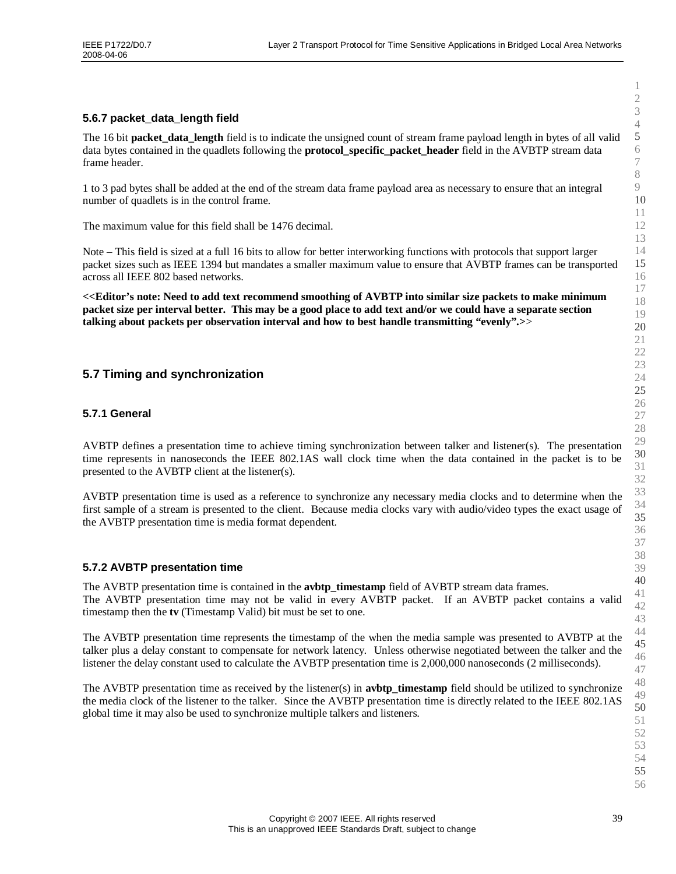### **5.6.7 packet\_data\_length field**

The 16 bit **packet\_data\_length** field is to indicate the unsigned count of stream frame payload length in bytes of all valid data bytes contained in the quadlets following the **protocol\_specific\_packet\_header** field in the AVBTP stream data frame header.

1 to 3 pad bytes shall be added at the end of the stream data frame payload area as necessary to ensure that an integral number of quadlets is in the control frame.

The maximum value for this field shall be 1476 decimal.

Note –This field is sized at a full 16 bits to allow for better interworking functions with protocols that support larger packet sizes such as IEEE 1394 but mandates a smaller maximum value to ensure that AVBTP frames can be transported across all IEEE 802 based networks.

**<<Editor's note: Need to add text recommend smoothing of AVBTP into similar size packets to make minimum packet size per interval better. This may be a good place to add text and/or we could have a separate section talking about packets per observation interval and how to best handle transmitting "evenly".>**>

### **5.7 Timing and synchronization**

#### **5.7.1 General**

AVBTP defines a presentation time to achieve timing synchronization between talker and listener(s). The presentation time represents in nanoseconds the IEEE 802.1AS wall clock time when the data contained in the packet is to be presented to the AVBTP client at the listener(s).

AVBTP presentation time is used as a reference to synchronize any necessary media clocks and to determine when the first sample of a stream is presented to the client. Because media clocks vary with audio/video types the exact usage of the AVBTP presentation time is media format dependent.

### **5.7.2 AVBTP presentation time**

The AVBTP presentation time is contained in the **avbtp\_timestamp** field of AVBTP stream data frames. The AVBTP presentation time may not be valid in every AVBTP packet. If an AVBTP packet contains a valid timestamp then the **tv** (Timestamp Valid) bit must be set to one.

The AVBTP presentation time represents the timestamp of the when the media sample was presented to AVBTP at the talker plus a delay constant to compensate for network latency. Unless otherwise negotiated between the talker and the listener the delay constant used to calculate the AVBTP presentation time is 2,000,000 nanoseconds (2 milliseconds).

The AVBTP presentation time as received by the listener(s) in **avbtp** timestamp field should be utilized to synchronize the media clock of the listener to the talker. Since the AVBTP presentation time is directly related to the IEEE 802.1AS global time it may also be used to synchronize multiple talkers and listeners.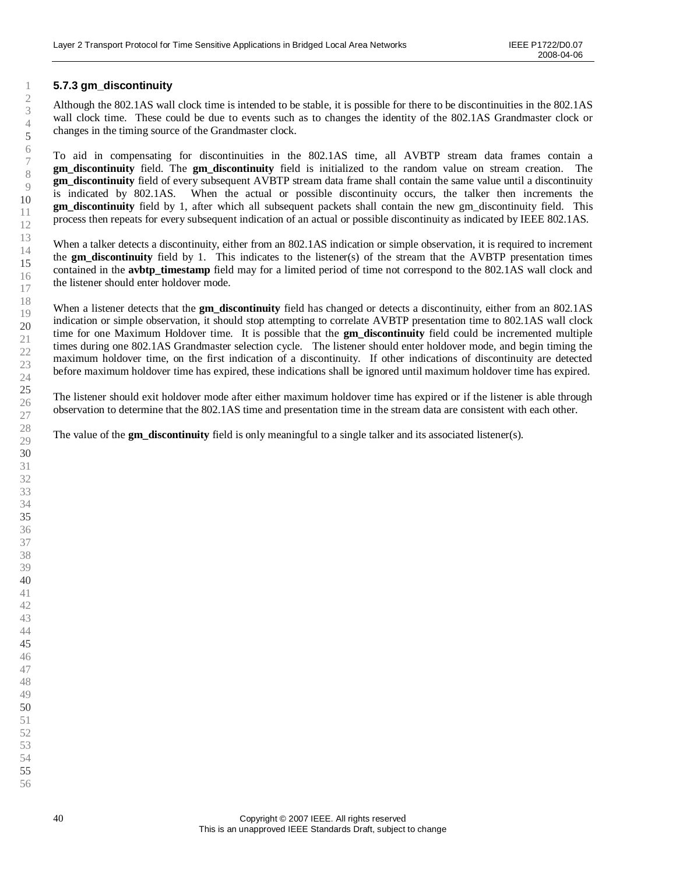### **5.7.3 gm\_discontinuity**

Although the 802.1AS wall clock time is intended to be stable, it is possible for there to be discontinuities in the 802.1AS wall clock time. These could be due to events such as to changes the identity of the 802.1AS Grandmaster clock or changes in the timing source of the Grandmaster clock.

To aid in compensating for discontinuities in the 802.1AS time, all AVBTP stream data frames contain a **gm\_discontinuity** field. The **gm\_discontinuity** field is initialized to the random value on stream creation. The **gm** discontinuity field of every subsequent AVBTP stream data frame shall contain the same value until a discontinuity is indicated by 802.1AS. When the actual or possible discontinuity occurs, the talker then increments the **gm** discontinuity field by 1, after which all subsequent packets shall contain the new gm discontinuity field. This process then repeats for every subsequent indication of an actual or possible discontinuity as indicated by IEEE 802.1AS.

When a talker detects a discontinuity, either from an 802.1AS indication or simple observation, it is required to increment the **gm\_discontinuity** field by 1. This indicates to the listener(s) of the stream that the AVBTP presentation times contained in the **avbtp\_timestamp** field may for a limited period of time not correspond to the 802.1AS wall clock and the listener should enter holdover mode.

When a listener detects that the **gm\_discontinuity** field has changed or detects a discontinuity, either from an 802.1AS indication or simple observation, it should stop attempting to correlate AVBTP presentation time to 802.1AS wall clock time for one Maximum Holdover time. It is possible that the **gm\_discontinuity** field could be incremented multiple times during one 802.1AS Grandmaster selection cycle. The listener should enter holdover mode, and begin timing the maximum holdover time, on the first indication of a discontinuity. If other indications of discontinuity are detected before maximum holdover time has expired, these indications shall be ignored until maximum holdover time has expired.

The listener should exit holdover mode after either maximum holdover time has expired or if the listener is able through observation to determine that the 802.1AS time and presentation time in the stream data are consistent with each other.

The value of the **gm** discontinuity field is only meaningful to a single talker and its associated listener(s).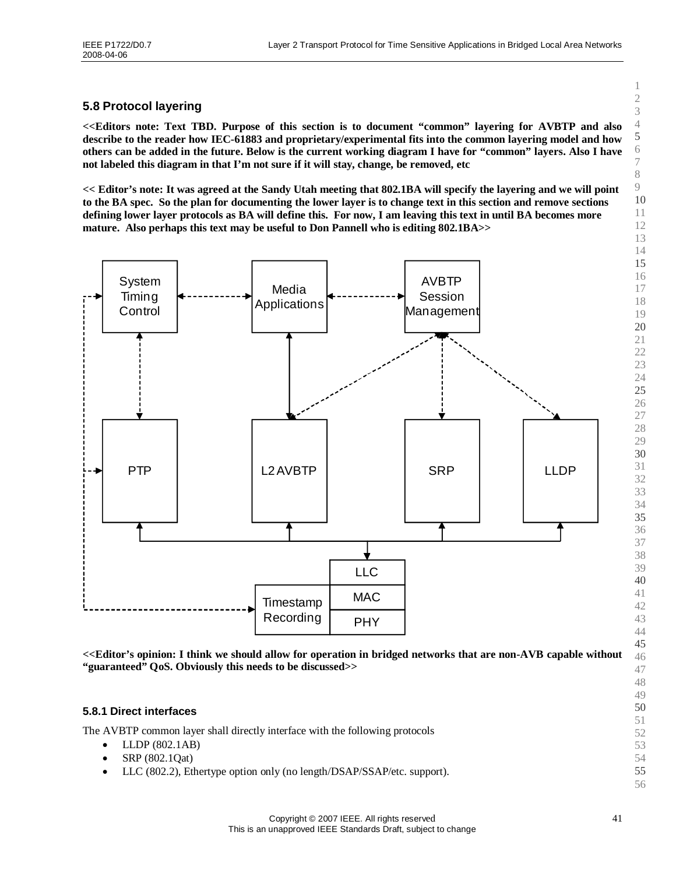### **5.8 Protocol layering**

**<<Editors note: Text TBD. Purpose of this section is to document "common" layering for AVBTP and also describe to the reader how IEC-61883 and proprietary/experimental fits into the common layering model and how others can be added in the future. Below is the current working diagram I have for "common"layers. Also I have not labeled this diagram in that I'm not sure if it will stay, change, be removed, etc**

**<< Editor's note: It was agreed at the Sandy Utah meeting that 802.1BA will specify the layering and we will point to the BA spec. So the plan for documenting the lower layer is to change text in this section and remove sections defining lower layer protocols as BA will define this. For now, I am leaving this text in until BA becomes more mature. Also perhaps this text may be useful to Don Pannell who is editing 802.1BA>>**



**<<Editor's opinion: I think we should allow for operation in bridged networks that are non-AVB capable without "guaranteed"QoS. Obviously this needs to be discussed>>**

#### **5.8.1 Direct interfaces**

The AVBTP common layer shall directly interface with the following protocols

- LLDP (802.1AB)
- SRP  $(802.10at)$
- LLC (802.2), Ethertype option only (no length/DSAP/SSAP/etc. support).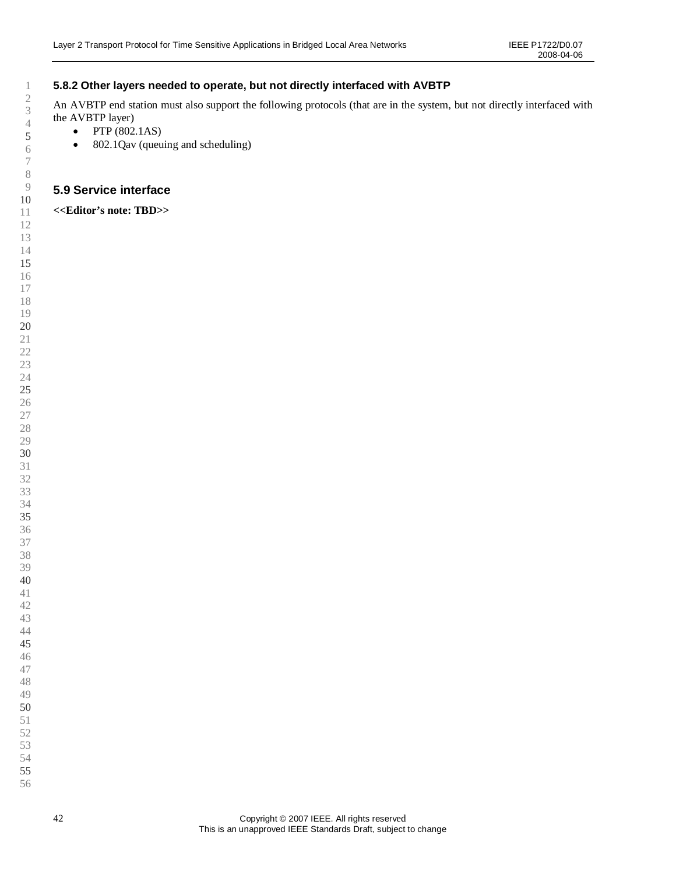### **5.8.2 Other layers needed to operate, but not directly interfaced with AVBTP**

An AVBTP end station must also support the following protocols (that are in the system, but not directly interfaced with the AVBTP layer)

- $\bullet$  PTP (802.1AS)
- 802.1Qav (queuing and scheduling)

### **5.9 Service interface**

**<<Editor's note: TBD>>**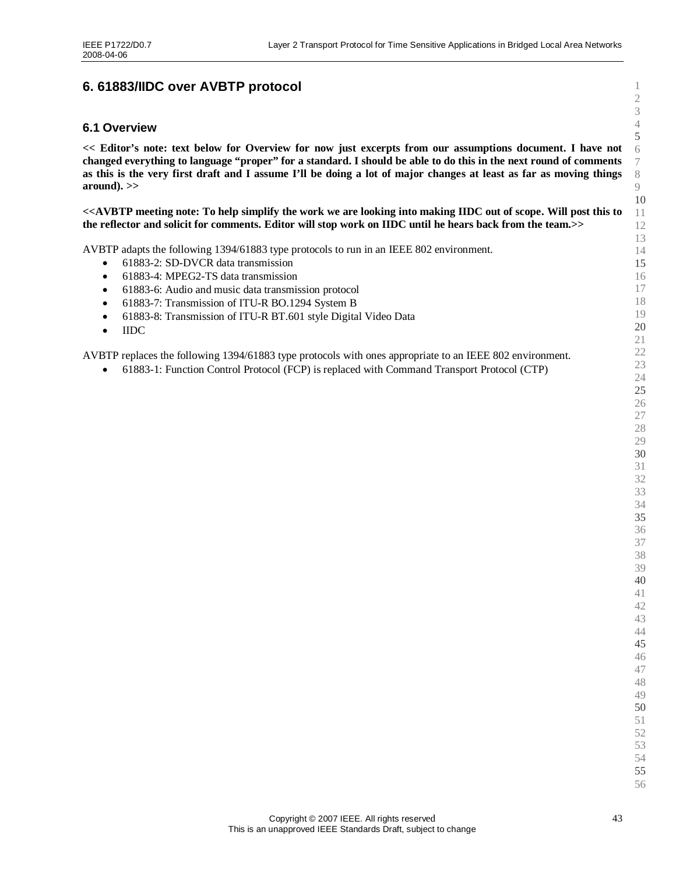# <span id="page-42-0"></span>**6. 61883/IIDC over AVBTP protocol**

#### **6.1 Overview**

**<< Editor's note: text below for Overview for now just excerpts from our assumptions document. I have not changed everything to language "proper"for a standard. I should be able to do this in the next round of comments as this is the very first draft and I assume I'll be doing a lot of major changes at least as far as moving things around). >>**

**<<AVBTP meeting note: To help simplify the work we are looking into making IIDC out of scope. Will post this to the reflector and solicit for comments. Editor will stop work on IIDC until he hears back from the team.>>**

AVBTP adapts the following 1394/61883 type protocols to run in an IEEE 802 environment.

- 61883-2: SD-DVCR data transmission
- 61883-4: MPEG2-TS data transmission
- 61883-6: Audio and music data transmission protocol
- 61883-7: Transmission of ITU-R BO.1294 System B
- 61883-8: Transmission of ITU-R BT.601 style Digital Video Data
- IIDC

AVBTP replaces the following 1394/61883 type protocols with ones appropriate to an IEEE 802 environment.

61883-1: Function Control Protocol (FCP) is replaced with Command Transport Protocol (CTP)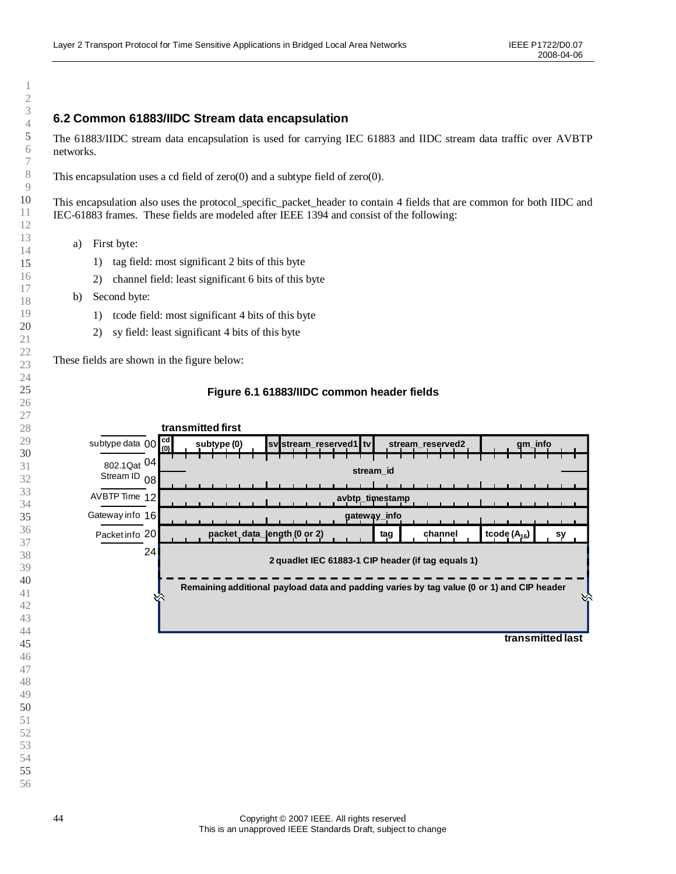### **6.2 Common 61883/IIDC Stream data encapsulation**

The 61883/IIDC stream data encapsulation is used for carrying IEC 61883 and IIDC stream data traffic over AVBTP networks.

This encapsulation uses a cd field of zero(0) and a subtype field of zero(0).

This encapsulation also uses the protocol\_specific\_packet\_header to contain 4 fields that are common for both IIDC and IEC-61883 frames. These fields are modeled after IEEE 1394 and consist of the following:

- a) First byte:
	- 1) tag field: most significant 2 bits of this byte
	- 2) channel field: least significant 6 bits of this byte
- b) Second byte:
	- 1) tcode field: most significant 4 bits of this byte
	- 2) sy field: least significant 4 bits of this byte

These fields are shown in the figure below:



#### **Figure 6.1 61883/IIDC common header fields**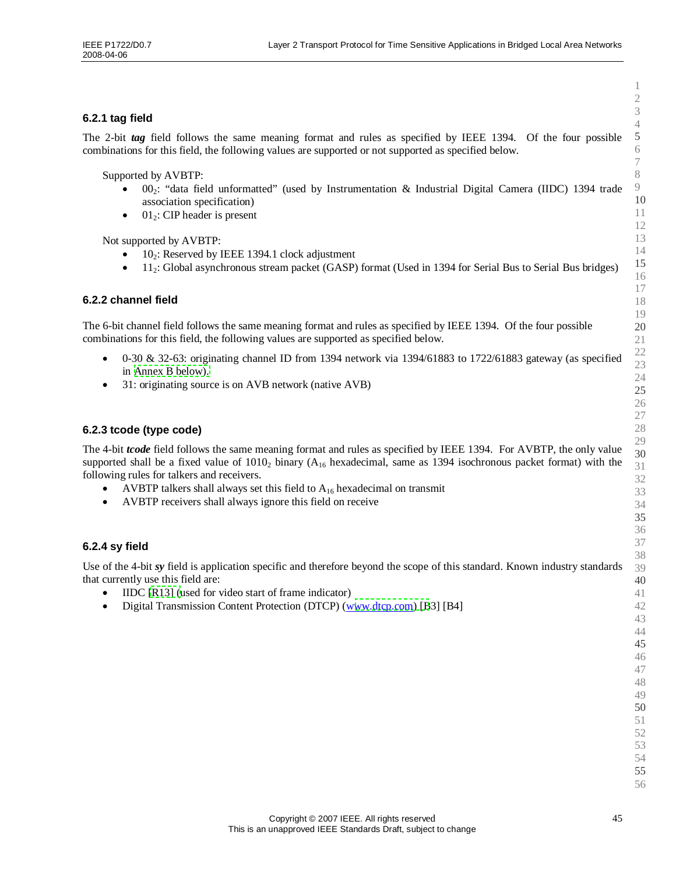### **6.2.1 tag field**

The 2-bit *tag* field follows the same meaning format and rules as specified by IEEE 1394. Of the four possible combinations for this field, the following values are supported or not supported as specified below.

Supported by AVBTP:

- 002: "data field unformatted" (used by Instrumentation & Industrial Digital Camera (IIDC) 1394 trade association specification)
- $\bullet$  01<sup>2</sup>: CIP header is present

Not supported by AVBTP:

- $10<sub>2</sub>$ : Reserved by IEEE 1394.1 clock adjustment
- 112: Global asynchronous stream packet (GASP) format (Used in 1394 for Serial Bus to Serial Bus bridges)

#### **6.2.2 channel field**

The 6-bit channel field follows the same meaning format and rules as specified by IEEE 1394. Of the four possible combinations for this field, the following values are supported as specified below.

- $\bullet$  0-30 & 32-63: originating channel ID from 1394 network via 1394/61883 to 1722/61883 gateway (as specified in [Annex B below\).](#page-68-0)
- 31: originating source is on AVB network (native AVB)

#### **6.2.3 tcode (type code)**

The 4-bit *tcode* field follows the same meaning format and rules as specified by IEEE 1394. For AVBTP, the only value supported shall be a fixed value of  $1010<sub>2</sub>$  binary (A<sub>16</sub> hexadecimal, same as 1394 isochronous packet format) with the following rules for talkers and receivers.

- AVBTP talkers shall always set this field to  $A_{16}$  hexadecimal on transmit
- AVBTP receivers shall always ignore this field on receive

### **6.2.4 sy field**

Use of the 4-bit *sy* field is application specific and therefore beyond the scope of this standard. Known industry standards that currently use this field are:

- IIDC [\[R13\]](#page-15-0) (used for video start of frame indicator)
- Digital Transmission Content Protection (DTCP)(w[ww.dtcp.com\)](http://www.dtcp.com/) [B3] [B4]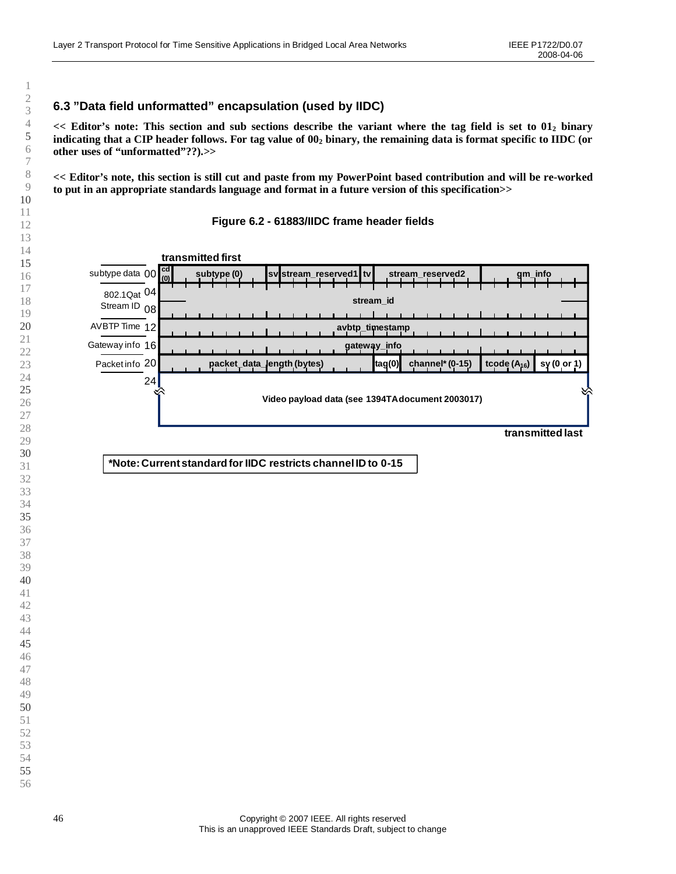## **6.3 "Data field unformatted"encapsulation (used by IIDC)**

**<< Editor's note: This section and sub sections describe the variant where the tag field is set to 01<sup>2</sup> binary indicating that a CIP header follows. For tag value of 00<sup>2</sup> binary, the remaining data is format specific to IIDC (or other uses of "unformatted"??).>>**

**<< Editor's note, this section is still cut and paste from my PowerPoint based contribution and will be re-worked to put in an appropriate standards language and format in a future version of this specification>>**

#### **Figure 6.2 - 61883/IIDC frame header fields**

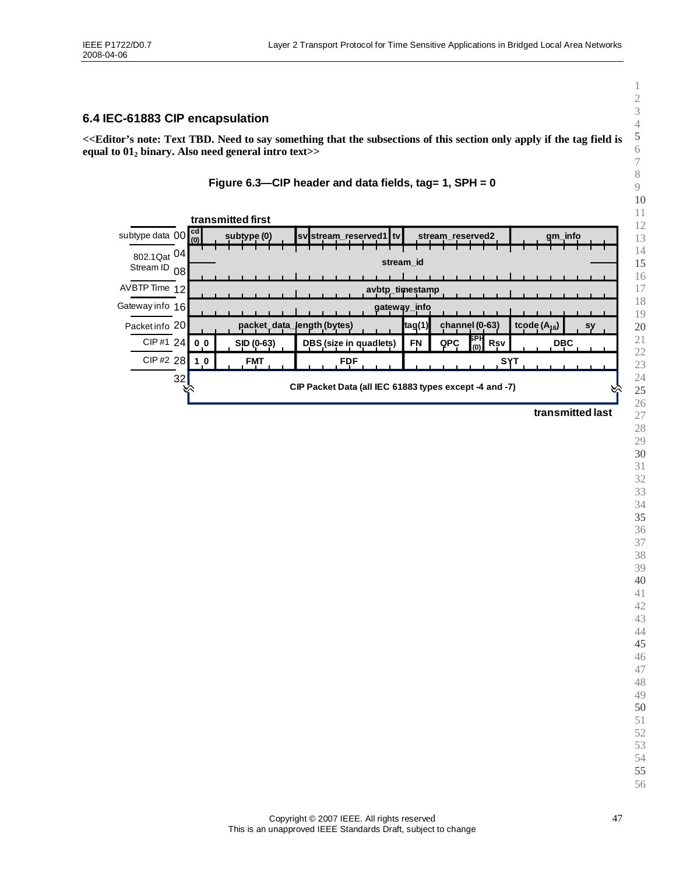### **6.4 IEC-61883 CIP encapsulation**

**<<Editor's note: Text TBD. Need to say something that the subsections of this section only apply if the tag field is equal to 01<sup>2</sup> binary. Also need general intro text>>**



|                                              |    |                | transmitted first |             |            |                            |  |  |                        |  |                                                        |        |  |                  |            |                |                  |  |            |         |    |  |
|----------------------------------------------|----|----------------|-------------------|-------------|------------|----------------------------|--|--|------------------------|--|--------------------------------------------------------|--------|--|------------------|------------|----------------|------------------|--|------------|---------|----|--|
| subtype data $00\frac{\text{cd}}{\text{cm}}$ |    | (0)            |                   | subtype (0) |            |                            |  |  |                        |  | svistream reserved1 tv                                 |        |  | stream reserved2 |            |                |                  |  |            | gm_info |    |  |
| 802.1Qat 04                                  |    |                |                   |             |            |                            |  |  |                        |  | stream id                                              |        |  |                  |            |                |                  |  |            |         |    |  |
| Stream ID 08                                 |    |                |                   |             |            |                            |  |  |                        |  |                                                        |        |  |                  |            |                |                  |  |            |         |    |  |
| AVBTP Time 12                                |    |                |                   |             |            |                            |  |  |                        |  | avbtp timestamp                                        |        |  |                  |            |                |                  |  |            |         |    |  |
| Gateway info 16                              |    |                |                   |             |            |                            |  |  |                        |  | gateway_info                                           |        |  |                  |            |                |                  |  |            |         |    |  |
| Packet info 20                               |    |                |                   |             |            | packet_data_length (bytes) |  |  |                        |  |                                                        | tag(1) |  |                  |            | channel (0-63) | tcode $(A_{16})$ |  |            |         | sy |  |
| CIP#1 24                                     |    | 0 <sub>0</sub> |                   | SID (0-63)  |            |                            |  |  | DBS (size in quadlets) |  |                                                        | FN     |  | <b>QPC</b>       | БРН<br>(0) | Rsv            |                  |  | <b>DBC</b> |         |    |  |
| CIP#2 28                                     |    | 1 <sub>0</sub> |                   |             | <b>FMT</b> |                            |  |  | <b>FDF</b>             |  |                                                        |        |  |                  |            |                |                  |  |            |         |    |  |
|                                              | 32 |                |                   |             |            |                            |  |  |                        |  | CIP Packet Data (all IEC 61883 types except -4 and -7) |        |  |                  |            |                |                  |  |            |         |    |  |

**transmitted last**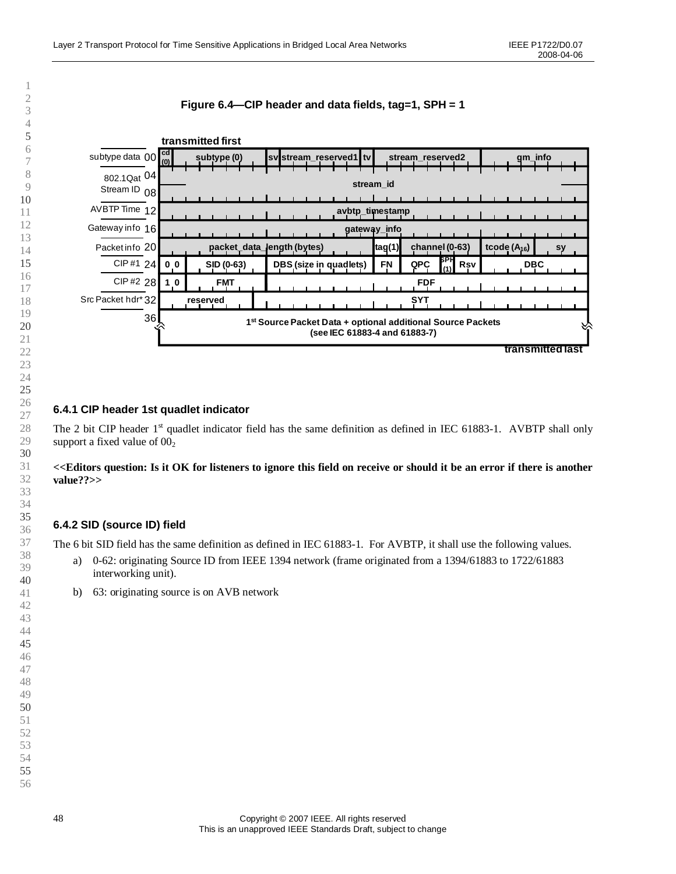### **Figure 6.4— CIP header and data fields, tag=1, SPH = 1**



### **6.4.1 CIP header 1st quadlet indicator**

The 2 bit CIP header 1<sup>st</sup> quadlet indicator field has the same definition as defined in IEC 61883-1. AVBTP shall only support a fixed value of  $00<sub>2</sub>$ 

### **<<Editors question: Is it OK for listeners to ignore this field on receive or should it be an error if there is another value??>>**

### **6.4.2 SID (source ID) field**

The 6 bit SID field has the same definition as defined in IEC 61883-1. For AVBTP, it shall use the following values.

- a) 0-62: originating Source ID from IEEE 1394 network (frame originated from a 1394/61883 to 1722/61883 interworking unit).
- b) 63: originating source is on AVB network

1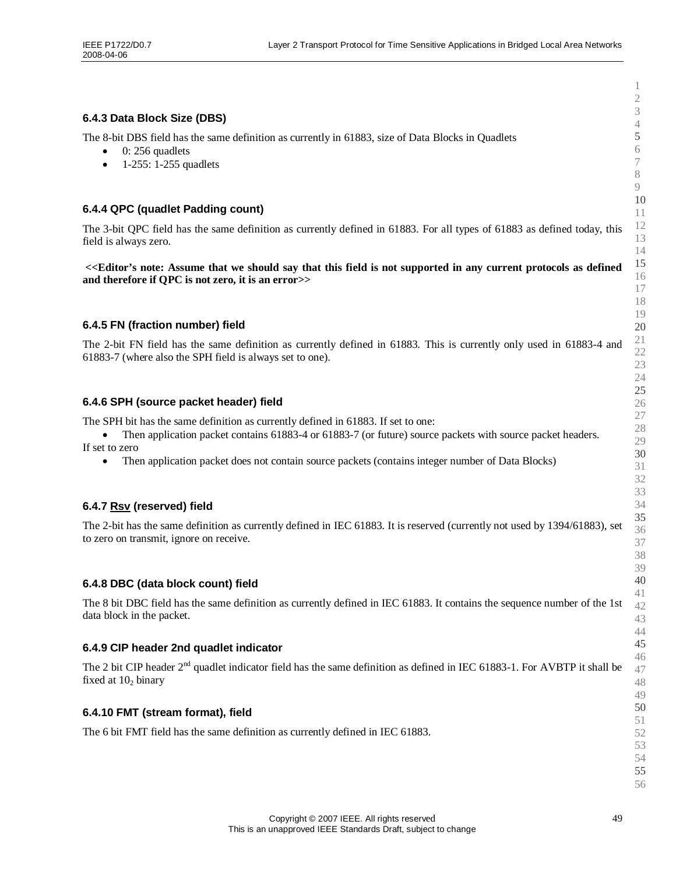#### **6.4.3 Data Block Size (DBS)**

The 8-bit DBS field has the same definition as currently in 61883, size of Data Blocks in Quadlets

- $\bullet$  0: 256 quadlets
- $\bullet$  1-255: 1-255 quadlets

### **6.4.4 QPC (quadlet Padding count)**

The 3-bit QPC field has the same definition as currently defined in 61883. For all types of 61883 as defined today, this field is always zero.

**<<Editor's note: Assume that we should say that this field is not supported in any current protocols as defined and therefore if QPC is not zero, it is an error>>**

#### **6.4.5 FN (fraction number) field**

The 2-bit FN field has the same definition as currently defined in 61883. This is currently only used in 61883-4 and 61883-7 (where also the SPH field is always set to one).

#### **6.4.6 SPH (source packet header) field**

The SPH bit has the same definition as currently defined in 61883. If set to one:

• Then application packet contains 61883-4 or 61883-7 (or future) source packets with source packet headers. If set to zero

• Then application packet does not contain source packets (contains integer number of Data Blocks)

#### **6.4.7 Rsv (reserved) field**

The 2-bit has the same definition as currently defined in IEC 61883. It is reserved (currently not used by 1394/61883), set to zero on transmit, ignore on receive.

#### **6.4.8 DBC (data block count) field**

The 8 bit DBC field has the same definition as currently defined in IEC 61883. It contains the sequence number of the 1st data block in the packet.

#### **6.4.9 CIP header 2nd quadlet indicator**

The 2 bit CIP header 2<sup>nd</sup> quadlet indicator field has the same definition as defined in IEC 61883-1. For AVBTP it shall be fixed at  $10<sub>2</sub>$  binary

This is an unapproved IEEE Standards Draft, subject to change

#### **6.4.10 FMT (stream format), field**

The 6 bit FMT field has the same definition as currently defined in IEC 61883.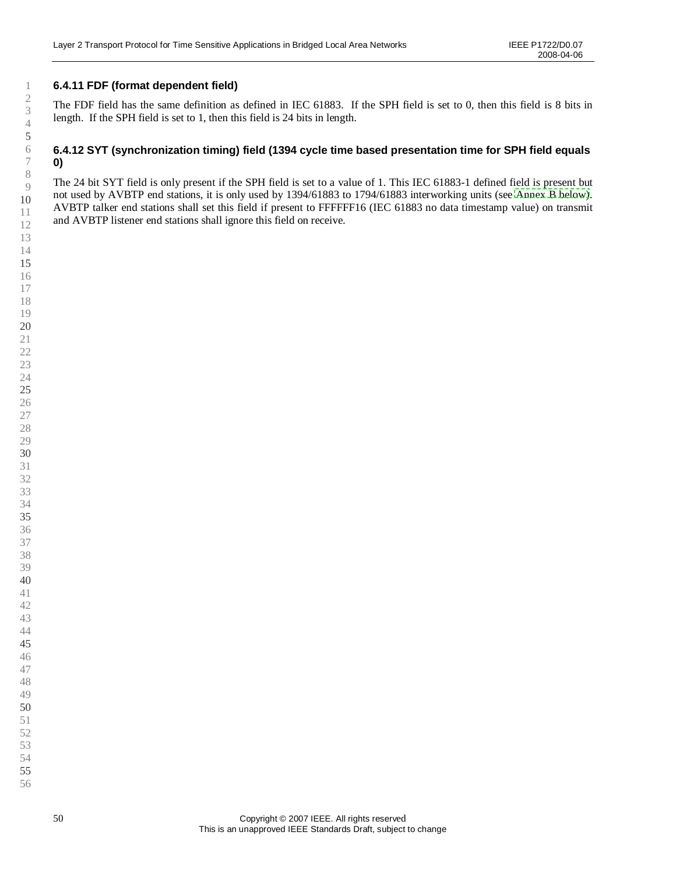### **6.4.11 FDF (format dependent field)**

The FDF field has the same definition as defined in IEC 61883. If the SPH field is set to 0, then this field is 8 bits in length. If the SPH field is set to 1, then this field is 24 bits in length.

### **6.4.12 SYT (synchronization timing) field (1394 cycle time based presentation time for SPH field equals 0)**

The 24 bit SYT field is only present if the SPH field is set to a value of 1. This IEC 61883-1 defined field is present but not used by AVBTP end stations, it is only used by 1394/61883 to 1794/61883 interworking units (see [Annex B below\)](#page-68-0). AVBTP talker end stations shall set this field if present to FFFFFF16 (IEC 61883 no data timestamp value) on transmit and AVBTP listener end stations shall ignore this field on receive.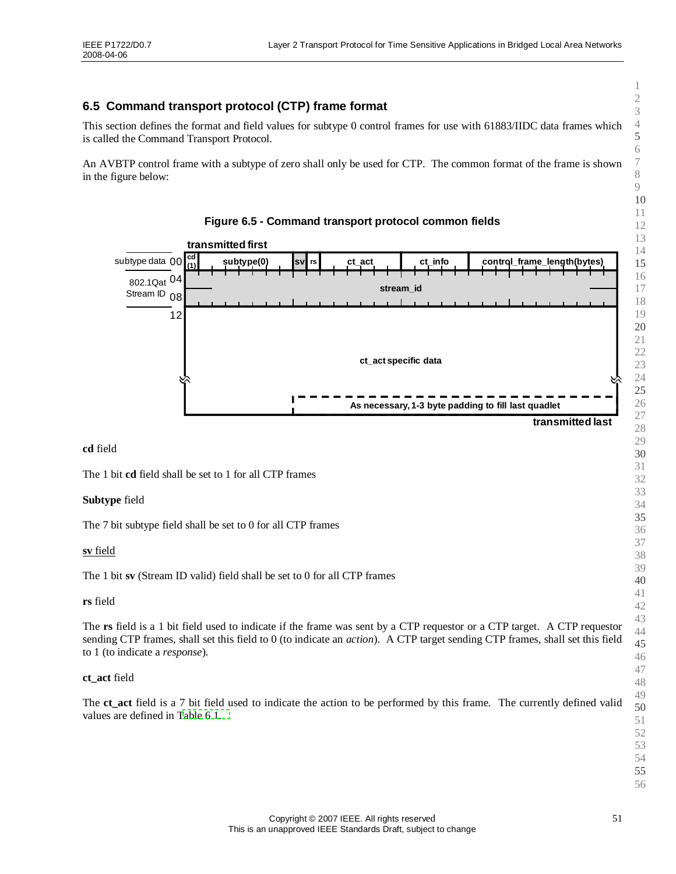## <span id="page-50-0"></span>**6.5 Command transport protocol (CTP) frame format**

This section defines the format and field values for subtype 0 control frames for use with 61883/IIDC data frames which is called the Command Transport Protocol.

An AVBTP control frame with a subtype of zero shall only be used for CTP. The common format of the frame is shown in the figure below:



**cd** field

The 1 bit **cd** field shall be set to 1 for all CTP frames

#### **Subtype** field

The 7 bit subtype field shall be set to 0 for all CTP frames

**sv** field

The 1 bit **sv** (Stream ID valid) field shall be set to 0 for all CTP frames

#### **rs** field

The **rs** field is a 1 bit field used to indicate if the frame was sent by a CTP requestor or a CTP target. A CTP requestor sending CTP frames, shall set this field to 0 (to indicate an *action*). A CTP target sending CTP frames, shall set this field to 1 (to indicate a *response*).

#### **ct\_act** field

The **ct\_act** field is a 7 bit field used to indicate the action to be performed by this frame. The currently defined valid values are defined in [Table](#page-51-0) 6.1.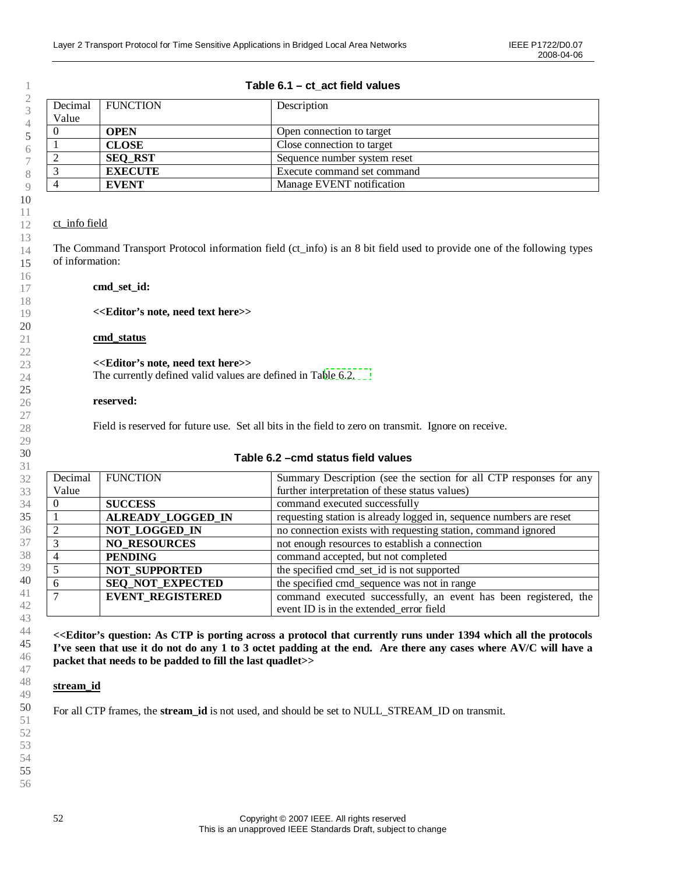FUNCTION Description

Decimal

### <span id="page-51-0"></span>**Table 6.1 –ct\_act field values**

| Value |                |                              |
|-------|----------------|------------------------------|
|       | <b>OPEN</b>    | Open connection to target    |
|       | <b>CLOSE</b>   | Close connection to target   |
|       | <b>SEQ RST</b> | Sequence number system reset |
|       | <b>EXECUTE</b> | Execute command set command  |
|       | <b>EVENT</b>   | Manage EVENT notification    |

### ct\_info field

The Command Transport Protocol information field (ct\_info) is an 8 bit field used to provide one of the following types of information:

### **cmd\_set\_id:**

### **<<Editor's note, need text here>>**

### **cmd\_status**

### **<<Editor's note, need text here>>**

The currently defined valid values are defined in Table [6.2.](#page-51-1)

### **reserved:**

Field is reserved for future use. Set all bits in the field to zero on transmit. Ignore on receive.

### <span id="page-51-1"></span>**Table 6.2 –cmd status field values**

| Decimal        | <b>FUNCTION</b>          | Summary Description (see the section for all CTP responses for any  |
|----------------|--------------------------|---------------------------------------------------------------------|
| Value          |                          | further interpretation of these status values)                      |
| $\theta$       | <b>SUCCESS</b>           | command executed successfully                                       |
|                | <b>ALREADY LOGGED IN</b> | requesting station is already logged in, sequence numbers are reset |
| 2              | NOT_LOGGED_IN            | no connection exists with requesting station, command ignored       |
| 3              | <b>NO RESOURCES</b>      | not enough resources to establish a connection                      |
| $\overline{4}$ | <b>PENDING</b>           | command accepted, but not completed                                 |
| 5              | <b>NOT SUPPORTED</b>     | the specified cmd_set_id is not supported                           |
| 6              | SEQ_NOT_EXPECTED         | the specified cmd_sequence was not in range                         |
| $\overline{7}$ | <b>EVENT_REGISTERED</b>  | command executed successfully, an event has been registered, the    |
|                |                          | event ID is in the extended error field                             |

**<<Editor's question: As CTP is porting across a protocol that currently runs under 1394 which all the protocols I've seen that use it do not do any 1 to 3 octet padding at the end. Are there any cases where AV/C will have a packet that needs to be padded to fill the last quadlet>>**

### **stream\_id**

For all CTP frames, the **stream\_id** is not used, and should be set to NULL\_STREAM\_ID on transmit.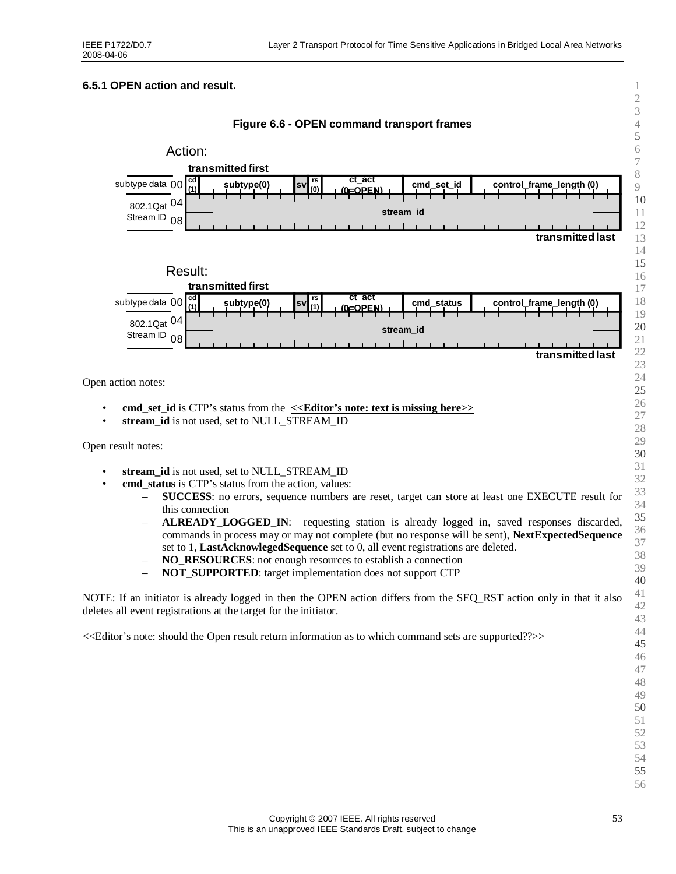### **6.5.1 OPEN action and result.**



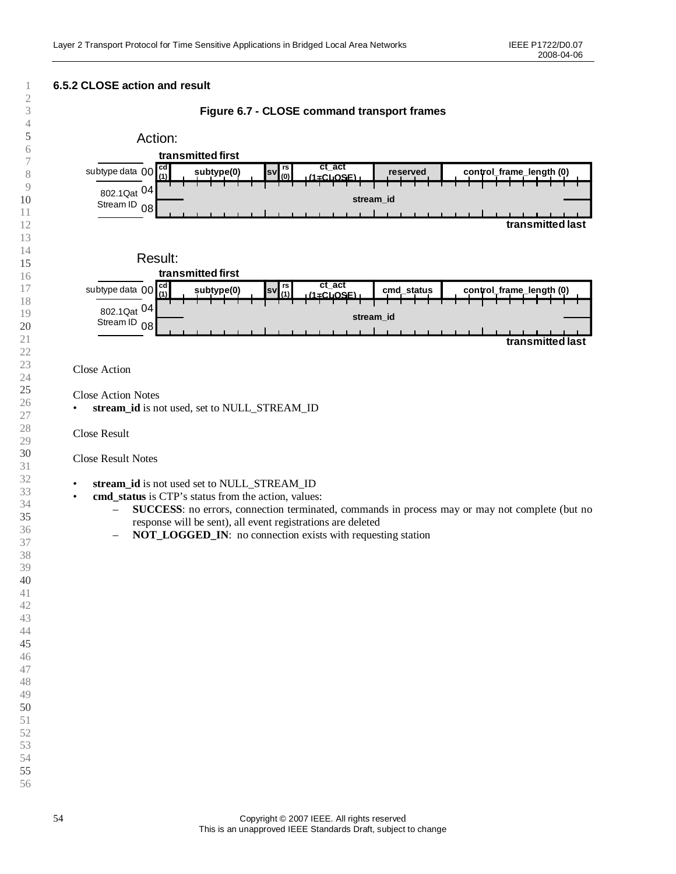

1 2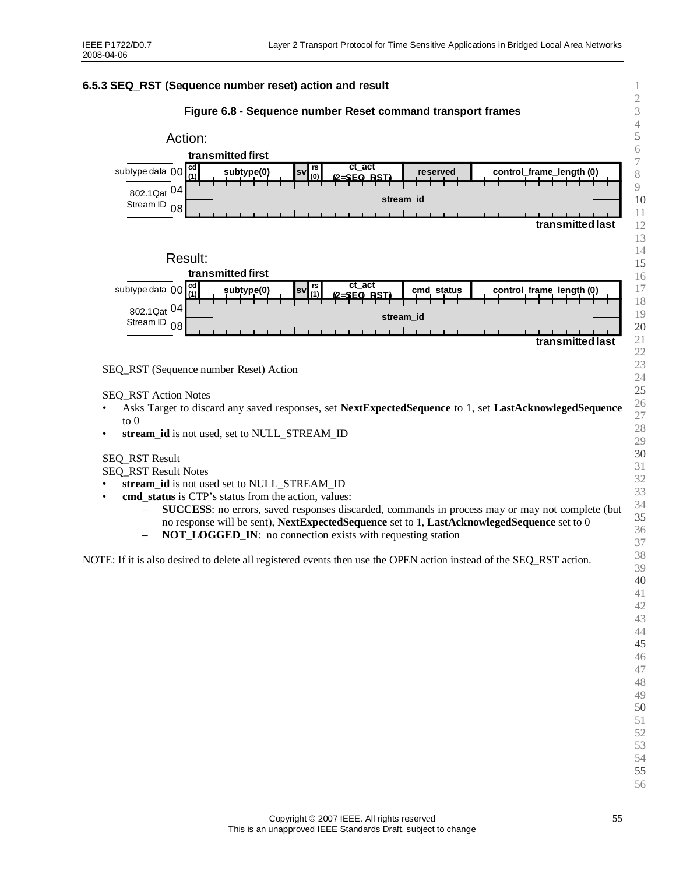### **6.5.3 SEQ\_RST (Sequence number reset) action and result**





stream id is not used, set to NULL\_STREAM\_ID

SEQ\_RST Result

SEQ\_RST Result Notes

- stream id is not used set to NULL\_STREAM\_ID
- **cmd\_status** is CTP's status from the action, values:
	- **SUCCESS**: no errors, saved responses discarded, commands in process may or may not complete (but no response will be sent), **NextExpectedSequence** set to 1, **LastAcknowlegedSequence** set to 0
	- **NOT\_LOGGED\_IN**: no connection exists with requesting station

NOTE: If it is also desired to delete all registered events then use the OPEN action instead of the SEQ\_RST action.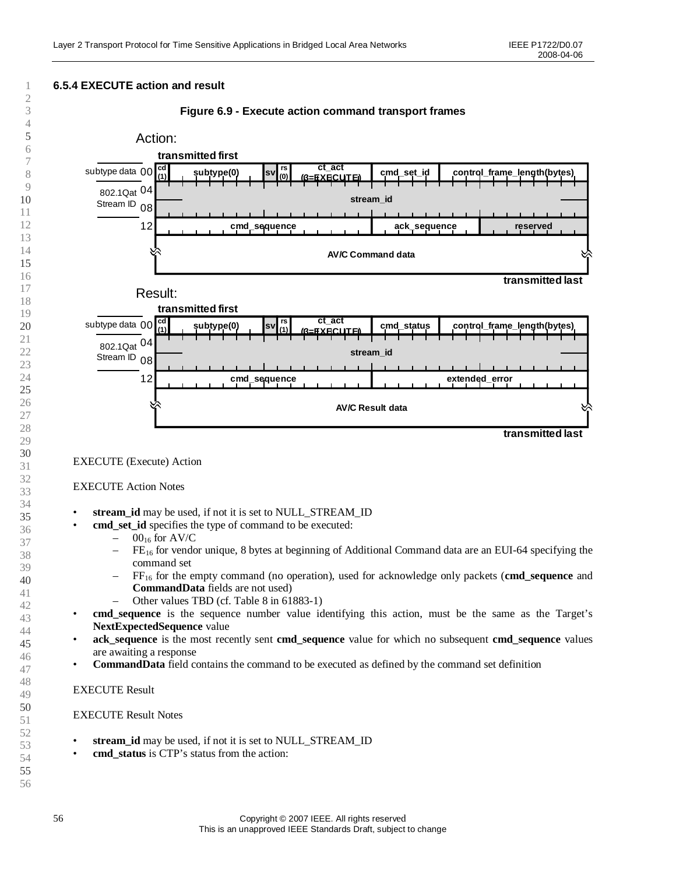

- stream id may be used, if not it is set to NULL\_STREAM\_ID
	- **cmd\_set\_id** specifies the type of command to be executed:
		- $-$  00<sub>16</sub> for AV/C
		- $-$  FE<sub>16</sub> for vendor unique, 8 bytes at beginning of Additional Command data are an EUI-64 specifying the command set
		- FF<sup>16</sup> for the empty command (no operation), used for acknowledge only packets (**cmd\_sequence** and **CommandData** fields are not used)
			- Other values TBD (cf. Table 8 in 61883-1)
- **cmd\_sequence** is the sequence number value identifying this action, must be the same as the Target's **NextExpectedSequence** value
- **ack\_sequence** is the most recently sent **cmd\_sequence** value for which no subsequent **cmd\_sequence** values are awaiting a response
- **CommandData** field contains the command to be executed as defined by the command set definition

#### EXECUTE Result

#### EXECUTE Result Notes

- **stream\_id** may be used, if not it is set to NULL\_STREAM\_ID
- **cmd\_status** is CTP's status from the action: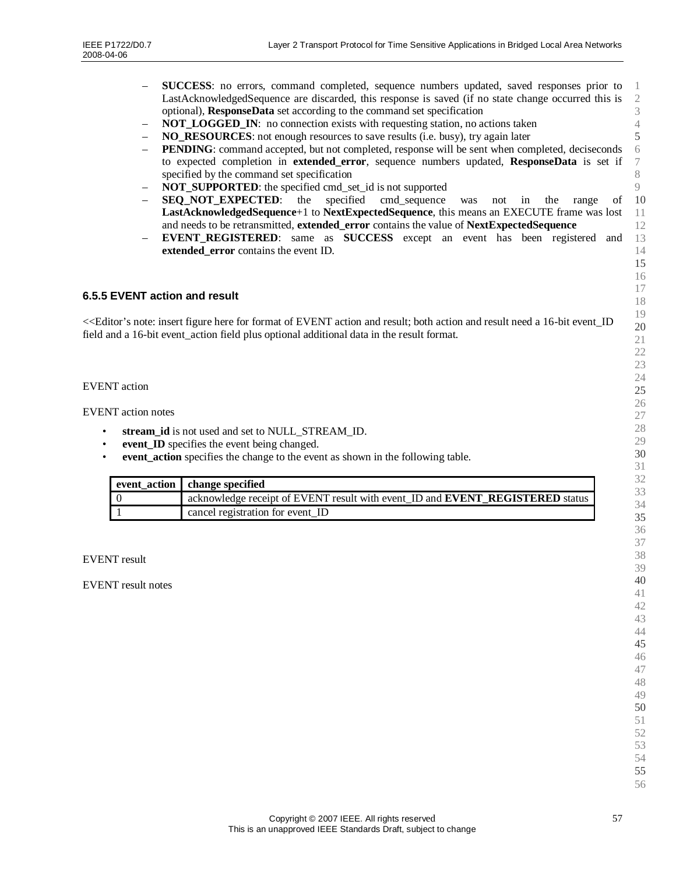- **SUCCESS**: no errors, command completed, sequence numbers updated, saved responses prior to LastAcknowledgedSequence are discarded, this response is saved (if no state change occurred this is optional), **ResponseData** set according to the command set specification
- **NOT\_LOGGED\_IN:** no connection exists with requesting station, no actions taken
- **NO\_RESOURCES**: not enough resources to save results (i.e. busy), try again later
- **PENDING**: command accepted, but not completed, response will be sent when completed, deciseconds to expected completion in **extended\_error**, sequence numbers updated, **ResponseData** is set if specified by the command set specification
- **NOT\_SUPPORTED:** the specified cmd\_set\_id is not supported
- **SEQ NOT EXPECTED:** the specified cmd sequence was not in the range of **LastAcknowledgedSequence**+1 to **NextExpectedSequence**, this means an EXECUTE frame was lost and needs to be retransmitted, **extended\_error** contains the value of **NextExpectedSequence**
- **EVENT REGISTERED:** same as **SUCCESS** except an event has been registered and **extended\_error** contains the event ID.

#### **6.5.5 EVENT action and result**

<<Editor's note: insert figure here for format of EVENT action and result; both action and result need a 16-bit event\_ID field and a 16-bit event\_action field plus optional additional data in the result format.

#### EVENT action

EVENT action notes

- stream id is not used and set to NULL\_STREAM\_ID.
- event **ID** specifies the event being changed.
- **event** action specifies the change to the event as shown in the following table.

| event_action change specified                                                        |
|--------------------------------------------------------------------------------------|
| acknowledge receipt of EVENT result with event ID and <b>EVENT REGISTERED</b> status |
| cancel registration for event ID                                                     |

EVENT result

EVENT result notes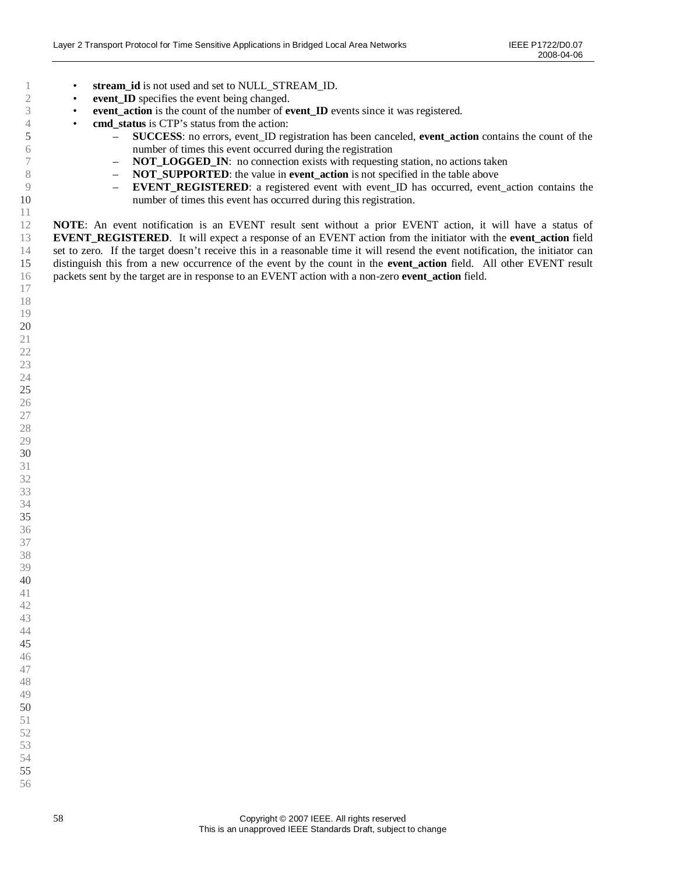- **stream\_id** is not used and set to NULL\_STREAM\_ID.
- **event ID** specifies the event being changed.

- **event\_action** is the count of the number of **event\_ID** events since it was registered.
- **cmd** status is CTP's status from the action:
	- **SUCCESS**: no errors, event\_ID registration has been canceled, **event\_action** contains the count of the number of times this event occurred during the registration
	- **NOT\_LOGGED\_IN**: no connection exists with requesting station, no actions taken
	- **NOT\_SUPPORTED**: the value in **event** action is not specified in the table above
	- **EVENT\_REGISTERED**: a registered event with event\_ID has occurred, event\_action contains the number of times this event has occurred during this registration.

**NOTE**: An event notification is an EVENT result sent without a prior EVENT action, it will have a status of **EVENT\_REGISTERED.** It will expect a response of an EVENT action from the initiator with the **event** action field set to zero. If the target doesn't receive this in a reasonable time it will resend the event notification, the initiator can distinguish this from a new occurrence of the event by the count in the **event\_action** field. All other EVENT result packets sent by the target are in response to an EVENT action with a non-zero **event\_action** field.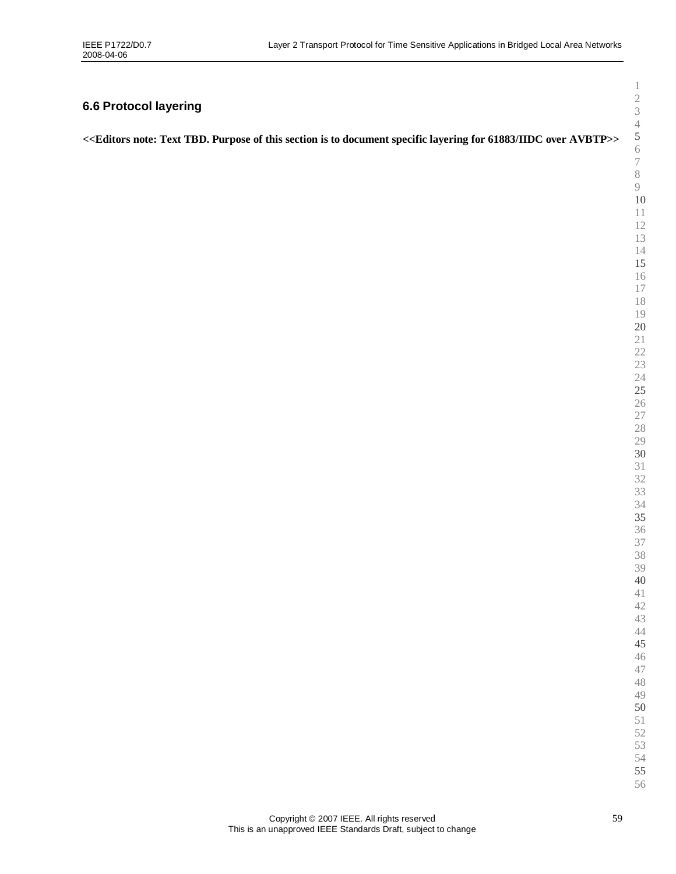# **6.6 Protocol layering**

<span id="page-58-0"></span>

|  | < <editors 61883="" avbtp="" document="" for="" iidc="" is="" layering="" note:="" of="" over="" purpose="" section="" specific="" tbd.="" text="" this="" to="">&gt;</editors> |
|--|---------------------------------------------------------------------------------------------------------------------------------------------------------------------------------|
|  |                                                                                                                                                                                 |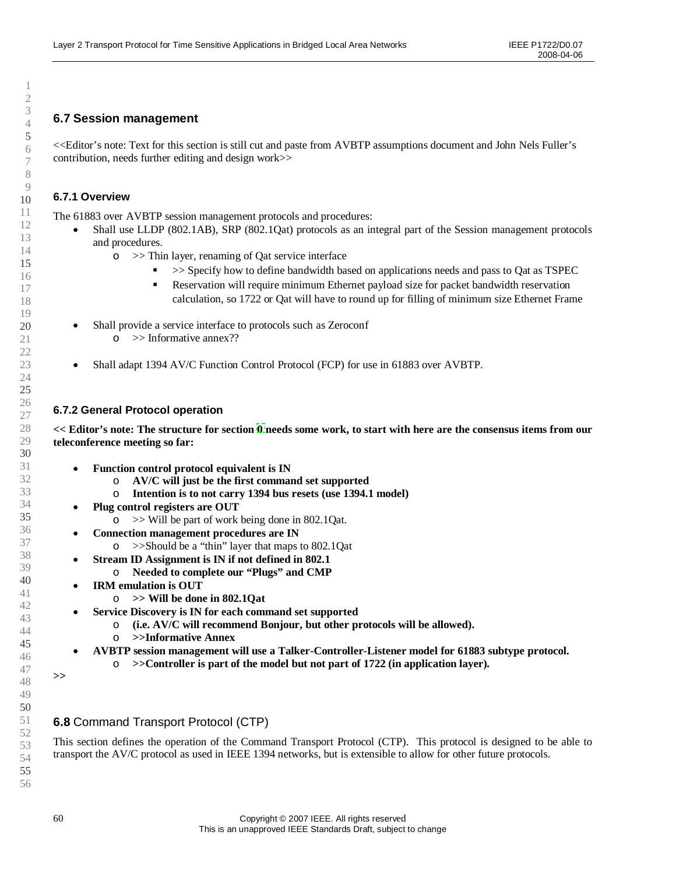### **6.7 Session management**

<<Editor's note: Text for this section is still cut and paste from AVBTP assumptions document and John Nels Fuller's contribution, needs further editing and design work>>

### **6.7.1 Overview**

The 61883 over AVBTP session management protocols and procedures:

- Shall use LLDP (802.1AB), SRP (802.1Qat) protocols as an integral part of the Session management protocols and procedures.
	- o >> Thin layer, renaming of Qat service interface
		- $\sim$  >> Specify how to define bandwidth based on applications needs and pass to Qat as TSPEC
		- Reservation will require minimum Ethernet payload size for packet bandwidth reservation calculation, so 1722 or Qat will have to round up for filling of minimum size Ethernet Frame
- Shall provide a service interface to protocols such as Zeroconf o >> Informative annex??
- Shall adapt 1394 AV/C Function Control Protocol (FCP) for use in 61883 over AVBTP.

### **6.7.2 General Protocol operation**

**<< Editor's note: The structure for section [0](#page-58-0) needs some work, to start with here are the consensus items from our teleconference meeting so far:**

- **Function control protocol equivalent is IN**
	- o **AV/C will just be the first command set supported**
	- o **Intention is to not carry 1394 bus resets (use 1394.1 model)**
- **Plug control registers are OUT**
	- o >> Will be part of work being done in 802.1Qat.
- **Connection management procedures are IN**
	- o >>Should be a "thin"layer that maps to 802.1Qat
	- **Stream ID Assignment is IN if not defined in 802.1**
	- o **Needed to complete our "Plugs"and CMP**
- **IRM emulation is OUT**
	- o **>> Will be done in 802.1Qat**
	- **Service Discovery is IN for each command set supported**
		- o **(i.e. AV/C will recommend Bonjour, but other protocols will be allowed).**
		- o **>>Informative Annex**
	- **AVBTP session management will use a Talker-Controller-Listener model for 61883 subtype protocol.**
		- o **>>Controller is part of the model but not part of 1722 (in application layer).**

#### **>>**

### **6.8** Command Transport Protocol (CTP)

This section defines the operation of the Command Transport Protocol (CTP). This protocol is designed to be able to transport the AV/C protocol as used in IEEE 1394 networks, but is extensible to allow for other future protocols.

1 2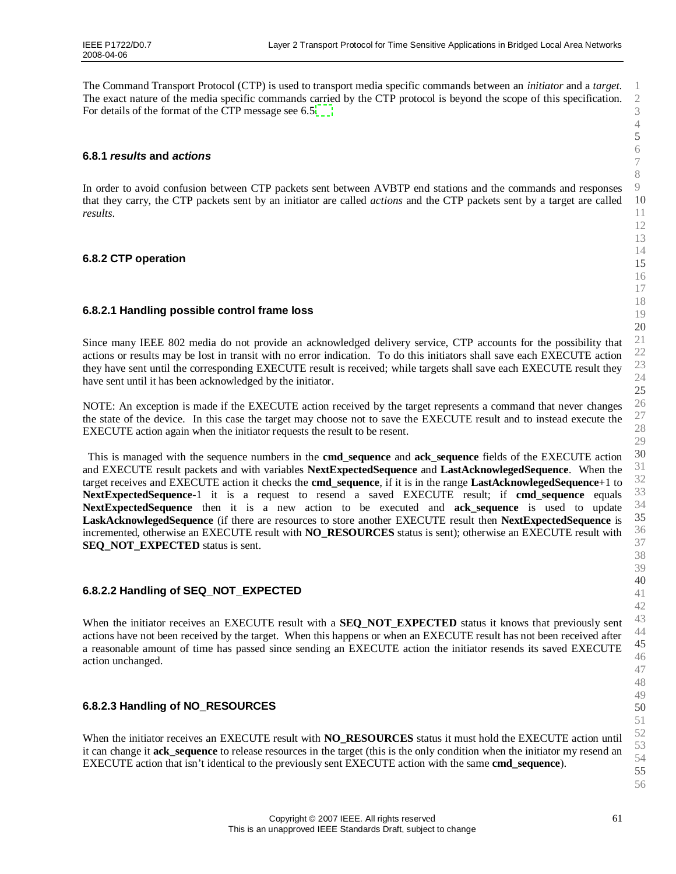The Command Transport Protocol (CTP) is used to transport media specific commands between an *initiator* and a *target*. The exact nature of the media specific commands carried by the CTP protocol is beyond the scope of this specification. For details of the format of the CTP message see 6.5[.](#page-50-0)

### **6.8.1** *results* **and** *actions*

In order to avoid confusion between CTP packets sent between AVBTP end stations and the commands and responses that they carry, the CTP packets sent by an initiator are called *actions* and the CTP packets sent by a target are called *results*.

### **6.8.2 CTP operation**

#### **6.8.2.1 Handling possible control frame loss**

Since many IEEE 802 media do not provide an acknowledged delivery service, CTP accounts for the possibility that actions or results may be lost in transit with no error indication. To do this initiators shall save each EXECUTE action they have sent until the corresponding EXECUTE result is received; while targets shall save each EXECUTE result they have sent until it has been acknowledged by the initiator.

NOTE: An exception is made if the EXECUTE action received by the target represents a command that never changes the state of the device. In this case the target may choose not to save the EXECUTE result and to instead execute the EXECUTE action again when the initiator requests the result to be resent.

This is managed with the sequence numbers in the **cmd\_sequence** and **ack\_sequence** fields of the EXECUTE action and EXECUTE result packets and with variables **NextExpectedSequence** and **LastAcknowlegedSequence**. When the target receives and EXECUTE action it checks the **cmd\_sequence**, if it is in the range **LastAcknowlegedSequence**+1 to **NextExpectedSequence**-1 it is a request to resend a saved EXECUTE result; if **cmd\_sequence** equals **NextExpectedSequence** then it is a new action to be executed and **ack\_sequence** is used to update **LaskAcknowlegedSequence** (if there are resources to store another EXECUTE result then **NextExpectedSequence** is incremented, otherwise an EXECUTE result with **NO\_RESOURCES** status is sent); otherwise an EXECUTE result with **SEQ\_NOT\_EXPECTED** status is sent.

#### **6.8.2.2 Handling of SEQ\_NOT\_EXPECTED**

When the initiator receives an EXECUTE result with a **SEQ\_NOT\_EXPECTED** status it knows that previously sent actions have not been received by the target. When this happens or when an EXECUTE result has not been received after a reasonable amount of time has passed since sending an EXECUTE action the initiator resends its saved EXECUTE action unchanged.

### **6.8.2.3 Handling of NO\_RESOURCES**

When the initiator receives an EXECUTE result with **NO\_RESOURCES** status it must hold the EXECUTE action until it can change it **ack\_sequence** to release resources in the target (this is the only condition when the initiator my resend an EXECUTE action that isn't identical to the previously sent EXECUTE action with the same **cmd\_sequence**).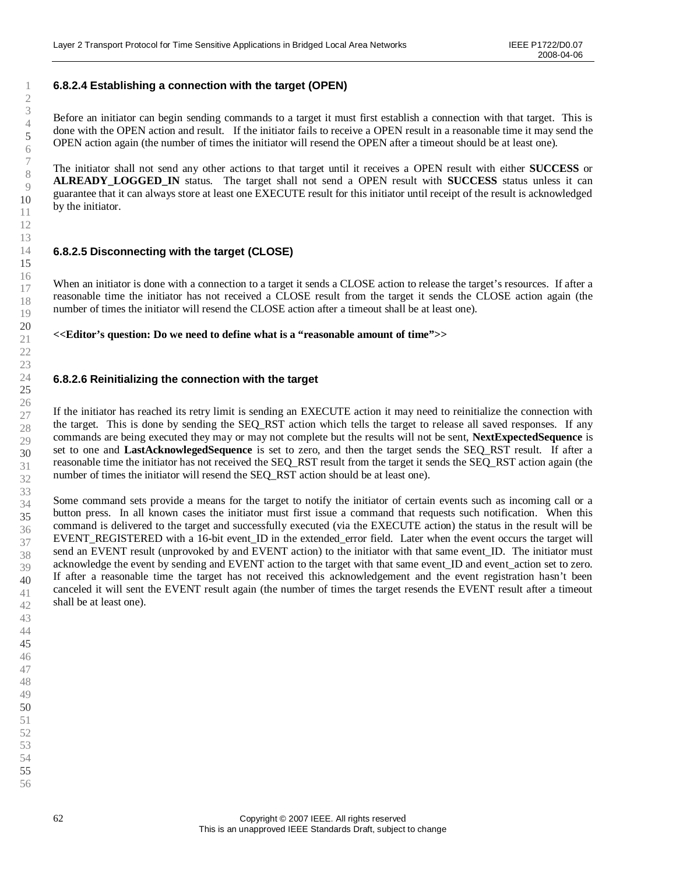### **6.8.2.4 Establishing a connection with the target (OPEN)**

Before an initiator can begin sending commands to a target it must first establish a connection with that target. This is done with the OPEN action and result. If the initiator fails to receive a OPEN result in a reasonable time it may send the OPEN action again (the number of times the initiator will resend the OPEN after a timeout should be at least one).

The initiator shall not send any other actions to that target until it receives a OPEN result with either **SUCCESS** or **ALREADY\_LOGGED\_IN** status. The target shall not send a OPEN result with **SUCCESS** status unless it can guarantee that it can always store at least one EXECUTE result for this initiator until receipt of the result is acknowledged by the initiator.

#### **6.8.2.5 Disconnecting with the target (CLOSE)**

When an initiator is done with a connection to a target it sends a CLOSE action to release the target's resources. If after a reasonable time the initiator has not received a CLOSE result from the target it sends the CLOSE action again (the number of times the initiator will resend the CLOSE action after a timeout shall be at least one).

**<<Editor's question: Do we need to define what is a "reasonable amount of time">>**

#### **6.8.2.6 Reinitializing the connection with the target**

If the initiator has reached its retry limit is sending an EXECUTE action it may need to reinitialize the connection with the target. This is done by sending the SEQ\_RST action which tells the target to release all saved responses. If any commands are being executed they may or may not complete but the results will not be sent, **NextExpectedSequence** is set to one and **LastAcknowlegedSequence** is set to zero, and then the target sends the SEQ\_RST result. If after a reasonable time the initiator has not received the SEQ\_RST result from the target it sends the SEQ\_RST action again (the number of times the initiator will resend the SEO\_RST action should be at least one).

Some command sets provide a means for the target to notify the initiator of certain events such as incoming call or a button press. In all known cases the initiator must first issue a command that requests such notification. When this command is delivered to the target and successfully executed (via the EXECUTE action) the status in the result will be EVENT\_REGISTERED with a 16-bit event\_ID in the extended\_error field. Later when the event occurs the target will send an EVENT result (unprovoked by and EVENT action) to the initiator with that same event ID. The initiator must acknowledge the event by sending and EVENT action to the target with that same event\_ID and event\_action set to zero. If after a reasonable time the target has not received this acknowledgement and the event registration hasn't been canceled it will sent the EVENT result again (the number of times the target resends the EVENT result after a timeout shall be at least one).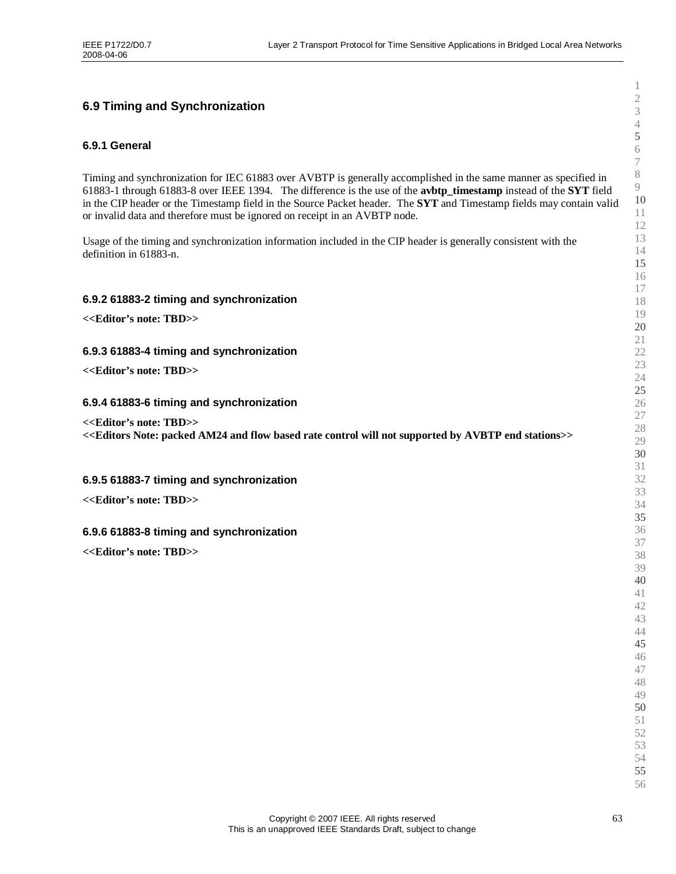### **6.9 Timing and Synchronization**

#### **6.9.1 General**

Timing and synchronization for IEC 61883 over AVBTP is generally accomplished in the same manner as specified in 61883-1 through 61883-8 over IEEE 1394. The difference is the use of the **avbtp\_timestamp** instead of the **SYT** field in the CIP header or the Timestamp field in the Source Packet header. The **SYT** and Timestamp fields may contain valid or invalid data and therefore must be ignored on receipt in an AVBTP node.

Usage of the timing and synchronization information included in the CIP header is generally consistent with the definition in 61883-n.

#### **6.9.2 61883-2 timing and synchronization**

**<<Editor's note: TBD>>**

#### **6.9.3 61883-4 timing and synchronization**

**<<Editor's note: TBD>>**

#### **6.9.4 61883-6 timing and synchronization**

**<<Editor's note: TBD>>**

**<<Editors Note: packed AM24 and flow based rate control will not supported by AVBTP end stations>>**

#### **6.9.5 61883-7 timing and synchronization**

**<<Editor's note: TBD>>**

#### **6.9.6 61883-8 timing and synchronization**

**<<Editor's note: TBD>>**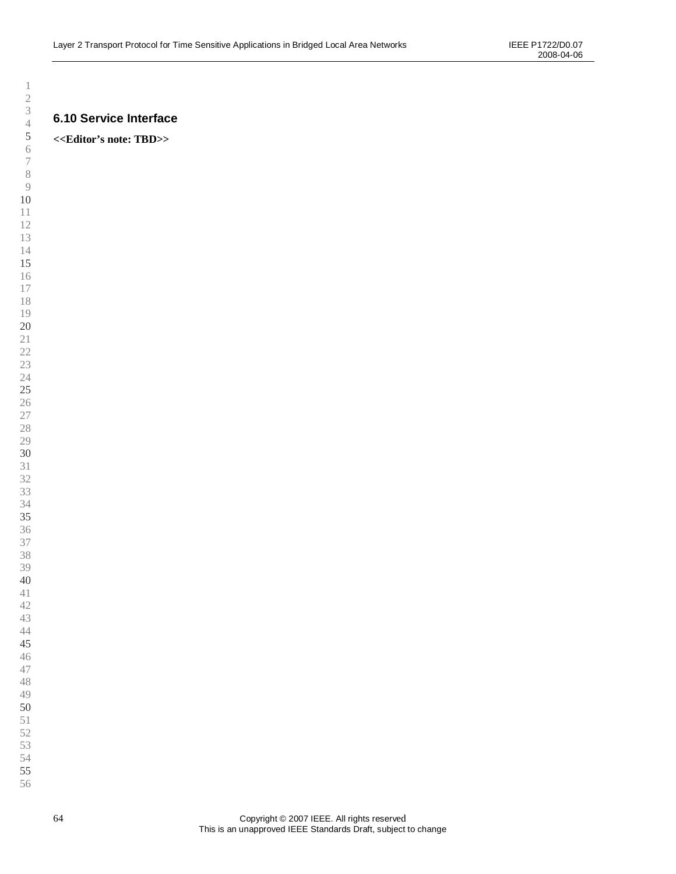### **6.10 Service Interface**

### **<<Editor's note: TBD>>**

 

 

- 
-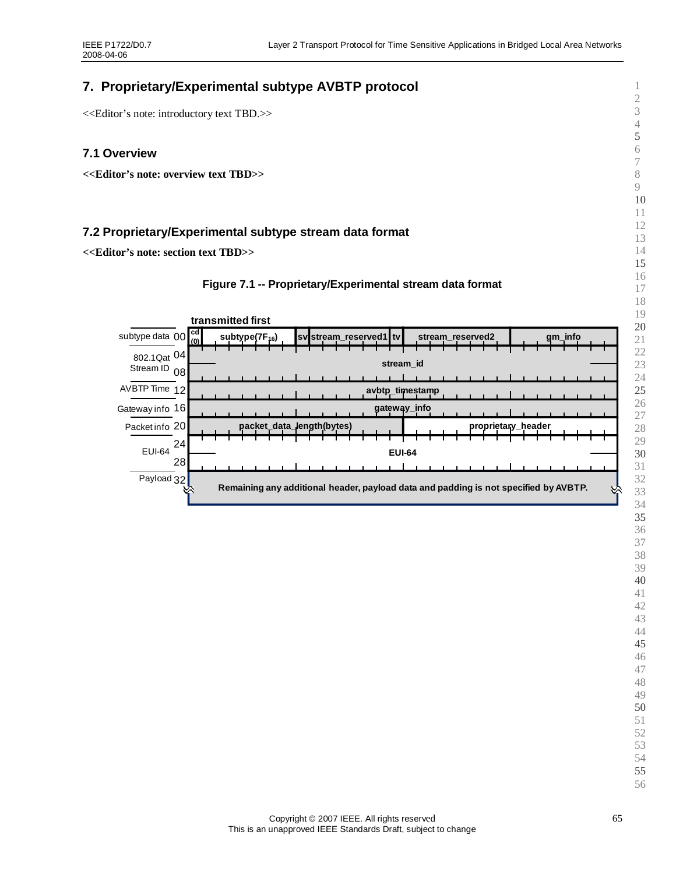# **7. Proprietary/Experimental subtype AVBTP protocol**

<<Editor's note: introductory text TBD.>>

### **7.1 Overview**

**<<Editor's note: overview text TBD>>**

### **7.2 Proprietary/Experimental subtype stream data format**

**<<Editor's note: section text TBD>>**



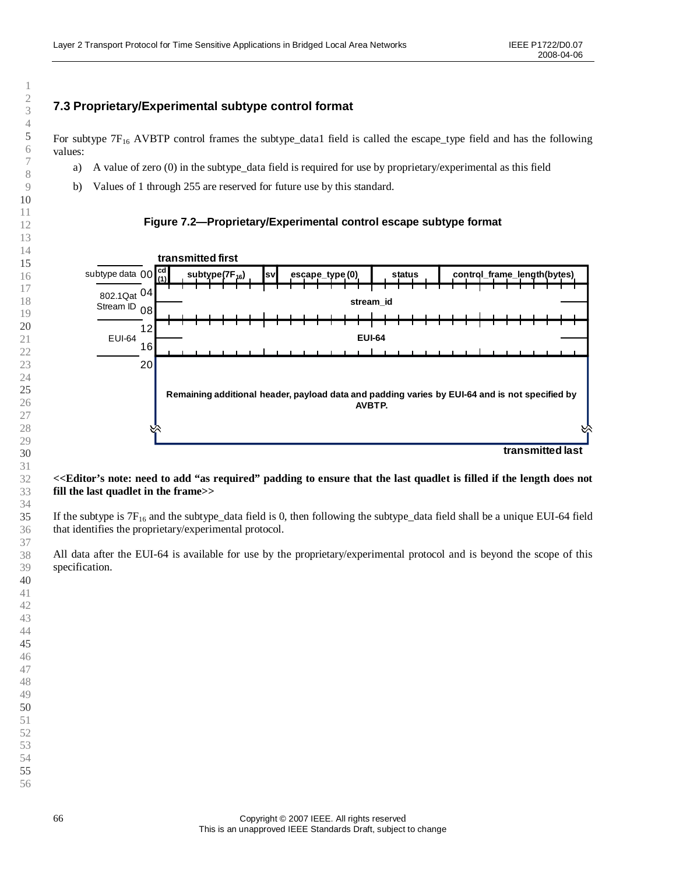### **7.3 Proprietary/Experimental subtype control format**

For subtype  $7F_{16}$  AVBTP control frames the subtype\_data1 field is called the escape\_type field and has the following values:

- a) A value of zero (0) in the subtype data field is required for use by proprietary/experimental as this field
- b) Values of 1 through 255 are reserved for future use by this standard.

#### **Figure 7.2— Proprietary/Experimental control escape subtype format**



**transmitted last**

#### **<<Editor's note: need to add "as required"padding to ensure that the last quadlet is filled if the length does not fill the last quadlet in the frame>>**

If the subtype is  $7F_{16}$  and the subtype\_data field is 0, then following the subtype\_data field shall be a unique EUI-64 field that identifies the proprietary/experimental protocol.

All data after the EUI-64 is available for use by the proprietary/experimental protocol and is beyond the scope of this specification.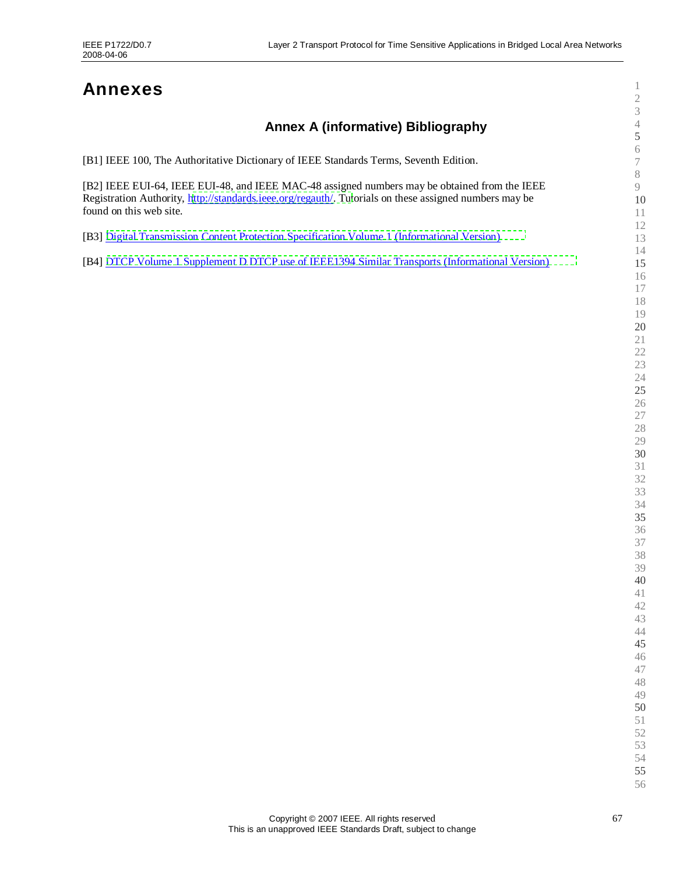# **Annexes**

# **Annex A (informative) Bibliography**

| [B1] IEEE 100, The Authoritative Dictionary of IEEE Standards Terms, Seventh Edition. |  |
|---------------------------------------------------------------------------------------|--|
|                                                                                       |  |
|                                                                                       |  |

[B2] IEEE EUI-64, IEEE EUI-48, and IEEE MAC-48 assigned numbers may be obtained from the IEEE Registration Authority, [http://standards.ieee.org/regauth/. Tut](http://standards.ieee.org/regauth/)orials on these assigned numbers may be found on this web site.

[B3] [Digital Transmission Content Protection Specification Volume 1 \(Informational Version\)](http://www.dtcp.com/data/info 20071001 DTCP V1 1p51.pdf)

[B4] [DTCP Volume 1 Supplement D DTCP use of IEEE1394 Similar Transports \(Informational Version\)](http://www.dtcp.com/data/info 20070615 DTCP V1SD  1p1.pdf)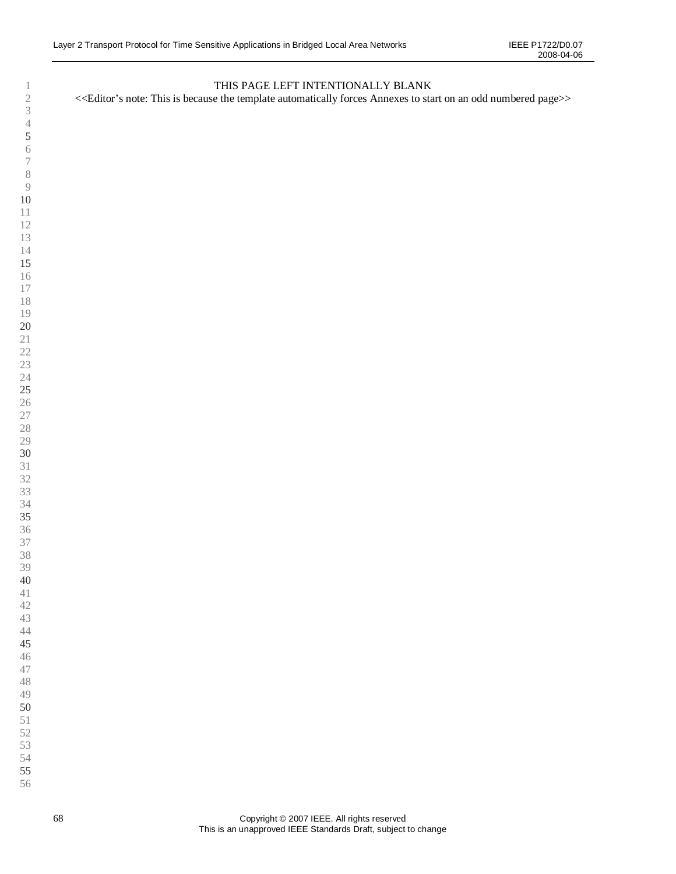### THIS PAGE LEFT INTENTIONALLY BLANK

<<Editor's note: This is because the template automatically forces Annexes to start on an odd numbered page>>

- 
- 
- 
- 
- 
- 
-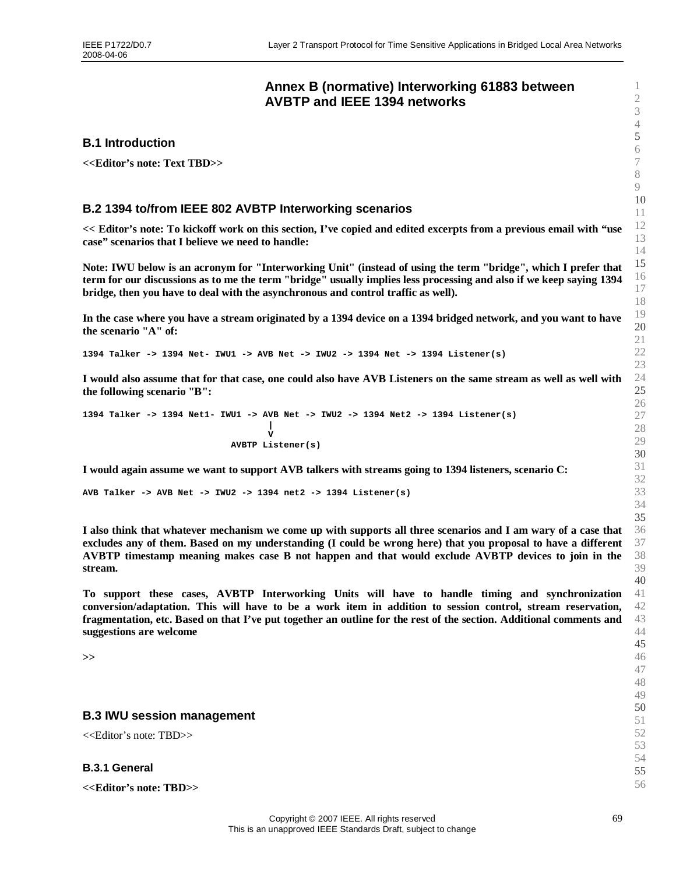### <span id="page-68-0"></span>**Annex B (normative) Interworking 61883 between AVBTP and IEEE 1394 networks**

#### **B.1 Introduction**

**<<Editor's note: Text TBD>>**

### **B.2 1394 to/from IEEE 802 AVBTP Interworking scenarios**

**<< Editor's note: To kickoff work on this section, I've copied and edited excerpts from a previous email with "use case"scenarios that I believe we need to handle:**

**Note: IWU below is an acronym for "Interworking Unit" (instead of using the term "bridge", which I prefer that term for our discussions as to me the term "bridge" usually implies less processing and also if we keep saying 1394 bridge, then you have to deal with the asynchronous and control traffic as well).**

**In the case where you have a stream originated by a 1394 device on a 1394 bridged network, and you want to have the scenario "A" of:**

**1394 Talker -> 1394 Net- IWU1 -> AVB Net -> IWU2 -> 1394 Net -> 1394 Listener(s)**

**I would also assume that for that case, one could also have AVB Listeners on the same stream as well as well with the following scenario "B":**

**1394 Talker -> 1394 Net1- IWU1 -> AVB Net -> IWU2 -> 1394 Net2 -> 1394 Listener(s) | V AVBTP Listener(s)**

**I would again assume we want to support AVB talkers with streams going to 1394 listeners, scenario C:**

**AVB Talker -> AVB Net -> IWU2 -> 1394 net2 -> 1394 Listener(s)**

**I also think that whatever mechanism we come up with supports all three scenarios and I am wary of a case that excludes any of them. Based on my understanding (I could be wrong here) that you proposal to have a different AVBTP timestamp meaning makes case B not happen and that would exclude AVBTP devices to join in the stream.**

**To support these cases, AVBTP Interworking Units will have to handle timing and synchronization conversion/adaptation. This will have to be a work item in addition to session control, stream reservation, fragmentation, etc. Based on that I've put together an outline for the rest of the section. Additional comments and suggestions are welcome**

**>>**

#### **B.3 IWU session management**

<<Editor's note: TBD>>

**B.3.1 General**

**<<Editor's note: TBD>>**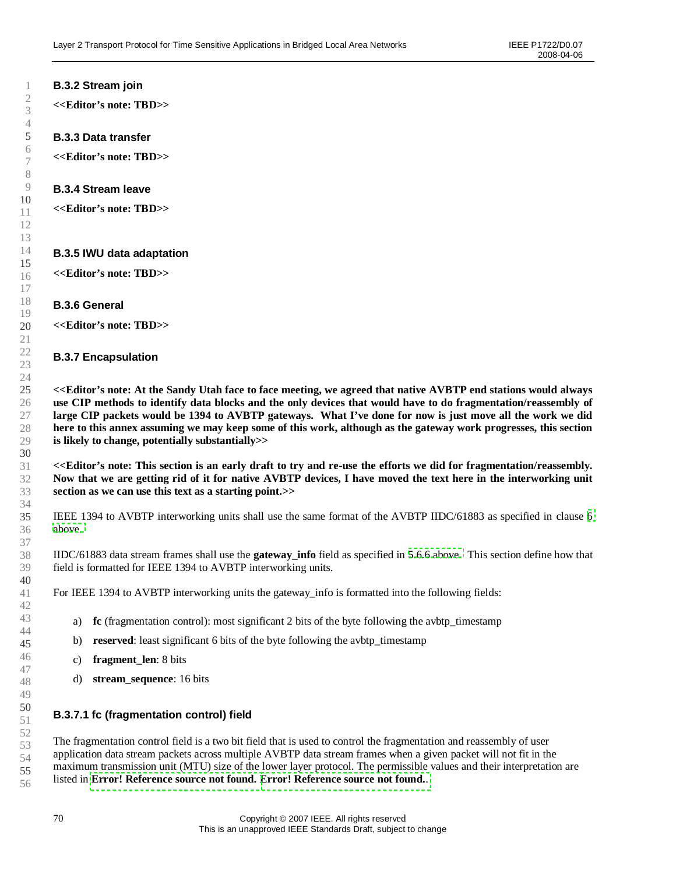### **B.3.2 Stream join**

**<<Editor's note: TBD>>**

#### **B.3.3 Data transfer**

**<<Editor's note: TBD>>**

#### **B.3.4 Stream leave**

**<<Editor's note: TBD>>**

#### **B.3.5 IWU data adaptation**

**<<Editor's note: TBD>>**

#### **B.3.6 General**

**<<Editor's note: TBD>>**

#### **B.3.7 Encapsulation**

**<<Editor's note: At the Sandy Utah face to face meeting, we agreed that native AVBTP end stations would always use CIP methods to identify data blocks and the only devices that would have to do fragmentation/reassembly of large CIP packets would be 1394 to AVBTP gateways. What I've done for now is just move all the work we did here to this annex assuming we may keep some of this work, although as the gateway work progresses, this section is likely to change, potentially substantially>>**

**<<Editor's note: This section is an early draft to try and re-use the efforts we did for fragmentation/reassembly. Now that we are getting rid of it for native AVBTP devices, I have moved the text here in the interworking unit section as we can use this text as a starting point.>>**

IEEE 1394 to AVBTP interworking units shall use the same format of the AVBTP IIDC/61883 as specified in clause [6](#page-42-0) [above.](#page-42-0)

IIDC/61883 data stream frames shall use the **gateway\_info** field as specified in [5.6.6 above.](#page-37-1) This section define how that field is formatted for IEEE 1394 to AVBTP interworking units.

For IEEE 1394 to AVBTP interworking units the gateway info is formatted into the following fields:

- a) **fc** (fragmentation control): most significant 2 bits of the byte following the avbtp timestamp
- b) **reserved**: least significant 6 bits of the byte following the avbtp timestamp
- c) **fragment\_len**: 8 bits
- d) **stream\_sequence**: 16 bits

#### **B.3.7.1 fc (fragmentation control) field**

The fragmentation control field is a two bit field that is used to control the fragmentation and reassembly of user application data stream packets across multiple AVBTP data stream frames when a given packet will not fit in the maximum transmission unit (MTU) size of the lower layer protocol. The permissible values and their interpretation are listed in **[Error! Reference source not found.](#page-78-0) [Error! Reference source not found.](#page-78-0)**.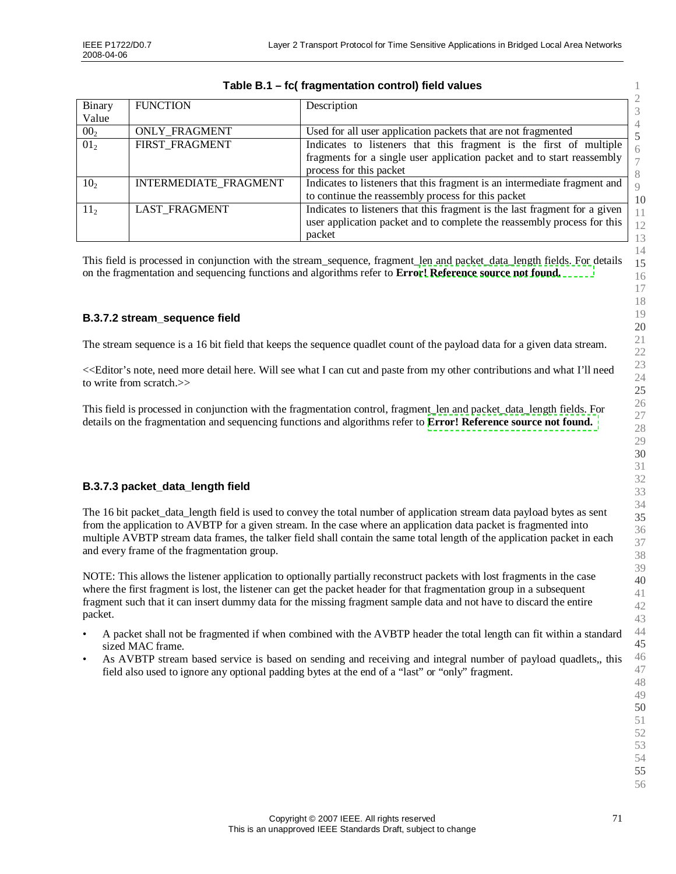| Binary<br>Value | <b>FUNCTION</b>              | Description                                                                                                                                                             |
|-----------------|------------------------------|-------------------------------------------------------------------------------------------------------------------------------------------------------------------------|
| 00 <sub>2</sub> | <b>ONLY FRAGMENT</b>         | Used for all user application packets that are not fragmented                                                                                                           |
| 01 <sub>2</sub> | FIRST_FRAGMENT               | Indicates to listeners that this fragment is the first of multiple<br>fragments for a single user application packet and to start reassembly<br>process for this packet |
| 10 <sub>2</sub> | <b>INTERMEDIATE FRAGMENT</b> | Indicates to listeners that this fragment is an intermediate fragment and<br>to continue the reassembly process for this packet                                         |
| 11 <sub>2</sub> | <b>LAST FRAGMENT</b>         | Indicates to listeners that this fragment is the last fragment for a given<br>user application packet and to complete the reassembly process for this<br>packet         |

### **Table B.1 –fc( fragmentation control) field values**

This field is processed in conjunction with the stream\_sequence, fragment\_len and packet\_data\_length fields. For details on the fragmentation and sequencing functions and algorithms refer to **Erro[r! Reference source not found.](#page-78-0)**

### **B.3.7.2 stream\_sequence field**

The stream sequence is a 16 bit field that keeps the sequence quadlet count of the payload data for a given data stream.

<<Editor's note, need more detail here. Will see what I can cut and paste from my other contributions and what I'll need to write from scratch.>>

This field is processed in conjunction with the fragmentation control, fragment\_len and packet\_data\_length fields. For details on the fragmentation and sequencing functions and algorithms refer to **[Error! Reference source not found.](#page-78-0)**

### **B.3.7.3 packet\_data\_length field**

The 16 bit packet\_data\_length field is used to convey the total number of application stream data payload bytes as sent from the application to AVBTP for a given stream. In the case where an application data packet is fragmented into multiple AVBTP stream data frames, the talker field shall contain the same total length of the application packet in each and every frame of the fragmentation group.

NOTE: This allows the listener application to optionally partially reconstruct packets with lost fragments in the case where the first fragment is lost, the listener can get the packet header for that fragmentation group in a subsequent fragment such that it can insert dummy data for the missing fragment sample data and not have to discard the entire packet.

- A packet shall not be fragmented if when combined with the AVBTP header the total length can fit within a standard sized MAC frame.
- As AVBTP stream based service is based on sending and receiving and integral number of payload quadlets,, this field also used to ignore any optional padding bytes at the end of a "last" or "only" fragment.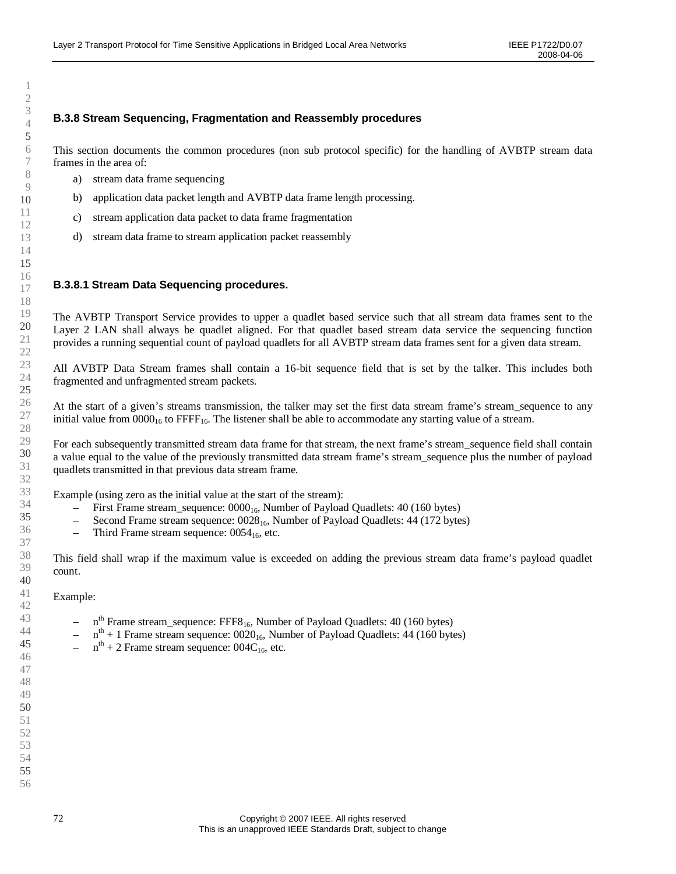### **B.3.8 Stream Sequencing, Fragmentation and Reassembly procedures**

This section documents the common procedures (non sub protocol specific) for the handling of AVBTP stream data frames in the area of:

- a) stream data frame sequencing
- b) application data packet length and AVBTP data frame length processing.
- c) stream application data packet to data frame fragmentation
- d) stream data frame to stream application packet reassembly

#### **B.3.8.1 Stream Data Sequencing procedures.**

The AVBTP Transport Service provides to upper a quadlet based service such that all stream data frames sent to the Layer 2 LAN shall always be quadlet aligned. For that quadlet based stream data service the sequencing function provides a running sequential count of payload quadlets for all AVBTP stream data frames sent for a given data stream.

All AVBTP Data Stream frames shall contain a 16-bit sequence field that is set by the talker. This includes both fragmented and unfragmented stream packets.

At the start of a given's streams transmission, the talker may set the first data stream frame's stream\_sequence to any initial value from  $0000_{16}$  to FFFF<sub>16</sub>. The listener shall be able to accommodate any starting value of a stream.

For each subsequently transmitted stream data frame for that stream, the next frame's stream\_sequence field shall contain a value equal to the value of the previously transmitted data stream frame's stream\_sequence plus the number of payload quadlets transmitted in that previous data stream frame.

Example (using zero as the initial value at the start of the stream):

- First Frame stream\_sequence:  $0000_{16}$ , Number of Payload Quadlets: 40 (160 bytes)
- Second Frame stream sequence:  $0028_{16}$ , Number of Payload Quadlets: 44 (172 bytes)
- Third Frame stream sequence:  $0054_{16}$ , etc.

This field shall wrap if the maximum value is exceeded on adding the previous stream data frame's payload quadlet count.

#### Example:

- $-$  n<sup>th</sup> Frame stream\_sequence: FFF8<sub>16</sub>, Number of Payload Quadlets: 40 (160 bytes)
- $-$  n<sup>th</sup> + 1 Frame stream sequence: 0020<sub>16</sub>, Number of Payload Quadlets: 44 (160 bytes)
- $-$  n<sup>th</sup> + 2 Frame stream sequence: 004C<sub>16</sub>, etc.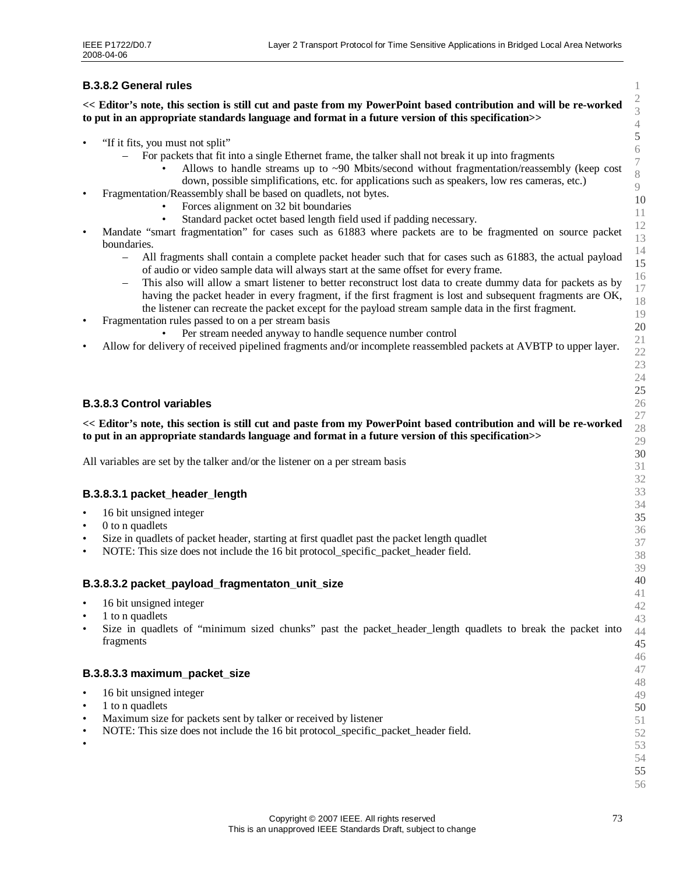# **B.3.8.2 General rules**

**<< Editor's note, this section is still cut and paste from my PowerPoint based contribution and will be re-worked to put in an appropriate standards language and format in a future version of this specification>>**

- "If it fits, you must not split"
	- For packets that fit into a single Ethernet frame, the talker shall not break it up into fragments
		- Allows to handle streams up to  $\sim$ 90 Mbits/second without fragmentation/reassembly (keep cost down, possible simplifications, etc. for applications such as speakers, low res cameras, etc.)
- Fragmentation/Reassembly shall be based on quadlets, not bytes.
	- Forces alignment on 32 bit boundaries
	- Standard packet octet based length field used if padding necessary.
- Mandate "smart fragmentation" for cases such as 61883 where packets are to be fragmented on source packet boundaries.
	- All fragments shall contain a complete packet header such that for cases such as 61883, the actual payload of audio or video sample data will always start at the same offset for every frame.
	- This also will allow a smart listener to better reconstruct lost data to create dummy data for packets as by having the packet header in every fragment, if the first fragment is lost and subsequent fragments are OK, the listener can recreate the packet except for the payload stream sample data in the first fragment.
- Fragmentation rules passed to on a per stream basis
	- Per stream needed anyway to handle sequence number control
- Allow for delivery of received pipelined fragments and/or incomplete reassembled packets at AVBTP to upper layer.

#### **B.3.8.3 Control variables**

## **<< Editor's note, this section is still cut and paste from my PowerPoint based contribution and will be re-worked to put in an appropriate standards language and format in a future version of this specification>>**

All variables are set by the talker and/or the listener on a per stream basis

#### **B.3.8.3.1 packet\_header\_length**

- 16 bit unsigned integer
- 0 to n quadlets
- Size in quadlets of packet header, starting at first quadlet past the packet length quadlet
- NOTE: This size does not include the 16 bit protocol specific packet header field.

#### **B.3.8.3.2 packet\_payload\_fragmentaton\_unit\_size**

- 16 bit unsigned integer
- 1 to n quadlets
- Size in quadlets of "minimum sized chunks" past the packet\_header\_length quadlets to break the packet into fragments

#### **B.3.8.3.3 maximum\_packet\_size**

- 16 bit unsigned integer
- 1 to n quadlets
- Maximum size for packets sent by talker or received by listener
- NOTE: This size does not include the 16 bit protocol\_specific\_packet\_header field.
- •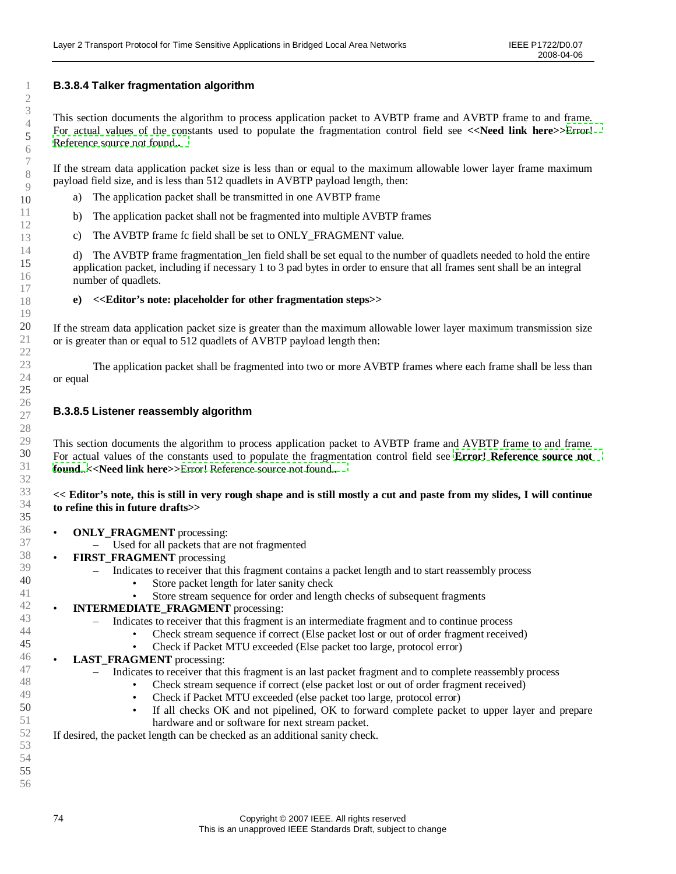# **B.3.8.4 Talker fragmentation algorithm**

This section documents the algorithm to process application packet to AVBTP frame and AVBTP frame to and frame. For actual values of the constants used to populate the fragmentation control field see <<Need link here> $\geq$ [Error!](#page-78-0) [Reference source not found.](#page-78-0)**.**

If the stream data application packet size is less than or equal to the maximum allowable lower layer frame maximum payload field size, and is less than 512 quadlets in AVBTP payload length, then:

- a) The application packet shall be transmitted in one AVBTP frame
- b) The application packet shall not be fragmented into multiple AVBTP frames
- c) The AVBTP frame fc field shall be set to ONLY\_FRAGMENT value.

d) The AVBTP frame fragmentation\_len field shall be set equal to the number of quadlets needed to hold the entire application packet, including if necessary 1 to 3 pad bytes in order to ensure that all frames sent shall be an integral number of quadlets.

#### **e) <<Editor's note: placeholder for other fragmentation steps>>**

If the stream data application packet size is greater than the maximum allowable lower layer maximum transmission size or is greater than or equal to 512 quadlets of AVBTP payload length then:

The application packet shall be fragmented into two or more AVBTP frames where each frame shall be less than or equal

#### **B.3.8.5 Listener reassembly algorithm**

This section documents the algorithm to process application packet to AVBTP frame and AVBTP frame to and frame. For actual values of the constants used to populate the fragmentation control field see **[Error! Reference source not](#page-78-0) [found.](#page-78-0)**.**<<Need link here>>**[Error! Reference source not found.](#page-78-0)**.**

#### **<< Editor's note, this is still in very rough shape and is still mostly a cut and paste from my slides, I will continue to refine this in future drafts>>**

- **ONLY\_FRAGMENT** processing:
	- Used for all packets that are not fragmented
- **FIRST\_FRAGMENT** processing
	- Indicates to receiver that this fragment contains a packet length and to start reassembly process
		- Store packet length for later sanity check
		- Store stream sequence for order and length checks of subsequent fragments
- **INTERMEDIATE\_FRAGMENT** processing:
	- Indicates to receiver that this fragment is an intermediate fragment and to continue process
		- Check stream sequence if correct (Else packet lost or out of order fragment received)
			- Check if Packet MTU exceeded (Else packet too large, protocol error)
- **LAST\_FRAGMENT** processing:
	- Indicates to receiver that this fragment is an last packet fragment and to complete reassembly process
		- Check stream sequence if correct (else packet lost or out of order fragment received)
		- Check if Packet MTU exceeded (else packet too large, protocol error)
		- If all checks OK and not pipelined, OK to forward complete packet to upper layer and prepare hardware and or software for next stream packet.

If desired, the packet length can be checked as an additional sanity check.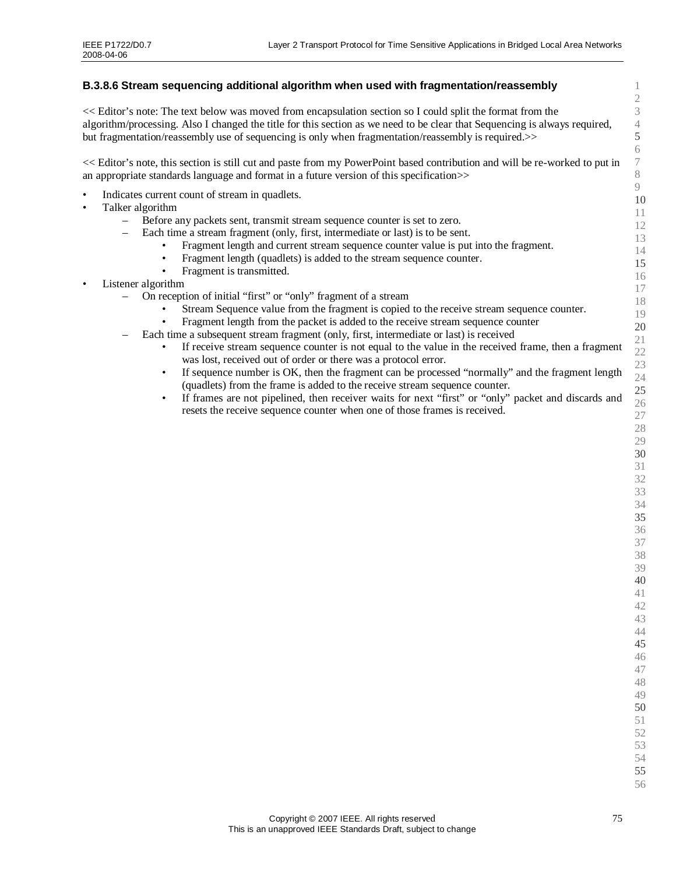# **B.3.8.6 Stream sequencing additional algorithm when used with fragmentation/reassembly**

<< Editor's note: The text below was moved from encapsulation section so I could split the format from the algorithm/processing. Also I changed the title for this section as we need to be clear that Sequencing is always required, but fragmentation/reassembly use of sequencing is only when fragmentation/reassembly is required.>>

<< Editor's note, this section is still cut and paste from my PowerPoint based contribution and will be re-worked to put in an appropriate standards language and format in a future version of this specification>>

- Indicates current count of stream in quadlets.
- Talker algorithm
	- Before any packets sent, transmit stream sequence counter is set to zero.
		- Each time a stream fragment (only, first, intermediate or last) is to be sent.
			- Fragment length and current stream sequence counter value is put into the fragment.
			- Fragment length (quadlets) is added to the stream sequence counter.
			- Fragment is transmitted.
- Listener algorithm
	- On reception of initial "first" or "only" fragment of a stream
		- Stream Sequence value from the fragment is copied to the receive stream sequence counter.
			- Fragment length from the packet is added to the receive stream sequence counter
	- Each time a subsequent stream fragment (only, first, intermediate or last) is received
		- If receive stream sequence counter is not equal to the value in the received frame, then a fragment was lost, received out of order or there was a protocol error.
		- If sequence number is OK, then the fragment can be processed "normally" and the fragment length (quadlets) from the frame is added to the receive stream sequence counter.
		- If frames are not pipelined, then receiver waits for next "first" or "only" packet and discards and resets the receive sequence counter when one of those frames is received.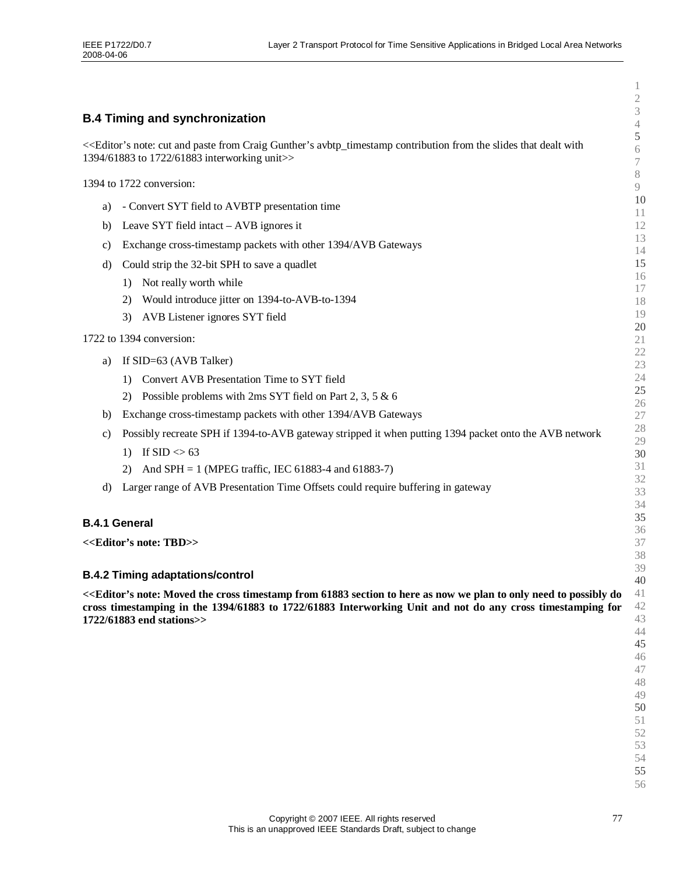|                                                                                                                                                                                                                          | $\overline{c}$                             |
|--------------------------------------------------------------------------------------------------------------------------------------------------------------------------------------------------------------------------|--------------------------------------------|
| <b>B.4 Timing and synchronization</b>                                                                                                                                                                                    | $\ensuremath{\mathfrak{Z}}$<br>$\sqrt{4}$  |
| << <editor's and="" avbtp_timestamp="" contribution="" craig="" cut="" dealt="" from="" gunther's="" note:="" paste="" slides="" that="" the="" with<br="">1394/61883 to 1722/61883 interworking unit&gt;&gt;</editor's> | $\mathfrak s$<br>$6\,$<br>$\boldsymbol{7}$ |
| 1394 to 1722 conversion:                                                                                                                                                                                                 | $8\,$<br>9                                 |
|                                                                                                                                                                                                                          | 10                                         |
| - Convert SYT field to AVBTP presentation time<br>a)                                                                                                                                                                     | 11                                         |
| Leave SYT field intact – AVB ignores it<br>b)                                                                                                                                                                            | 12<br>13                                   |
| Exchange cross-timestamp packets with other 1394/AVB Gateways<br>C)                                                                                                                                                      | 14                                         |
| Could strip the 32-bit SPH to save a quadlet<br>d)                                                                                                                                                                       | 15                                         |
| Not really worth while<br>1)                                                                                                                                                                                             | 16                                         |
| Would introduce jitter on 1394-to-AVB-to-1394<br>2)                                                                                                                                                                      | 17<br>18                                   |
| 3)<br>AVB Listener ignores SYT field                                                                                                                                                                                     | 19                                         |
| 1722 to 1394 conversion:                                                                                                                                                                                                 | 20                                         |
|                                                                                                                                                                                                                          | 21<br>22                                   |
| If SID=63 (AVB Talker)<br>a)                                                                                                                                                                                             | 23                                         |
| Convert AVB Presentation Time to SYT field<br>1)                                                                                                                                                                         | 24                                         |
| Possible problems with $2ms$ SYT field on Part 2, 3, 5 & 6<br>2)                                                                                                                                                         | 25<br>26                                   |
| Exchange cross-timestamp packets with other 1394/AVB Gateways<br>b)                                                                                                                                                      | $27\,$                                     |
| Possibly recreate SPH if 1394-to-AVB gateway stripped it when putting 1394 packet onto the AVB network<br>C)                                                                                                             | 28                                         |
| If SID $\leq 63$<br>1)                                                                                                                                                                                                   | 29<br>30                                   |
| And SPH = 1 (MPEG traffic, IEC 61883-4 and 61883-7)<br>2)                                                                                                                                                                | 31                                         |
| Larger range of AVB Presentation Time Offsets could require buffering in gateway<br>d)                                                                                                                                   | 32                                         |
|                                                                                                                                                                                                                          | 33<br>34                                   |
|                                                                                                                                                                                                                          | 35                                         |
| <b>B.4.1 General</b>                                                                                                                                                                                                     | 36                                         |
| < <editor's note:="" tbd="">&gt;</editor's>                                                                                                                                                                              | 37                                         |
|                                                                                                                                                                                                                          | 38<br>39                                   |
| <b>B.4.2 Timing adaptations/control</b>                                                                                                                                                                                  | 40                                         |
| << <editor's 61883="" as="" cross="" do<="" from="" here="" moved="" need="" note:="" now="" only="" plan="" possibly="" section="" td="" the="" timestamp="" to="" we=""><td>41</td></editor's>                         | 41                                         |
| cross timestamping in the 1394/61883 to 1722/61883 Interworking Unit and not do any cross timestamping for<br>1722/61883 end stations>>                                                                                  | 42<br>43                                   |
|                                                                                                                                                                                                                          | 44                                         |
|                                                                                                                                                                                                                          | 45                                         |
|                                                                                                                                                                                                                          | 46<br>47                                   |
|                                                                                                                                                                                                                          | 48                                         |
|                                                                                                                                                                                                                          | 49                                         |
|                                                                                                                                                                                                                          | 50<br>51                                   |
|                                                                                                                                                                                                                          | 52                                         |
|                                                                                                                                                                                                                          | 53                                         |
|                                                                                                                                                                                                                          | 54<br>55                                   |
|                                                                                                                                                                                                                          | 56                                         |
|                                                                                                                                                                                                                          |                                            |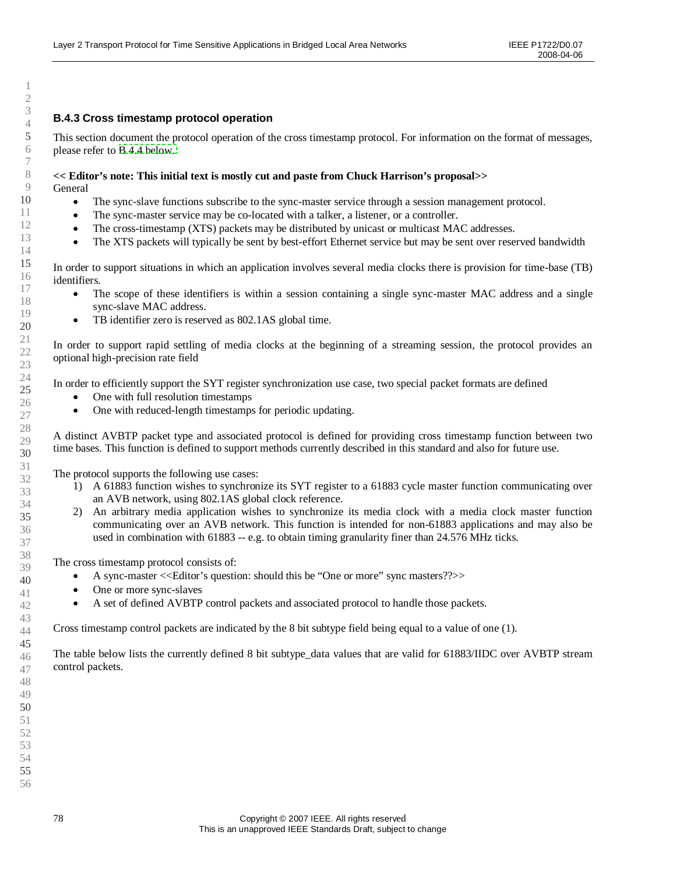## **B.4.3 Cross timestamp protocol operation**

This section document the protocol operation of the cross timestamp protocol. For information on the format of messages, please refer to [B.4.4 below.](#page-78-0)

#### **<< Editor's note: This initial text is mostly cut and paste from Chuck Harrison's proposal>>** General

- The sync-slave functions subscribe to the sync-master service through a session management protocol.
- The sync-master service may be co-located with a talker, a listener, or a controller.
- The cross-timestamp (XTS) packets may be distributed by unicast or multicast MAC addresses.
- The XTS packets will typically be sent by best-effort Ethernet service but may be sent over reserved bandwidth

In order to support situations in which an application involves several media clocks there is provision for time-base (TB) identifiers.

- The scope of these identifiers is within a session containing a single sync-master MAC address and a single sync-slave MAC address.
- TB identifier zero is reserved as 802.1AS global time.

In order to support rapid settling of media clocks at the beginning of a streaming session, the protocol provides an optional high-precision rate field

In order to efficiently support the SYT register synchronization use case, two special packet formats are defined

- One with full resolution timestamps
- One with reduced-length timestamps for periodic updating.

A distinct AVBTP packet type and associated protocol is defined for providing cross timestamp function between two time bases. This function is defined to support methods currently described in this standard and also for future use.

The protocol supports the following use cases:

- 1) A 61883 function wishes to synchronize its SYT register to a 61883 cycle master function communicating over an AVB network, using 802.1AS global clock reference.
- 2) An arbitrary media application wishes to synchronize its media clock with a media clock master function communicating over an AVB network. This function is intended for non-61883 applications and may also be used in combination with 61883 -- e.g. to obtain timing granularity finer than 24.576 MHz ticks.

The cross timestamp protocol consists of:

- A sync-master <<Editor's question: should this be "One or more"sync masters??>>
- One or more sync-slaves
- A set of defined AVBTP control packets and associated protocol to handle those packets.

Cross timestamp control packets are indicated by the 8 bit subtype field being equal to a value of one (1).

The table below lists the currently defined 8 bit subtype data values that are valid for 61883/IIDC over AVBTP stream control packets.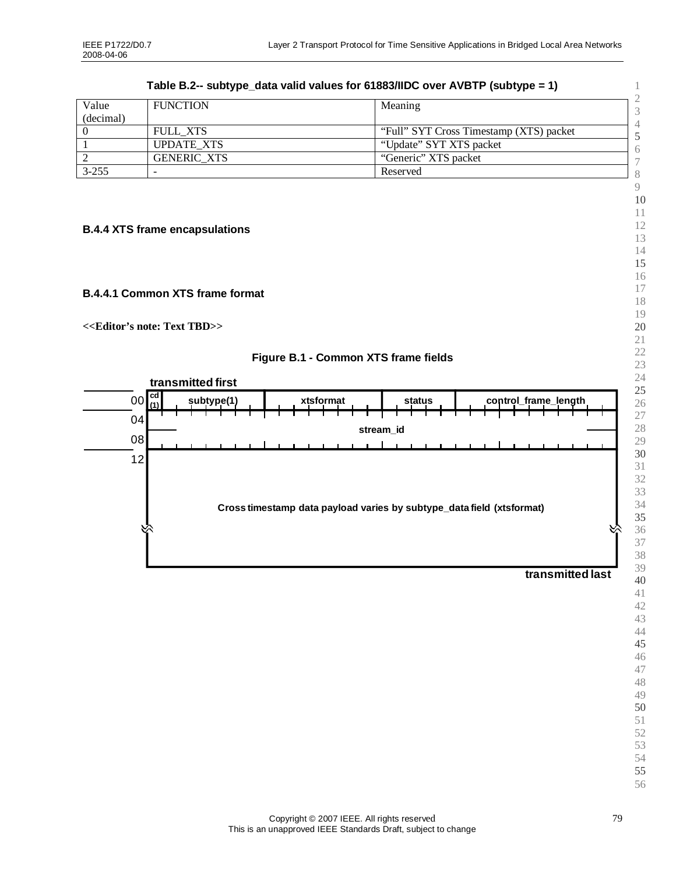<span id="page-78-0"></span>

| Value<br>(decimal) | <b>FUNCTION</b>    | Meaning<br>3                            |
|--------------------|--------------------|-----------------------------------------|
|                    | FULL XTS           | "Full" SYT Cross Timestamp (XTS) packet |
|                    | <b>UPDATE XTS</b>  | "Update" SYT XTS packet                 |
|                    | <b>GENERIC XTS</b> | "Generic" XTS packet                    |
| $3 - 255$          |                    | Reserved                                |
|                    |                    | $\Omega$                                |

**Table B.2-- subtype\_data valid values for 61883/IIDC over AVBTP (subtype = 1)**

# **B.4.4 XTS frame encapsulations**

# **B.4.4.1 Common XTS frame format**

**<<Editor's note: Text TBD>>**



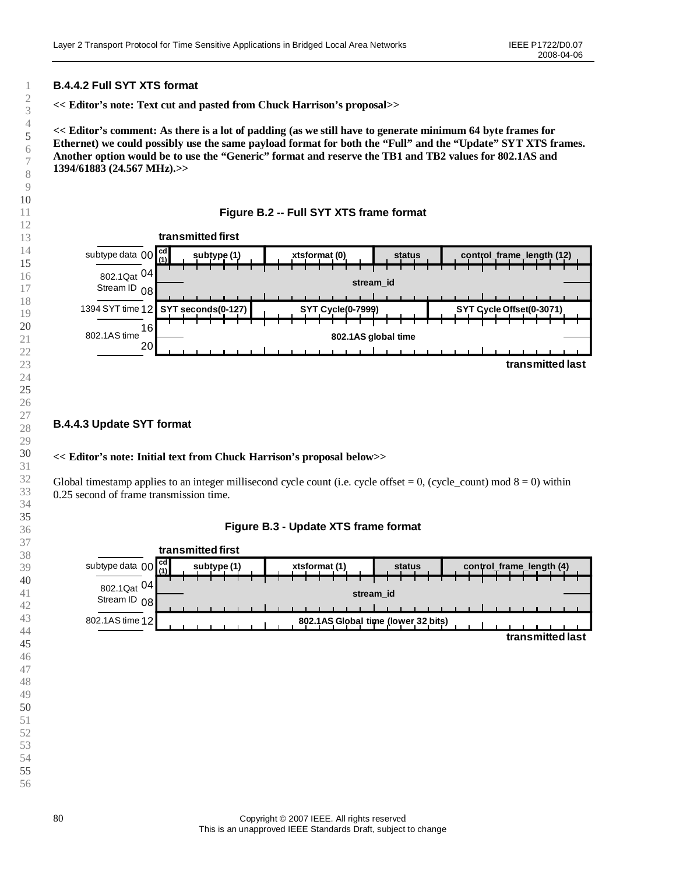# **B.4.4.2 Full SYT XTS format**

**<< Editor's note: Text cut and pasted from Chuck Harrison's proposal>>**

**<< Editor's comment: As there is a lot of padding (as we still have to generate minimum 64 byte frames for Ethernet) we could possibly use the same payload format for both the "Full"and the "Update"SYT XTS frames. Another option would be to use the "Generic"format and reserve the TB1 and TB2 values for 802.1AS and 1394/61883 (24.567 MHz).>>**

#### **Figure B.2 -- Full SYT XTS frame format**



# **B.4.4.3 Update SYT format**

#### **<< Editor's note: Initial text from Chuck Harrison's proposal below>>**

Global timestamp applies to an integer millisecond cycle count (i.e. cycle offset = , (cycle\_count) mod  $8 = 0$ ) within 0.25 second of frame transmission time.

#### **Figure B.3 - Update XTS frame format**

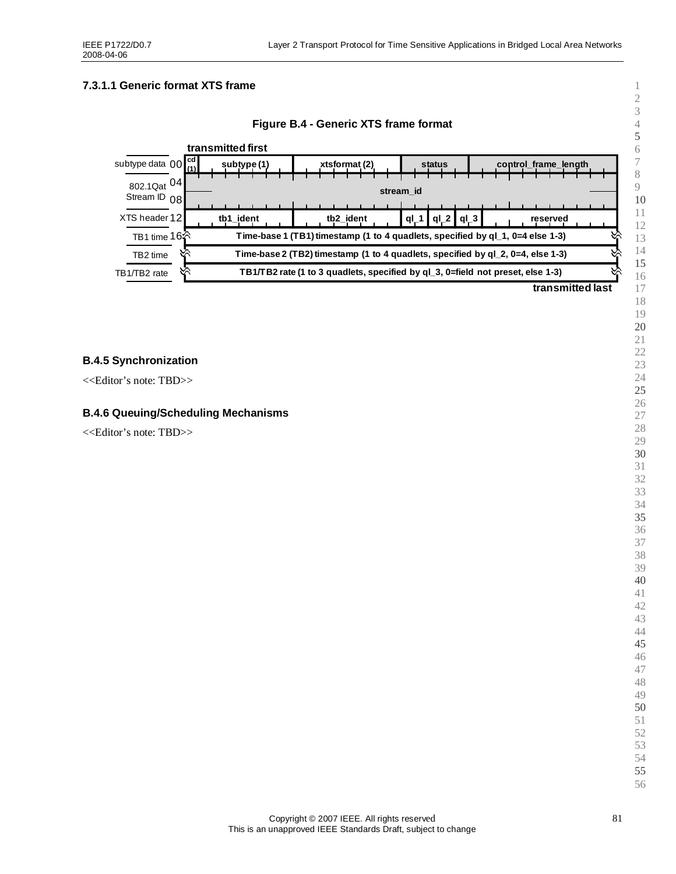# **7.3.1.1 Generic format XTS frame**





#### **B.4.5 Synchronization**

<<Editor's note: TBD>>

# **B.4.6 Queuing/Scheduling Mechanisms**

<<Editor's note: TBD>>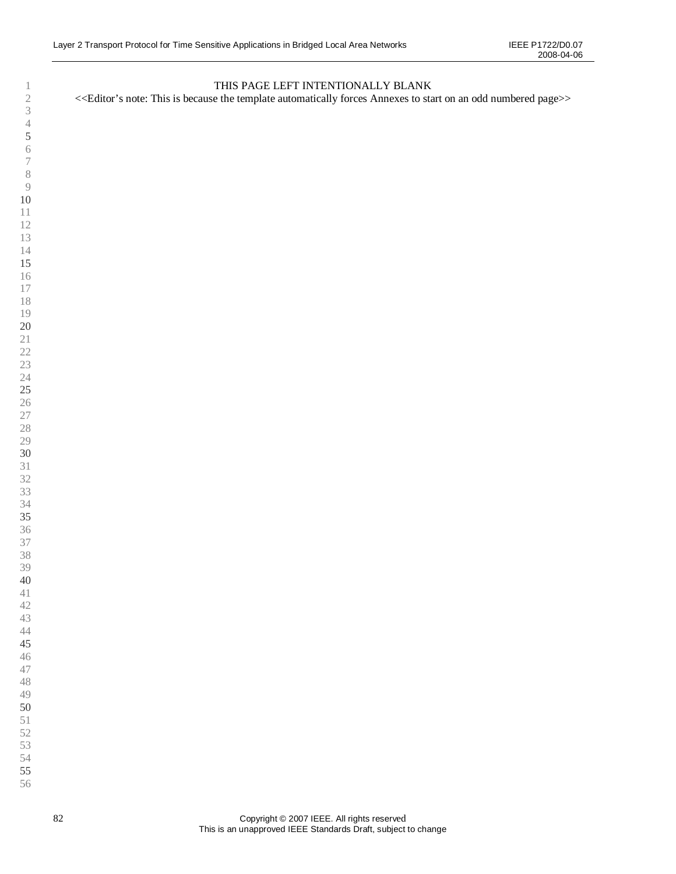# THIS PAGE LEFT INTENTIONALLY BLANK

<<Editor's note: This is because the template automatically forces Annexes to start on an odd numbered page>>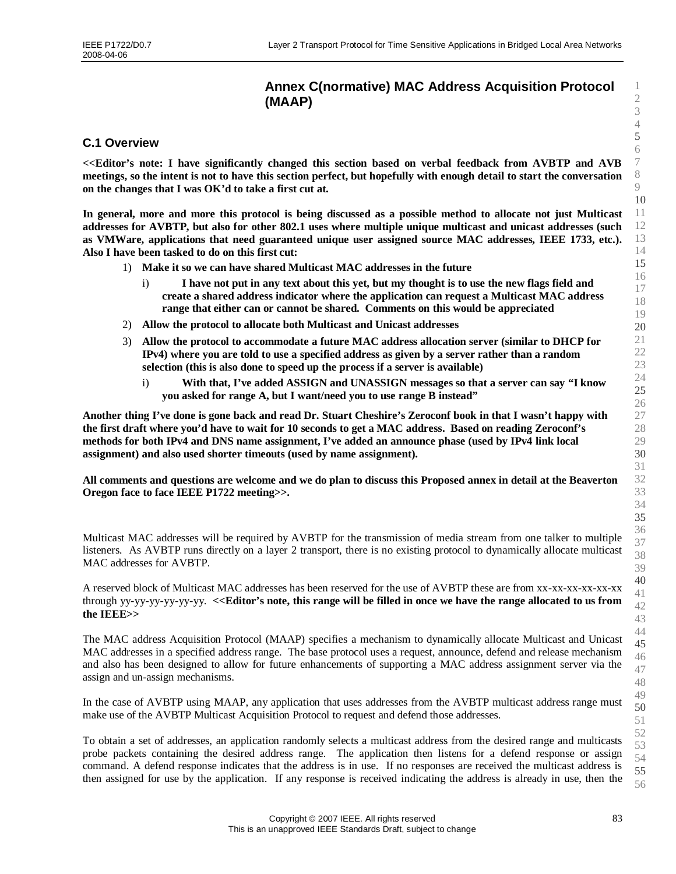# **Annex C(normative) MAC Address Acquisition Protocol (MAAP)**

# **C.1 Overview**

**<<Editor's note: I have significantly changed this section based on verbal feedback from AVBTP and AVB meetings, so the intent is not to have this section perfect, but hopefully with enough detail to start the conversation on the changes that I was OK'd to take a first cut at.**

**In general, more and more this protocol is being discussed as a possible method to allocate not just Multicast addresses for AVBTP, but also for other 802.1 uses where multiple unique multicast and unicast addresses (such as VMWare, applications that need guaranteed unique user assigned source MAC addresses, IEEE 1733, etc.). Also I have been tasked to do on this first cut:**

- 1) **Make it so we can have shared Multicast MAC addresses in the future**
	- i) **I have not put in any text about this yet, but my thought is to use the new flags field and create a shared address indicator where the application can request a Multicast MAC address range that either can or cannot be shared. Comments on this would be appreciated**
- 2) **Allow the protocol to allocate both Multicast and Unicast addresses**
- 3) **Allow the protocol to accommodate a future MAC address allocation server (similar to DHCP for IPv4) where you are told to use a specified address as given by a server rather than a random selection (this is also done to speed up the process if a server is available)**
	- i) **With that, I've added ASSIGN and UNASSIGN messages so that a server can say "I know you asked for range A, but I want/need you to use range B instead"**

**Another thing I've done is gone back and read Dr. Stuart Cheshire's Zeroconf book in that I wasn't happy with the first draft where you'd have to wait for 10 seconds to get a MAC address. Based on reading Zeroconf's methods for both IPv4 and DNS name assignment, I've added an announce phase (used by IPv4 link local assignment) and also used shorter timeouts (used by name assignment).**

**All comments and questions are welcome and we do plan to discuss this Proposed annex in detail at the Beaverton Oregon face to face IEEE P1722 meeting>>.**

Multicast MAC addresses will be required by AVBTP for the transmission of media stream from one talker to multiple listeners. As AVBTP runs directly on a layer 2 transport, there is no existing protocol to dynamically allocate multicast MAC addresses for AVBTP.

A reserved block of Multicast MAC addresses has been reserved for the use of AVBTP these are from xx-xx-xx-xx-xx-xx through yy-yy-yy-yy-yy-yy. **<<Editor's note, this range will be filled in once we have the range allocated to us from the IEEE>>**

The MAC address Acquisition Protocol (MAAP) specifies a mechanism to dynamically allocate Multicast and Unicast MAC addresses in a specified address range. The base protocol uses a request, announce, defend and release mechanism and also has been designed to allow for future enhancements of supporting a MAC address assignment server via the assign and un-assign mechanisms.

In the case of AVBTP using MAAP, any application that uses addresses from the AVBTP multicast address range must make use of the AVBTP Multicast Acquisition Protocol to request and defend those addresses.

To obtain a set of addresses, an application randomly selects a multicast address from the desired range and multicasts probe packets containing the desired address range. The application then listens for a defend response or assign command. A defend response indicates that the address is in use. If no responses are received the multicast address is then assigned for use by the application. If any response is received indicating the address is already in use, then the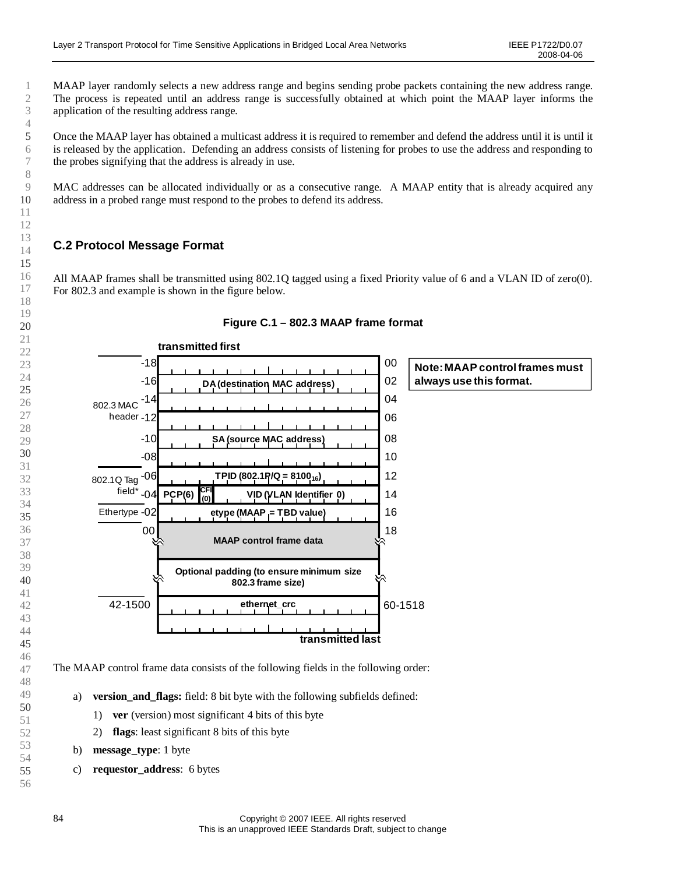MAAP layer randomly selects a new address range and begins sending probe packets containing the new address range. The process is repeated until an address range is successfully obtained at which point the MAAP layer informs the application of the resulting address range.

Once the MAAP layer has obtained a multicast address it is required to remember and defend the address until it is until it is released by the application. Defending an address consists of listening for probes to use the address and responding to the probes signifying that the address is already in use.

MAC addresses can be allocated individually or as a consecutive range. A MAAP entity that is already acquired any address in a probed range must respond to the probes to defend its address.

# **C.2 Protocol Message Format**

All MAAP frames shall be transmitted using 802.1Q tagged using a fixed Priority value of 6 and a VLAN ID of zero(0). For 802.3 and example is shown in the figure below.



#### **Figure C.1 –802.3 MAAP frame format**

<sup>6</sup> 7 8 9 10 11 12 13 14 15 16 17 18 19 20 21 22 23 24 25 26 27 28 29 30 31 32 33 34 35 36 37 38 39 40 41 42 43 44 45 46 47 48 49 50 51 52 53 54 55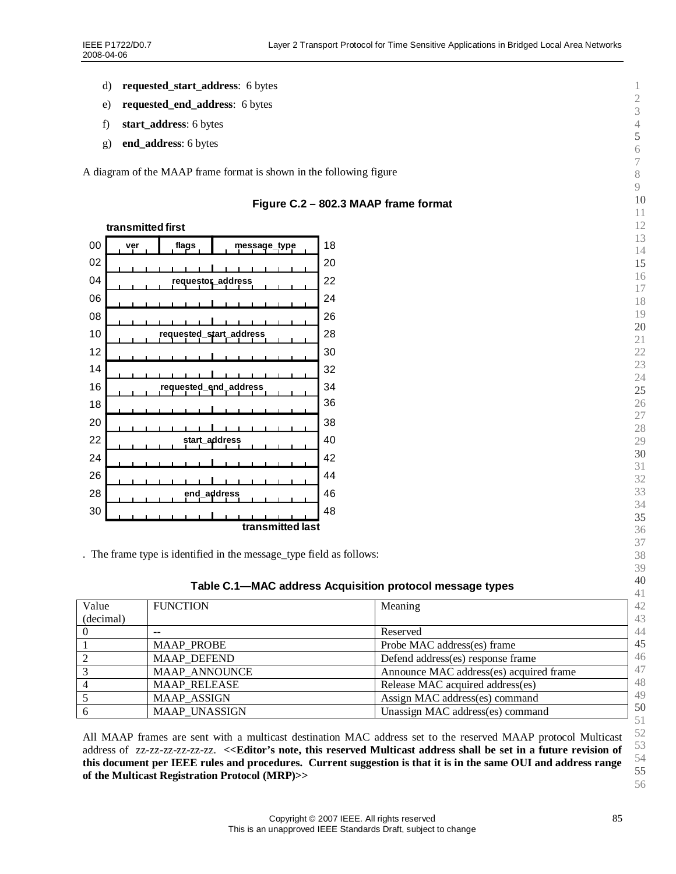- d) **requested\_start\_address**: 6 bytes
- e) **requested\_end\_address**: 6 bytes
- f) **start\_address**: 6 bytes
- g) **end\_address**: 6 bytes

A diagram of the MAAP frame format is shown in the following figure



#### **Figure C.2 –802.3 MAAP frame format**

. The frame type is identified in the message\_type field as follows:

| Table C.1-MAC address Acquisition protocol message types |  |  |  |  |  |  |  |  |  |
|----------------------------------------------------------|--|--|--|--|--|--|--|--|--|
|----------------------------------------------------------|--|--|--|--|--|--|--|--|--|

| $1$ able 0.1 Times addition requisition protocol incodage types |                      |                                         | 41       |
|-----------------------------------------------------------------|----------------------|-----------------------------------------|----------|
| Value                                                           | <b>FUNCTION</b>      | Meaning                                 | 42       |
| (decimal)                                                       |                      |                                         | 43       |
|                                                                 | --                   | Reserved                                | 44       |
|                                                                 | <b>MAAP PROBE</b>    | Probe MAC address(es) frame             | 45       |
|                                                                 | <b>MAAP DEFEND</b>   | Defend address(es) response frame       | 46       |
| $\mathbf{z}$                                                    | <b>MAAP ANNOUNCE</b> | Announce MAC address(es) acquired frame | 47       |
|                                                                 | <b>MAAP RELEASE</b>  | Release MAC acquired address(es)        | 48       |
|                                                                 | <b>MAAP ASSIGN</b>   | Assign MAC address(es) command          | 49       |
|                                                                 | MAAP_UNASSIGN        | Unassign MAC address(es) command        | 50<br>51 |

All MAAP frames are sent with a multicast destination MAC address set to the reserved MAAP protocol Multicast address of zz-zz-zz-zz-zz-zz. **<<Editor's note, this reserved Multicast address shall be set in a future revision of this document per IEEE rules and procedures. Current suggestion is that it is in the same OUI and address range of the Multicast Registration Protocol (MRP)>>**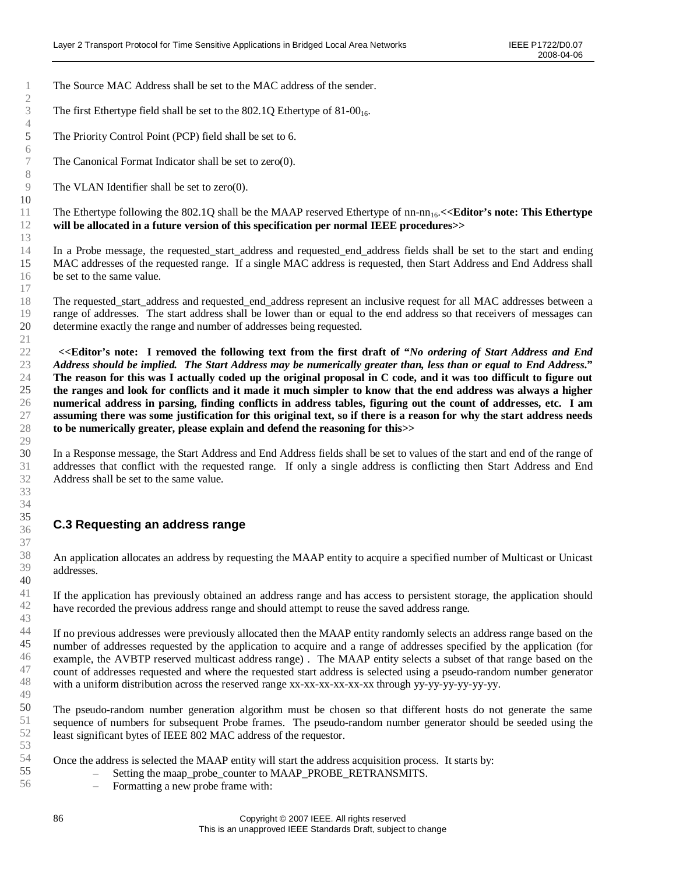The Source MAC Address shall be set to the MAC address of the sender.

The first Ethertype field shall be set to the  $802.1Q$  Ethertype of  $81-00<sub>16</sub>$ .

The Priority Control Point (PCP) field shall be set to 6.

The Canonical Format Indicator shall be set to zero(0).

The VLAN Identifier shall be set to zero(0).

The Ethertype following the 802.1Q shall be the MAAP reserved Ethertype of nn-nn<sub>16</sub>. <<**Editor's note: This Ethertype will be allocated in a future version of this specification per normal IEEE procedures>>**

In a Probe message, the requested\_start\_address and requested\_end\_address fields shall be set to the start and ending MAC addresses of the requested range. If a single MAC address is requested, then Start Address and End Address shall be set to the same value.

The requested\_start\_address and requested\_end\_address represent an inclusive request for all MAC addresses between a range of addresses. The start address shall be lower than or equal to the end address so that receivers of messages can determine exactly the range and number of addresses being requested.

**<<Editor's note: I removed the following text from the first draft of "***No ordering of Start Address and End Address should be implied. The Start Address may be numerically greater than, less than or equal to End Address***." The reason for this was I actually coded up the original proposal in C code, and it was too difficult to figure out the ranges and look for conflicts and it made it much simpler to know that the end address was always a higher numerical address in parsing, finding conflicts in address tables, figuring out the count of addresses, etc. I am assuming there was some justification for this original text, so if there is a reason for why the start address needs to be numerically greater, please explain and defend the reasoning for this>>**

In a Response message, the Start Address and End Address fields shall be set to values of the start and end of the range of addresses that conflict with the requested range. If only a single address is conflicting then Start Address and End Address shall be set to the same value.

# **C.3 Requesting an address range**

An application allocates an address by requesting the MAAP entity to acquire a specified number of Multicast or Unicast addresses.

If the application has previously obtained an address range and has access to persistent storage, the application should have recorded the previous address range and should attempt to reuse the saved address range.

If no previous addresses were previously allocated then the MAAP entity randomly selects an address range based on the number of addresses requested by the application to acquire and a range of addresses specified by the application (for example, the AVBTP reserved multicast address range) . The MAAP entity selects a subset of that range based on the count of addresses requested and where the requested start address is selected using a pseudo-random number generator with a uniform distribution across the reserved range xx-xx-xx-xx-xx-xx through yy-yy-yy-yy-yy-yy-yy-

The pseudo-random number generation algorithm must be chosen so that different hosts do not generate the same sequence of numbers for subsequent Probe frames. The pseudo-random number generator should be seeded using the least significant bytes of IEEE 802 MAC address of the requestor.

Once the address is selected the MAAP entity will start the address acquisition process. It starts by:

- Setting the maap\_probe\_counter to MAAP\_PROBE\_RETRANSMITS.<br>– Formatting a new probe frame with:
- Formatting a new probe frame with: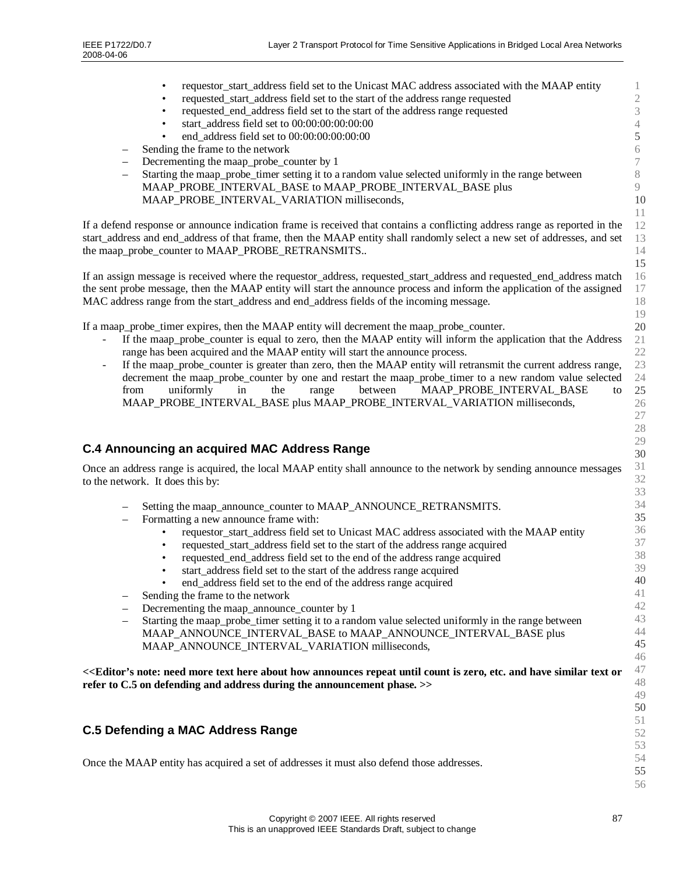| requestor_start_address field set to the Unicast MAC address associated with the MAAP entity<br>$\bullet$                                                                                          | $\mathbf{1}$     |
|----------------------------------------------------------------------------------------------------------------------------------------------------------------------------------------------------|------------------|
| requested_start_address field set to the start of the address range requested<br>$\bullet$                                                                                                         | $\sqrt{2}$       |
| requested_end_address field set to the start of the address range requested<br>٠                                                                                                                   | $\overline{3}$   |
| start_address field set to 00:00:00:00:00:00<br>$\bullet$                                                                                                                                          | $\sqrt{4}$       |
| end_address field set to 00:00:00:00:00:00                                                                                                                                                         | 5                |
| Sending the frame to the network                                                                                                                                                                   | $\sqrt{6}$       |
| Decrementing the maap_probe_counter by 1<br>$\overline{\phantom{0}}$                                                                                                                               | $\boldsymbol{7}$ |
| Starting the maap_probe_timer setting it to a random value selected uniformly in the range between                                                                                                 | $8\,$            |
| MAAP_PROBE_INTERVAL_BASE to MAAP_PROBE_INTERVAL_BASE plus                                                                                                                                          | $\overline{9}$   |
| MAAP_PROBE_INTERVAL_VARIATION milliseconds,                                                                                                                                                        | 10               |
|                                                                                                                                                                                                    | 11               |
| If a defend response or announce indication frame is received that contains a conflicting address range as reported in the                                                                         | 12               |
| start_address and end_address of that frame, then the MAAP entity shall randomly select a new set of addresses, and set                                                                            | 13               |
| the maap_probe_counter to MAAP_PROBE_RETRANSMITS                                                                                                                                                   | 14               |
|                                                                                                                                                                                                    | 15               |
| If an assign message is received where the requestor_address, requested_start_address and requested_end_address match                                                                              | 16               |
| the sent probe message, then the MAAP entity will start the announce process and inform the application of the assigned                                                                            | 17               |
| MAC address range from the start_address and end_address fields of the incoming message.                                                                                                           | 18<br>19         |
| If a maap_probe_timer expires, then the MAAP entity will decrement the maap_probe_counter.                                                                                                         | 20               |
| If the maap_probe_counter is equal to zero, then the MAAP entity will inform the application that the Address                                                                                      | $21\,$           |
| range has been acquired and the MAAP entity will start the announce process.                                                                                                                       | 22               |
| If the maap_probe_counter is greater than zero, then the MAAP entity will retransmit the current address range,                                                                                    | 23               |
| decrement the maap_probe_counter by one and restart the maap_probe_timer to a new random value selected                                                                                            | 24               |
| uniformly<br>MAAP_PROBE_INTERVAL_BASE<br>from<br>in<br>the<br>between<br>range<br>to                                                                                                               | 25               |
| MAAP_PROBE_INTERVAL_BASE plus MAAP_PROBE_INTERVAL_VARIATION milliseconds,                                                                                                                          | 26               |
|                                                                                                                                                                                                    | $27\,$           |
|                                                                                                                                                                                                    | 28               |
|                                                                                                                                                                                                    | 29               |
| <b>C.4 Announcing an acquired MAC Address Range</b>                                                                                                                                                | 30               |
| Once an address range is acquired, the local MAAP entity shall announce to the network by sending announce messages                                                                                | 31               |
| to the network. It does this by:                                                                                                                                                                   | 32               |
|                                                                                                                                                                                                    | 33               |
| Setting the maap_announce_counter to MAAP_ANNOUNCE_RETRANSMITS.<br>$\overline{\phantom{0}}$                                                                                                        | 34               |
| Formatting a new announce frame with:                                                                                                                                                              | 35               |
| requestor_start_address field set to Unicast MAC address associated with the MAAP entity                                                                                                           | 36               |
| requested_start_address field set to the start of the address range acquired                                                                                                                       | 37               |
| requested_end_address field set to the end of the address range acquired                                                                                                                           | 38               |
| start_address field set to the start of the address range acquired                                                                                                                                 | 39<br>40         |
| end_address field set to the end of the address range acquired                                                                                                                                     | 41               |
| Sending the frame to the network                                                                                                                                                                   | 42               |
| Decrementing the maap_announce_counter by 1<br>$\overline{\phantom{0}}$                                                                                                                            | 43               |
| Starting the maap_probe_timer setting it to a random value selected uniformly in the range between<br>$\overline{\phantom{m}}$<br>MAAP_ANNOUNCE_INTERVAL_BASE to MAAP_ANNOUNCE_INTERVAL_BASE plus  | 44               |
| MAAP_ANNOUNCE_INTERVAL_VARIATION milliseconds,                                                                                                                                                     | 45               |
|                                                                                                                                                                                                    | 46               |
| < <editor's about="" and="" announces="" count="" etc.="" have="" here="" how="" is="" more="" need="" note:="" or<="" repeat="" similar="" text="" th="" until="" zero,=""><th>47</th></editor's> | 47               |
| refer to C.5 on defending and address during the announcement phase. >>                                                                                                                            | 48               |
|                                                                                                                                                                                                    | 49               |
|                                                                                                                                                                                                    | 50               |
|                                                                                                                                                                                                    | 51               |
| <b>C.5 Defending a MAC Address Range</b>                                                                                                                                                           | 52               |
|                                                                                                                                                                                                    |                  |
|                                                                                                                                                                                                    | 53               |
|                                                                                                                                                                                                    | 54               |
| Once the MAAP entity has acquired a set of addresses it must also defend those addresses.                                                                                                          | 55<br>56         |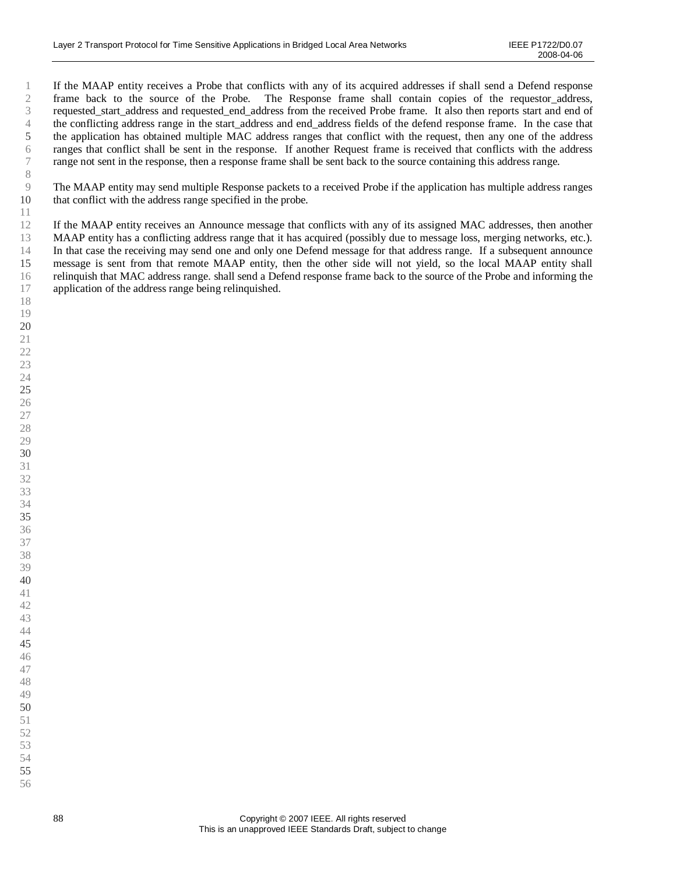If the MAAP entity receives a Probe that conflicts with any of its acquired addresses if shall send a Defend response frame back to the source of the Probe. The Response frame shall contain copies of the requestor address, requested\_start\_address and requested\_end\_address from the received Probe frame. It also then reports start and end of the conflicting address range in the start address and end address fields of the defend response frame. In the case that the application has obtained multiple MAC address ranges that conflict with the request, then any one of the address ranges that conflict shall be sent in the response. If another Request frame is received that conflicts with the address range not sent in the response, then a response frame shall be sent back to the source containing this address range.

The MAAP entity may send multiple Response packets to a received Probe if the application has multiple address ranges that conflict with the address range specified in the probe.

If the MAAP entity receives an Announce message that conflicts with any of its assigned MAC addresses, then another MAAP entity has a conflicting address range that it has acquired (possibly due to message loss, merging networks, etc.). In that case the receiving may send one and only one Defend message for that address range. If a subsequent announce message is sent from that remote MAAP entity, then the other side will not yield, so the local MAAP entity shall relinquish that MAC address range. shall send a Defend response frame back to the source of the Probe and informing the application of the address range being relinquished.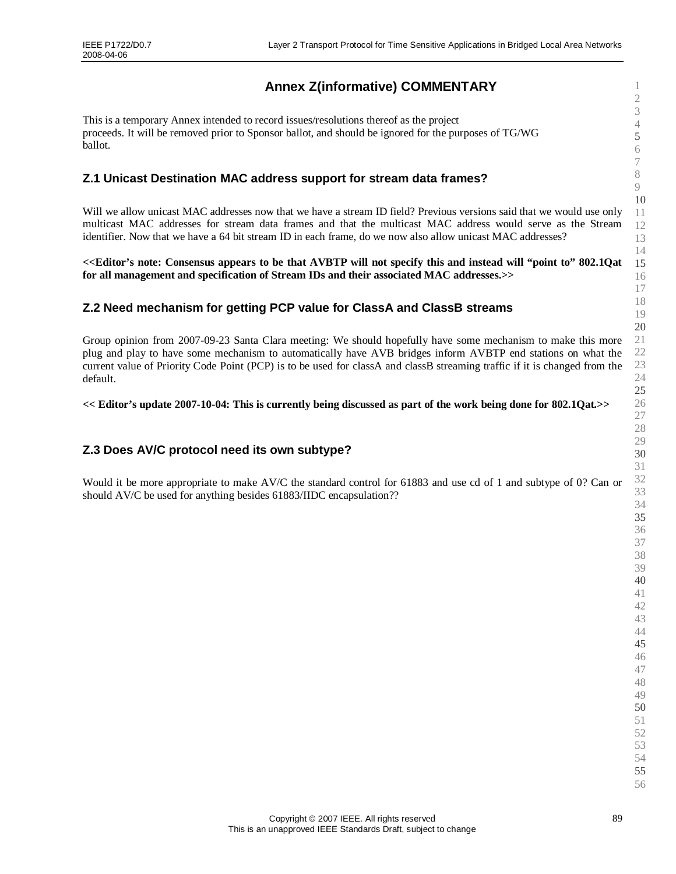# **Annex Z(informative) COMMENTARY**

This is a temporary Annex intended to record issues/resolutions thereof as the project proceeds. It will be removed prior to Sponsor ballot, and should be ignored for the purposes of TG/WG ballot.

# **Z.1 Unicast Destination MAC address support for stream data frames?**

Will we allow unicast MAC addresses now that we have a stream ID field? Previous versions said that we would use only multicast MAC addresses for stream data frames and that the multicast MAC address would serve as the Stream identifier. Now that we have a 64 bit stream ID in each frame, do we now also allow unicast MAC addresses?

**<<Editor's note: Consensus appears to be that AVBTP will not specify this and instead will "point to"802.1Qat for all management and specification of Stream IDs and their associated MAC addresses.>>**

# **Z.2 Need mechanism for getting PCP value for ClassA and ClassB streams**

Group opinion from 2007-09-23 Santa Clara meeting: We should hopefully have some mechanism to make this more plug and play to have some mechanism to automatically have AVB bridges inform AVBTP end stations on what the current value of Priority Code Point (PCP) is to be used for classA and classB streaming traffic if it is changed from the default.

**<< Editor's update 2007-10-04: This is currently being discussed as part of the work being done for 802.1Qat.>>**

# **Z.3 Does AV/C protocol need its own subtype?**

Would it be more appropriate to make AV/C the standard control for 61883 and use cd of 1 and subtype of 0? Can or should AV/C be used for anything besides 61883/IIDC encapsulation??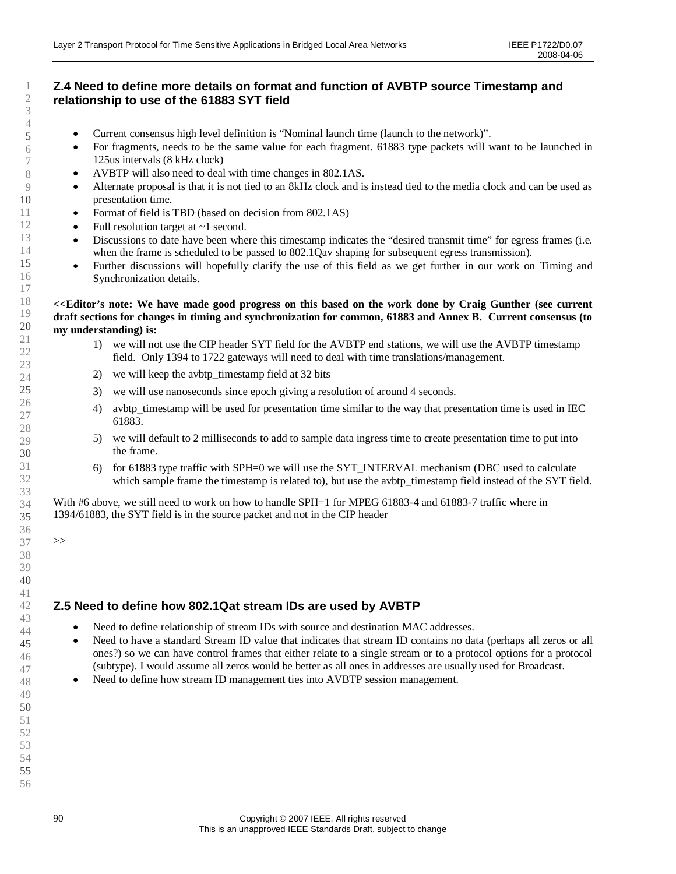# **Z.4 Need to define more details on format and function of AVBTP source Timestamp and relationship to use of the 61883 SYT field**

- Current consensus high level definition is "Nominal launch time (launch to the network)".
- For fragments, needs to be the same value for each fragment. 61883 type packets will want to be launched in 125us intervals (8 kHz clock)
- AVBTP will also need to deal with time changes in 802.1AS.
- Alternate proposal is that it is not tied to an 8kHz clock and is instead tied to the media clock and can be used as presentation time.
- Format of field is TBD (based on decision from 802.1AS)
- Full resolution target at  $\sim$ 1 second.
- Discussions to date have been where this timestamp indicates the "desired transmit time" for egress frames (i.e. when the frame is scheduled to be passed to 802.1Qav shaping for subsequent egress transmission).
- Further discussions will hopefully clarify the use of this field as we get further in our work on Timing and Synchronization details.
- **<<Editor's note: We have made good progress on this based on the work done by Craig Gunther (see current draft sections for changes in timing and synchronization for common, 61883 and Annex B. Current consensus (to my understanding) is:**
	- 1) we will not use the CIP header SYT field for the AVBTP end stations, we will use the AVBTP timestamp field. Only 1394 to 1722 gateways will need to deal with time translations/management.
	- 2) we will keep the avbtp\_timestamp field at 32 bits
	- 3) we will use nanoseconds since epoch giving a resolution of around 4 seconds.
	- 4) avbtp timestamp will be used for presentation time similar to the way that presentation time is used in IEC 61883.
	- 5) we will default to 2 milliseconds to add to sample data ingress time to create presentation time to put into the frame.
	- 6) for 61883 type traffic with SPH=0 we will use the SYT\_INTERVAL mechanism (DBC used to calculate which sample frame the timestamp is related to), but use the avbtp\_timestamp field instead of the SYT field.

With #6 above, we still need to work on how to handle SPH=1 for MPEG 61883-4 and 61883-7 traffic where in 1394/61883, the SYT field is in the source packet and not in the CIP header

>>

# **Z.5 Need to define how 802.1Qat stream IDs are used by AVBTP**

- Need to define relationship of stream IDs with source and destination MAC addresses.
- Need to have a standard Stream ID value that indicates that stream ID contains no data (perhaps all zeros or all ones?) so we can have control frames that either relate to a single stream or to a protocol options for a protocol (subtype). I would assume all zeros would be better as all ones in addresses are usually used for Broadcast.
- Need to define how stream ID management ties into AVBTP session management.